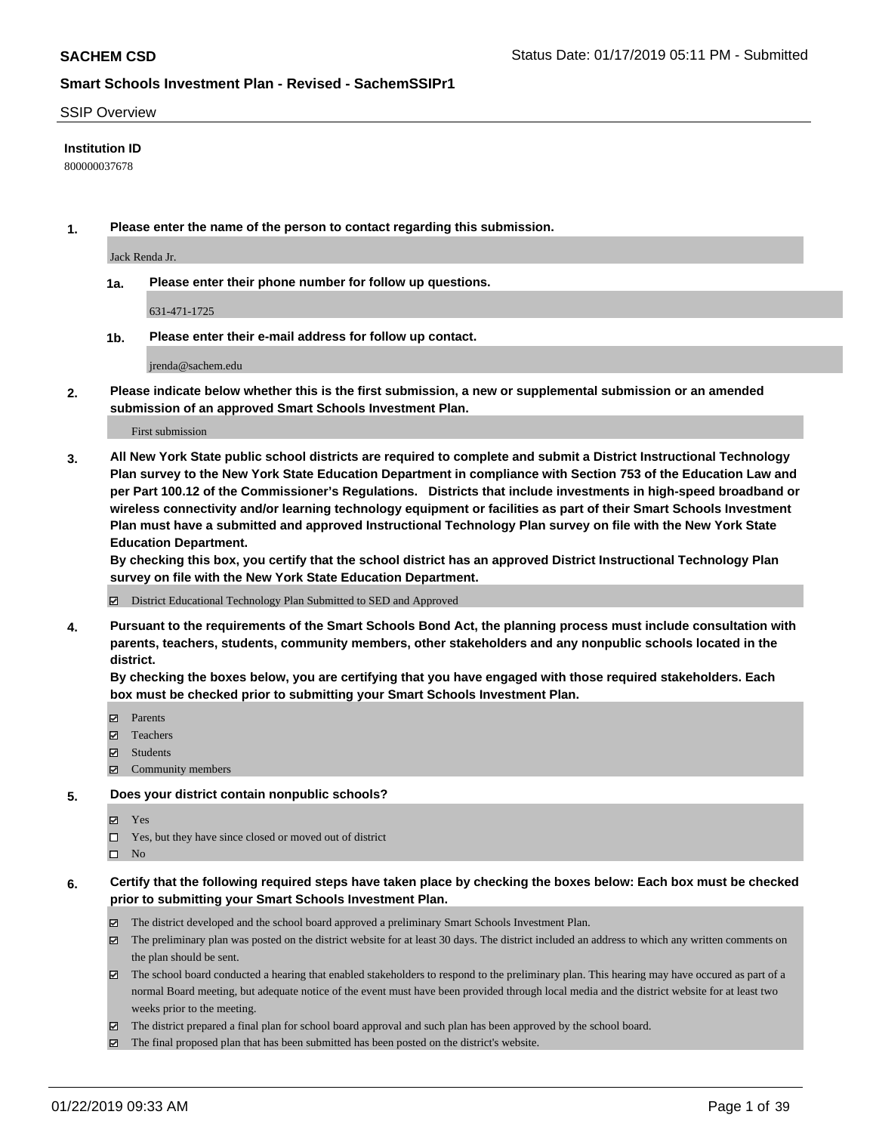#### SSIP Overview

#### **Institution ID**

800000037678

**1. Please enter the name of the person to contact regarding this submission.**

Jack Renda Jr.

**1a. Please enter their phone number for follow up questions.**

631-471-1725

**1b. Please enter their e-mail address for follow up contact.**

jrenda@sachem.edu

**2. Please indicate below whether this is the first submission, a new or supplemental submission or an amended submission of an approved Smart Schools Investment Plan.**

#### First submission

**3. All New York State public school districts are required to complete and submit a District Instructional Technology Plan survey to the New York State Education Department in compliance with Section 753 of the Education Law and per Part 100.12 of the Commissioner's Regulations. Districts that include investments in high-speed broadband or wireless connectivity and/or learning technology equipment or facilities as part of their Smart Schools Investment Plan must have a submitted and approved Instructional Technology Plan survey on file with the New York State Education Department.** 

**By checking this box, you certify that the school district has an approved District Instructional Technology Plan survey on file with the New York State Education Department.**

District Educational Technology Plan Submitted to SED and Approved

**4. Pursuant to the requirements of the Smart Schools Bond Act, the planning process must include consultation with parents, teachers, students, community members, other stakeholders and any nonpublic schools located in the district.** 

**By checking the boxes below, you are certifying that you have engaged with those required stakeholders. Each box must be checked prior to submitting your Smart Schools Investment Plan.**

- **マ** Parents
- Teachers
- Students
- $\Xi$  Community members

#### **5. Does your district contain nonpublic schools?**

**冈** Yes

- Yes, but they have since closed or moved out of district
- $\square$  No

### **6. Certify that the following required steps have taken place by checking the boxes below: Each box must be checked prior to submitting your Smart Schools Investment Plan.**

- The district developed and the school board approved a preliminary Smart Schools Investment Plan.
- $\boxtimes$  The preliminary plan was posted on the district website for at least 30 days. The district included an address to which any written comments on the plan should be sent.
- $\boxtimes$  The school board conducted a hearing that enabled stakeholders to respond to the preliminary plan. This hearing may have occured as part of a normal Board meeting, but adequate notice of the event must have been provided through local media and the district website for at least two weeks prior to the meeting.
- The district prepared a final plan for school board approval and such plan has been approved by the school board.
- $\boxtimes$  The final proposed plan that has been submitted has been posted on the district's website.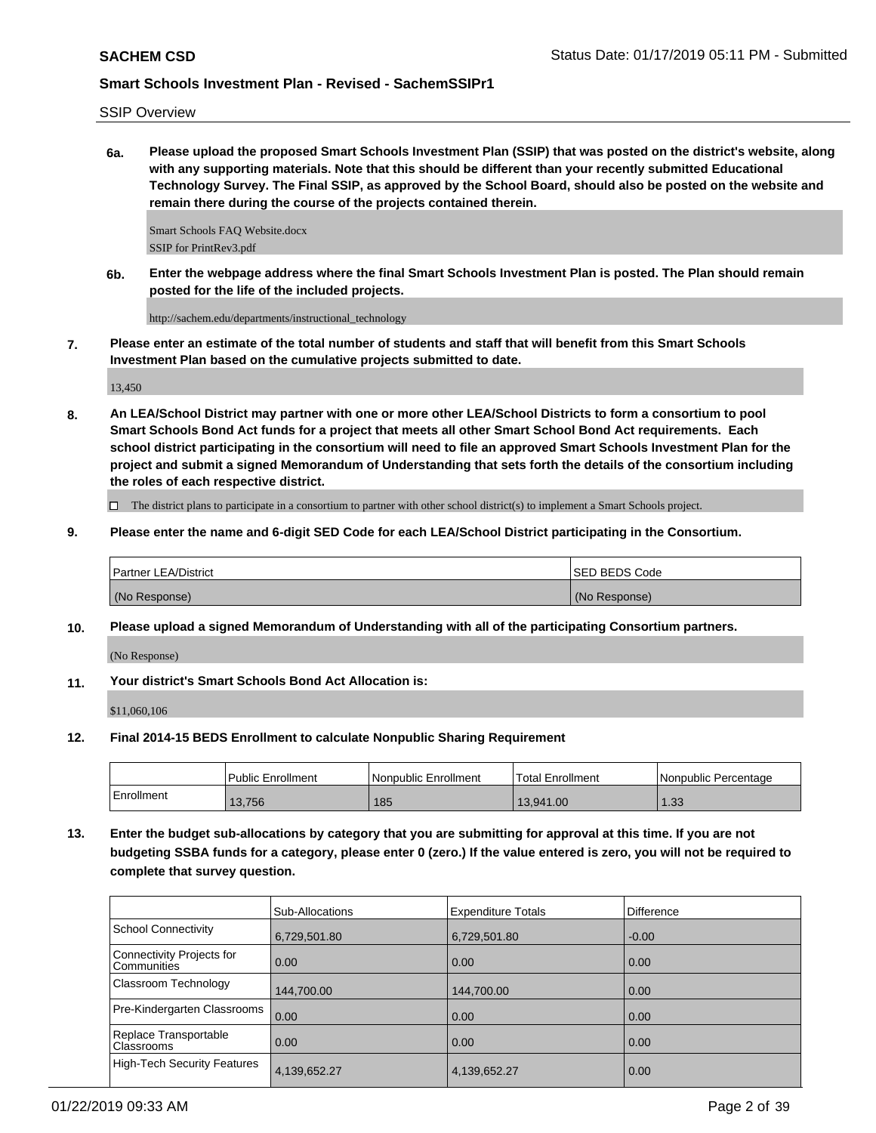SSIP Overview

**6a. Please upload the proposed Smart Schools Investment Plan (SSIP) that was posted on the district's website, along with any supporting materials. Note that this should be different than your recently submitted Educational Technology Survey. The Final SSIP, as approved by the School Board, should also be posted on the website and remain there during the course of the projects contained therein.**

Smart Schools FAQ Website.docx SSIP for PrintRev3.pdf

**6b. Enter the webpage address where the final Smart Schools Investment Plan is posted. The Plan should remain posted for the life of the included projects.**

http://sachem.edu/departments/instructional\_technology

**7. Please enter an estimate of the total number of students and staff that will benefit from this Smart Schools Investment Plan based on the cumulative projects submitted to date.**

13,450

**8. An LEA/School District may partner with one or more other LEA/School Districts to form a consortium to pool Smart Schools Bond Act funds for a project that meets all other Smart School Bond Act requirements. Each school district participating in the consortium will need to file an approved Smart Schools Investment Plan for the project and submit a signed Memorandum of Understanding that sets forth the details of the consortium including the roles of each respective district.**

 $\Box$  The district plans to participate in a consortium to partner with other school district(s) to implement a Smart Schools project.

**9. Please enter the name and 6-digit SED Code for each LEA/School District participating in the Consortium.**

| <b>Partner LEA/District</b> | <b>ISED BEDS Code</b> |
|-----------------------------|-----------------------|
| (No Response)               | (No Response)         |

**10. Please upload a signed Memorandum of Understanding with all of the participating Consortium partners.**

(No Response)

**11. Your district's Smart Schools Bond Act Allocation is:**

\$11,060,106

**12. Final 2014-15 BEDS Enrollment to calculate Nonpublic Sharing Requirement**

|            | <b>Public Enrollment</b> | Nonpublic Enrollment | Total Enrollment | l Nonpublic Percentage |
|------------|--------------------------|----------------------|------------------|------------------------|
| Enrollment | 13,756                   | 185                  | 13,941.00        | .33                    |

**13. Enter the budget sub-allocations by category that you are submitting for approval at this time. If you are not budgeting SSBA funds for a category, please enter 0 (zero.) If the value entered is zero, you will not be required to complete that survey question.**

|                                          | Sub-Allocations | <b>Expenditure Totals</b> | Difference |
|------------------------------------------|-----------------|---------------------------|------------|
| <b>School Connectivity</b>               | 6,729,501.80    | 6,729,501.80              | $-0.00$    |
| Connectivity Projects for<br>Communities | 0.00            | 0.00                      | 0.00       |
| Classroom Technology                     | 144,700.00      | 144,700.00                | 0.00       |
| Pre-Kindergarten Classrooms              | 0.00            | 0.00                      | 0.00       |
| Replace Transportable<br>Classrooms      | 0.00            | 0.00                      | 0.00       |
| <b>High-Tech Security Features</b>       | 4,139,652.27    | 4,139,652.27              | 0.00       |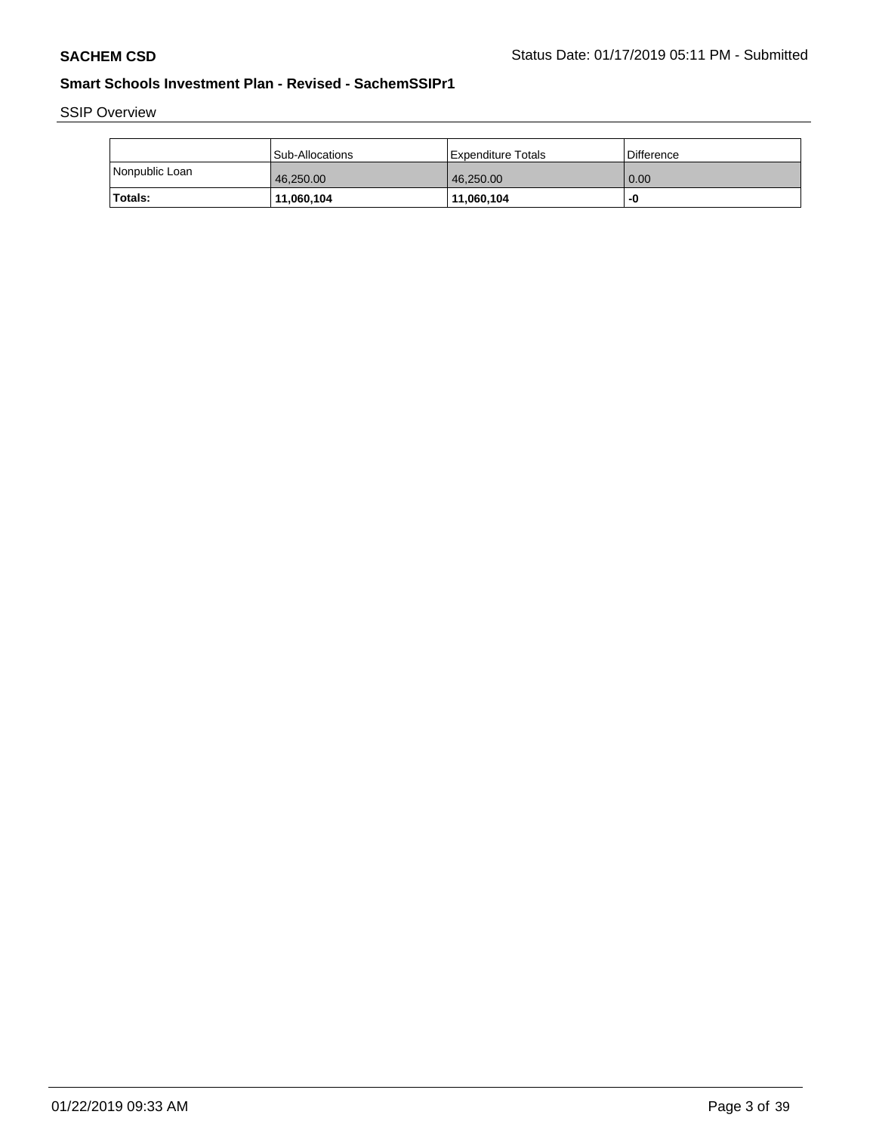SSIP Overview

|                | <b>Sub-Allocations</b> | <b>Expenditure Totals</b> | Difference |
|----------------|------------------------|---------------------------|------------|
| Nonpublic Loan | 46.250.00              | 46,250.00                 | 0.00       |
| <b>Totals:</b> | 11,060,104             | 11,060,104                | -0         |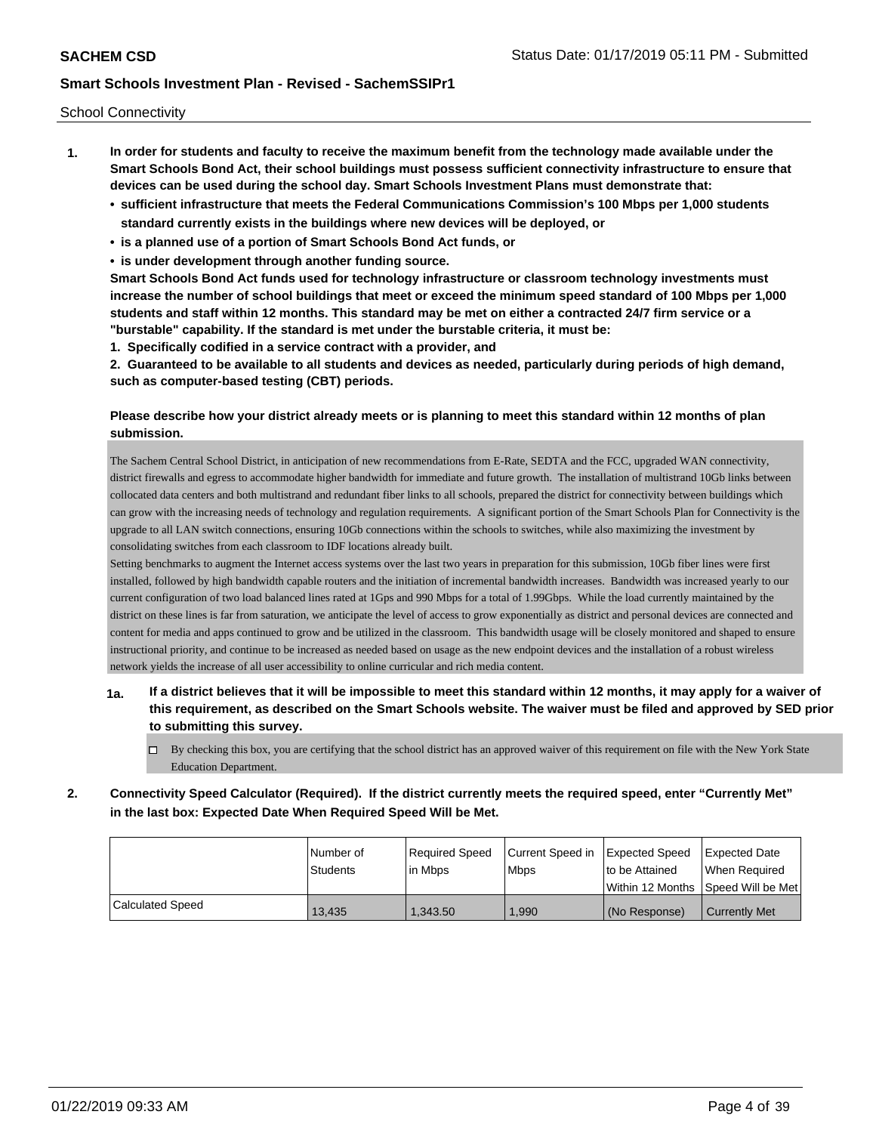School Connectivity

- **1. In order for students and faculty to receive the maximum benefit from the technology made available under the Smart Schools Bond Act, their school buildings must possess sufficient connectivity infrastructure to ensure that devices can be used during the school day. Smart Schools Investment Plans must demonstrate that:**
	- **• sufficient infrastructure that meets the Federal Communications Commission's 100 Mbps per 1,000 students standard currently exists in the buildings where new devices will be deployed, or**
	- **• is a planned use of a portion of Smart Schools Bond Act funds, or**
	- **• is under development through another funding source.**

**Smart Schools Bond Act funds used for technology infrastructure or classroom technology investments must increase the number of school buildings that meet or exceed the minimum speed standard of 100 Mbps per 1,000 students and staff within 12 months. This standard may be met on either a contracted 24/7 firm service or a "burstable" capability. If the standard is met under the burstable criteria, it must be:**

**1. Specifically codified in a service contract with a provider, and**

**2. Guaranteed to be available to all students and devices as needed, particularly during periods of high demand, such as computer-based testing (CBT) periods.**

## **Please describe how your district already meets or is planning to meet this standard within 12 months of plan submission.**

The Sachem Central School District, in anticipation of new recommendations from E-Rate, SEDTA and the FCC, upgraded WAN connectivity, district firewalls and egress to accommodate higher bandwidth for immediate and future growth. The installation of multistrand 10Gb links between collocated data centers and both multistrand and redundant fiber links to all schools, prepared the district for connectivity between buildings which can grow with the increasing needs of technology and regulation requirements. A significant portion of the Smart Schools Plan for Connectivity is the upgrade to all LAN switch connections, ensuring 10Gb connections within the schools to switches, while also maximizing the investment by consolidating switches from each classroom to IDF locations already built.

Setting benchmarks to augment the Internet access systems over the last two years in preparation for this submission, 10Gb fiber lines were first installed, followed by high bandwidth capable routers and the initiation of incremental bandwidth increases. Bandwidth was increased yearly to our current configuration of two load balanced lines rated at 1Gps and 990 Mbps for a total of 1.99Gbps. While the load currently maintained by the district on these lines is far from saturation, we anticipate the level of access to grow exponentially as district and personal devices are connected and content for media and apps continued to grow and be utilized in the classroom. This bandwidth usage will be closely monitored and shaped to ensure instructional priority, and continue to be increased as needed based on usage as the new endpoint devices and the installation of a robust wireless network yields the increase of all user accessibility to online curricular and rich media content.

- **1a. If a district believes that it will be impossible to meet this standard within 12 months, it may apply for a waiver of this requirement, as described on the Smart Schools website. The waiver must be filed and approved by SED prior to submitting this survey.**
	- $\Box$  By checking this box, you are certifying that the school district has an approved waiver of this requirement on file with the New York State Education Department.
- **2. Connectivity Speed Calculator (Required). If the district currently meets the required speed, enter "Currently Met" in the last box: Expected Date When Required Speed Will be Met.**

|                  | l Number of     | Required Speed | Current Speed in | Expected Speed | Expected Date                        |
|------------------|-----------------|----------------|------------------|----------------|--------------------------------------|
|                  | <b>Students</b> | lin Mbps       | <b>Mbps</b>      | to be Attained | When Reauired                        |
|                  |                 |                |                  |                | Within 12 Months 1Speed Will be Met1 |
| Calculated Speed | 13,435          | 1,343.50       | 1,990            | (No Response)  | Currently Met                        |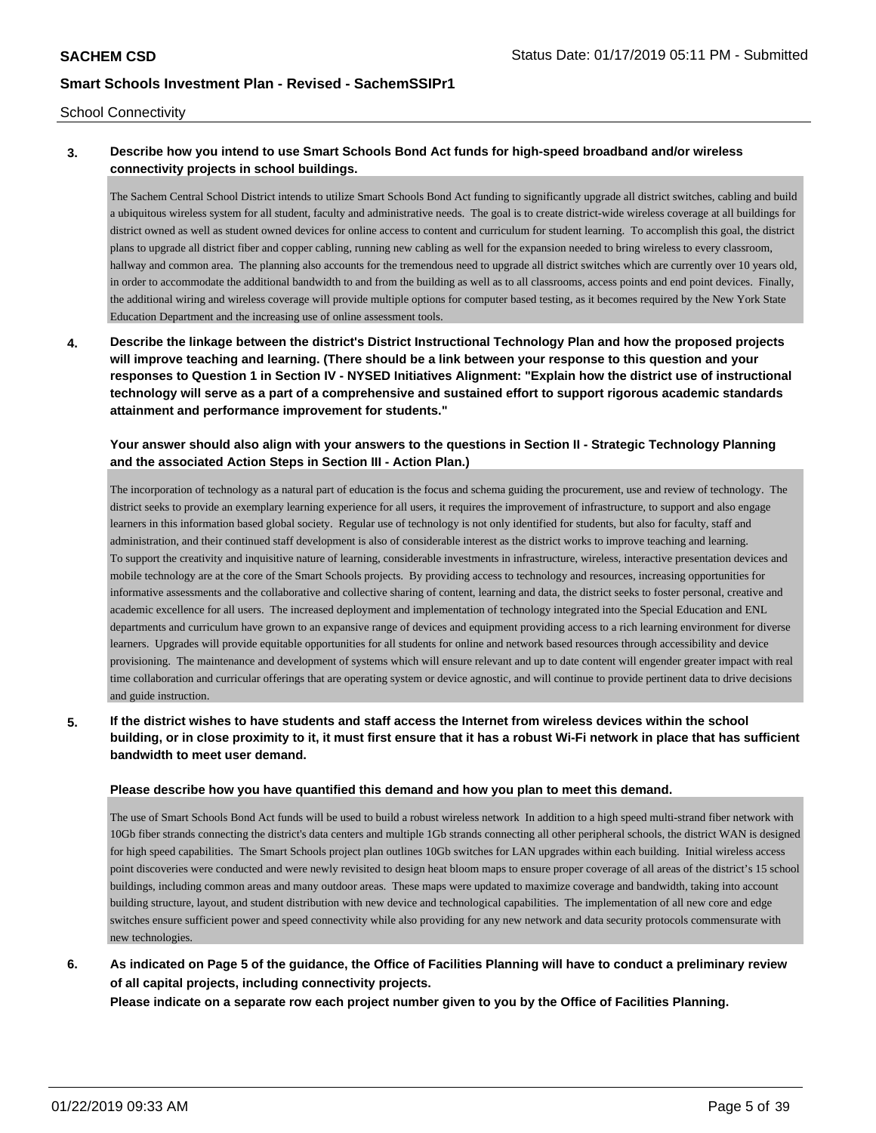School Connectivity

## **3. Describe how you intend to use Smart Schools Bond Act funds for high-speed broadband and/or wireless connectivity projects in school buildings.**

The Sachem Central School District intends to utilize Smart Schools Bond Act funding to significantly upgrade all district switches, cabling and build a ubiquitous wireless system for all student, faculty and administrative needs. The goal is to create district-wide wireless coverage at all buildings for district owned as well as student owned devices for online access to content and curriculum for student learning. To accomplish this goal, the district plans to upgrade all district fiber and copper cabling, running new cabling as well for the expansion needed to bring wireless to every classroom, hallway and common area. The planning also accounts for the tremendous need to upgrade all district switches which are currently over 10 years old, in order to accommodate the additional bandwidth to and from the building as well as to all classrooms, access points and end point devices. Finally, the additional wiring and wireless coverage will provide multiple options for computer based testing, as it becomes required by the New York State Education Department and the increasing use of online assessment tools.

**4. Describe the linkage between the district's District Instructional Technology Plan and how the proposed projects will improve teaching and learning. (There should be a link between your response to this question and your responses to Question 1 in Section IV - NYSED Initiatives Alignment: "Explain how the district use of instructional technology will serve as a part of a comprehensive and sustained effort to support rigorous academic standards attainment and performance improvement for students."** 

## **Your answer should also align with your answers to the questions in Section II - Strategic Technology Planning and the associated Action Steps in Section III - Action Plan.)**

The incorporation of technology as a natural part of education is the focus and schema guiding the procurement, use and review of technology. The district seeks to provide an exemplary learning experience for all users, it requires the improvement of infrastructure, to support and also engage learners in this information based global society. Regular use of technology is not only identified for students, but also for faculty, staff and administration, and their continued staff development is also of considerable interest as the district works to improve teaching and learning. To support the creativity and inquisitive nature of learning, considerable investments in infrastructure, wireless, interactive presentation devices and mobile technology are at the core of the Smart Schools projects. By providing access to technology and resources, increasing opportunities for informative assessments and the collaborative and collective sharing of content, learning and data, the district seeks to foster personal, creative and academic excellence for all users. The increased deployment and implementation of technology integrated into the Special Education and ENL departments and curriculum have grown to an expansive range of devices and equipment providing access to a rich learning environment for diverse learners. Upgrades will provide equitable opportunities for all students for online and network based resources through accessibility and device provisioning. The maintenance and development of systems which will ensure relevant and up to date content will engender greater impact with real time collaboration and curricular offerings that are operating system or device agnostic, and will continue to provide pertinent data to drive decisions and guide instruction.

## **5. If the district wishes to have students and staff access the Internet from wireless devices within the school building, or in close proximity to it, it must first ensure that it has a robust Wi-Fi network in place that has sufficient bandwidth to meet user demand.**

#### **Please describe how you have quantified this demand and how you plan to meet this demand.**

The use of Smart Schools Bond Act funds will be used to build a robust wireless network In addition to a high speed multi-strand fiber network with 10Gb fiber strands connecting the district's data centers and multiple 1Gb strands connecting all other peripheral schools, the district WAN is designed for high speed capabilities. The Smart Schools project plan outlines 10Gb switches for LAN upgrades within each building. Initial wireless access point discoveries were conducted and were newly revisited to design heat bloom maps to ensure proper coverage of all areas of the district's 15 school buildings, including common areas and many outdoor areas. These maps were updated to maximize coverage and bandwidth, taking into account building structure, layout, and student distribution with new device and technological capabilities. The implementation of all new core and edge switches ensure sufficient power and speed connectivity while also providing for any new network and data security protocols commensurate with new technologies.

# **6. As indicated on Page 5 of the guidance, the Office of Facilities Planning will have to conduct a preliminary review of all capital projects, including connectivity projects.**

**Please indicate on a separate row each project number given to you by the Office of Facilities Planning.**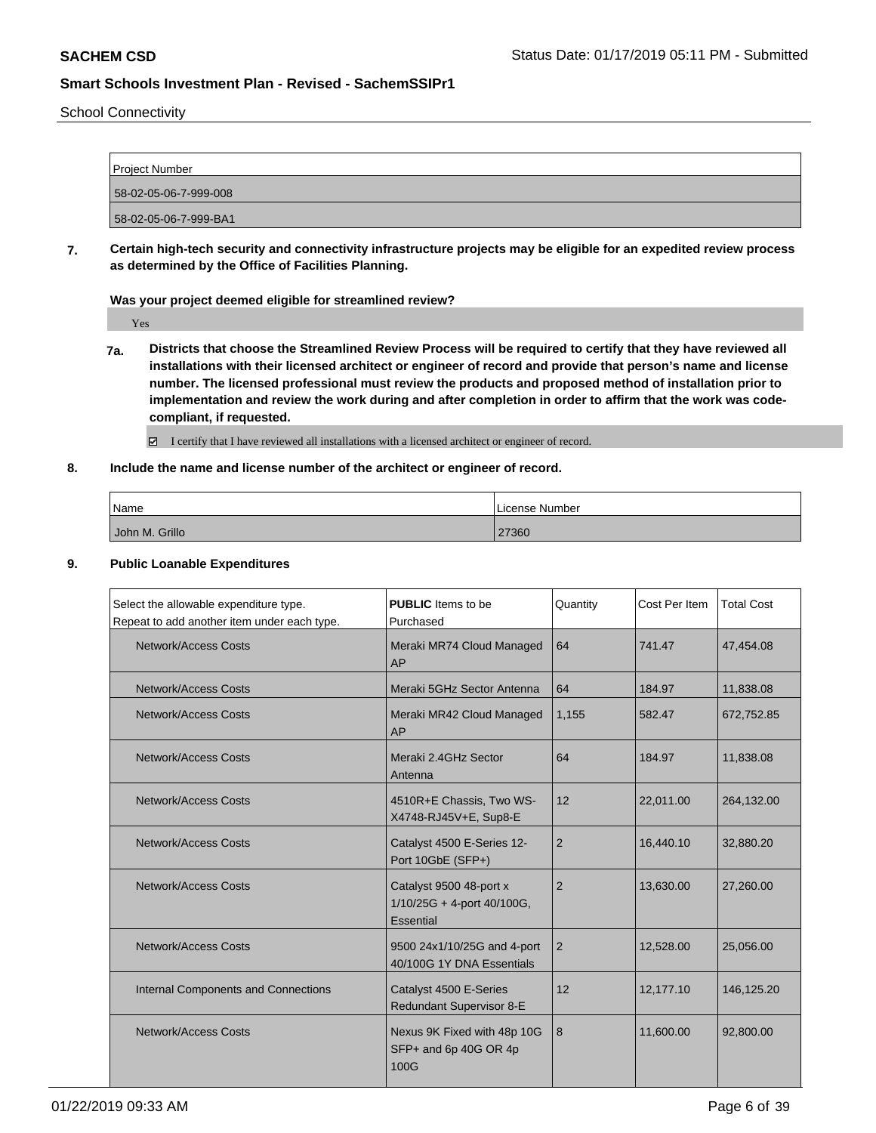School Connectivity

| Project Number        |  |
|-----------------------|--|
| 58-02-05-06-7-999-008 |  |
| 58-02-05-06-7-999-BA1 |  |
|                       |  |

**7. Certain high-tech security and connectivity infrastructure projects may be eligible for an expedited review process as determined by the Office of Facilities Planning.**

### **Was your project deemed eligible for streamlined review?**

Yes

- **7a. Districts that choose the Streamlined Review Process will be required to certify that they have reviewed all installations with their licensed architect or engineer of record and provide that person's name and license number. The licensed professional must review the products and proposed method of installation prior to implementation and review the work during and after completion in order to affirm that the work was codecompliant, if requested.**
	- I certify that I have reviewed all installations with a licensed architect or engineer of record.

## **8. Include the name and license number of the architect or engineer of record.**

| Name           | License Number |
|----------------|----------------|
| John M. Grillo | 27360          |

### **9. Public Loanable Expenditures**

| Select the allowable expenditure type.<br>Repeat to add another item under each type. | <b>PUBLIC</b> Items to be<br>Purchased                                | Quantity       | Cost Per Item | <b>Total Cost</b> |
|---------------------------------------------------------------------------------------|-----------------------------------------------------------------------|----------------|---------------|-------------------|
| Network/Access Costs                                                                  | Meraki MR74 Cloud Managed<br>AP                                       | 64             | 741.47        | 47,454.08         |
| Network/Access Costs                                                                  | Meraki 5GHz Sector Antenna                                            | 64             | 184.97        | 11,838.08         |
| Network/Access Costs                                                                  | Meraki MR42 Cloud Managed<br>AP                                       | 1.155          | 582.47        | 672,752.85        |
| <b>Network/Access Costs</b>                                                           | Meraki 2.4GHz Sector<br>Antenna                                       | 64             | 184.97        | 11,838.08         |
| Network/Access Costs                                                                  | 4510R+E Chassis, Two WS-<br>X4748-RJ45V+E, Sup8-E                     | 12             | 22,011.00     | 264,132.00        |
| Network/Access Costs                                                                  | Catalyst 4500 E-Series 12-<br>Port 10GbE (SFP+)                       | $\overline{2}$ | 16,440.10     | 32,880.20         |
| Network/Access Costs                                                                  | Catalyst 9500 48-port x<br>$1/10/25G + 4$ -port 40/100G,<br>Essential | $\overline{2}$ | 13,630.00     | 27,260.00         |
| <b>Network/Access Costs</b>                                                           | 9500 24x1/10/25G and 4-port<br>40/100G 1Y DNA Essentials              | 2              | 12,528.00     | 25,056.00         |
| Internal Components and Connections                                                   | Catalyst 4500 E-Series<br>Redundant Supervisor 8-E                    | 12             | 12,177.10     | 146,125.20        |
| Network/Access Costs                                                                  | Nexus 9K Fixed with 48p 10G<br>SFP+ and 6p 40G OR 4p<br>100G          | 8              | 11,600.00     | 92,800.00         |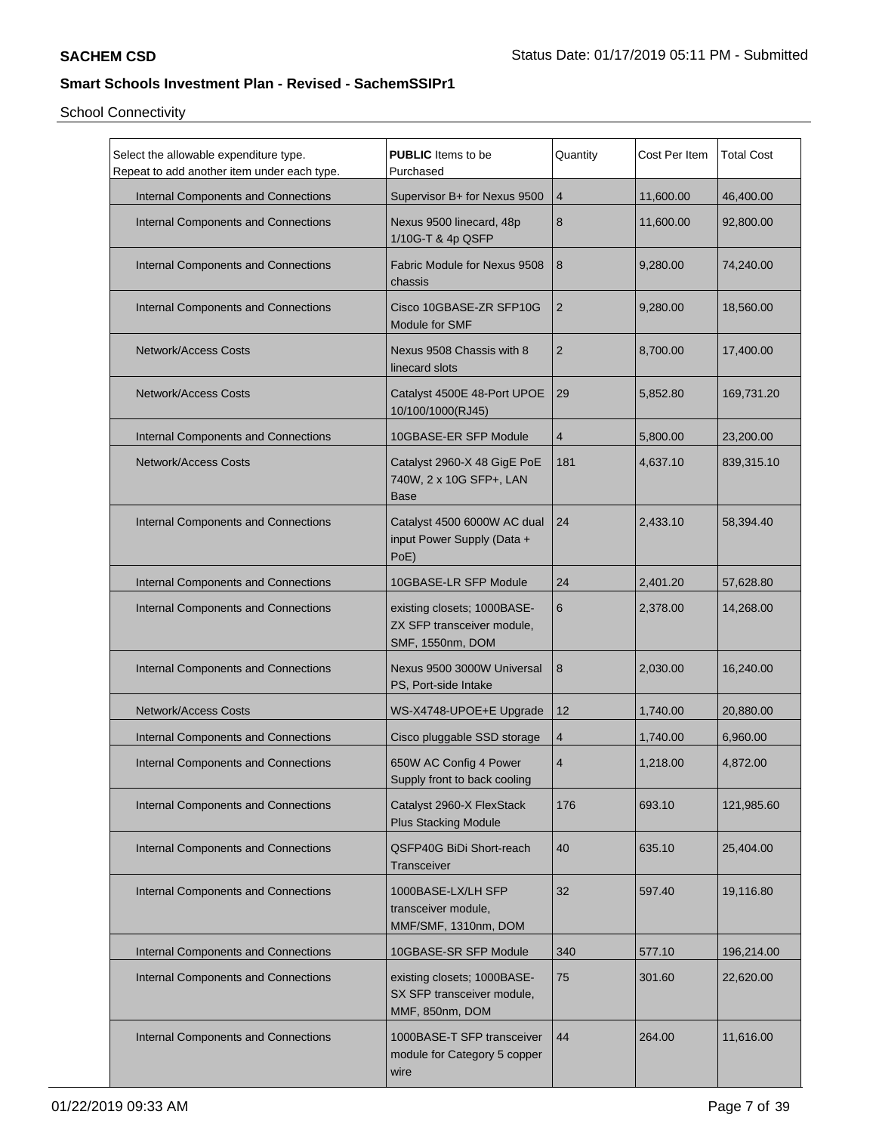| Select the allowable expenditure type.<br>Repeat to add another item under each type. | <b>PUBLIC</b> Items to be<br>Purchased                                        | Quantity       | Cost Per Item | <b>Total Cost</b> |
|---------------------------------------------------------------------------------------|-------------------------------------------------------------------------------|----------------|---------------|-------------------|
| Internal Components and Connections                                                   | Supervisor B+ for Nexus 9500                                                  | $\overline{4}$ | 11,600.00     | 46,400.00         |
| Internal Components and Connections                                                   | Nexus 9500 linecard, 48p<br>1/10G-T & 4p QSFP                                 | 8              | 11.600.00     | 92,800.00         |
| Internal Components and Connections                                                   | <b>Fabric Module for Nexus 9508</b><br>chassis                                | 8              | 9,280.00      | 74,240.00         |
| Internal Components and Connections                                                   | Cisco 10GBASE-ZR SFP10G<br>Module for SMF                                     | $\overline{2}$ | 9,280.00      | 18,560.00         |
| <b>Network/Access Costs</b>                                                           | Nexus 9508 Chassis with 8<br>linecard slots                                   | $\overline{2}$ | 8,700.00      | 17,400.00         |
| <b>Network/Access Costs</b>                                                           | Catalyst 4500E 48-Port UPOE<br>10/100/1000(RJ45)                              | 29             | 5,852.80      | 169,731.20        |
| Internal Components and Connections                                                   | 10GBASE-ER SFP Module                                                         | $\overline{4}$ | 5,800.00      | 23,200.00         |
| Network/Access Costs                                                                  | Catalyst 2960-X 48 GigE PoE<br>740W, 2 x 10G SFP+, LAN<br><b>Base</b>         | 181            | 4,637.10      | 839,315.10        |
| Internal Components and Connections                                                   | Catalyst 4500 6000W AC dual<br>input Power Supply (Data +<br>PoE)             | 24             | 2,433.10      | 58,394.40         |
| Internal Components and Connections                                                   | 10GBASE-LR SFP Module                                                         | 24             | 2,401.20      | 57,628.80         |
| Internal Components and Connections                                                   | existing closets; 1000BASE-<br>ZX SFP transceiver module,<br>SMF, 1550nm, DOM | 6              | 2,378.00      | 14,268.00         |
| Internal Components and Connections                                                   | Nexus 9500 3000W Universal<br>PS, Port-side Intake                            | 8              | 2,030.00      | 16,240.00         |
| <b>Network/Access Costs</b>                                                           | WS-X4748-UPOE+E Upgrade                                                       | 12             | 1,740.00      | 20,880.00         |
| Internal Components and Connections                                                   | Cisco pluggable SSD storage                                                   | $\overline{4}$ | 1,740.00      | 6,960.00          |
| Internal Components and Connections                                                   | 650W AC Config 4 Power<br>Supply front to back cooling                        | $\overline{4}$ | 1,218.00      | 4,872.00          |
| Internal Components and Connections                                                   | Catalyst 2960-X FlexStack<br><b>Plus Stacking Module</b>                      | 176            | 693.10        | 121,985.60        |
| <b>Internal Components and Connections</b>                                            | QSFP40G BiDi Short-reach<br>Transceiver                                       | 40             | 635.10        | 25,404.00         |
| Internal Components and Connections                                                   | 1000BASE-LX/LH SFP<br>transceiver module,<br>MMF/SMF, 1310nm, DOM             | 32             | 597.40        | 19,116.80         |
| Internal Components and Connections                                                   | 10GBASE-SR SFP Module                                                         | 340            | 577.10        | 196,214.00        |
| Internal Components and Connections                                                   | existing closets; 1000BASE-<br>SX SFP transceiver module,<br>MMF, 850nm, DOM  | 75             | 301.60        | 22,620.00         |
| Internal Components and Connections                                                   | 1000BASE-T SFP transceiver<br>module for Category 5 copper<br>wire            | 44             | 264.00        | 11,616.00         |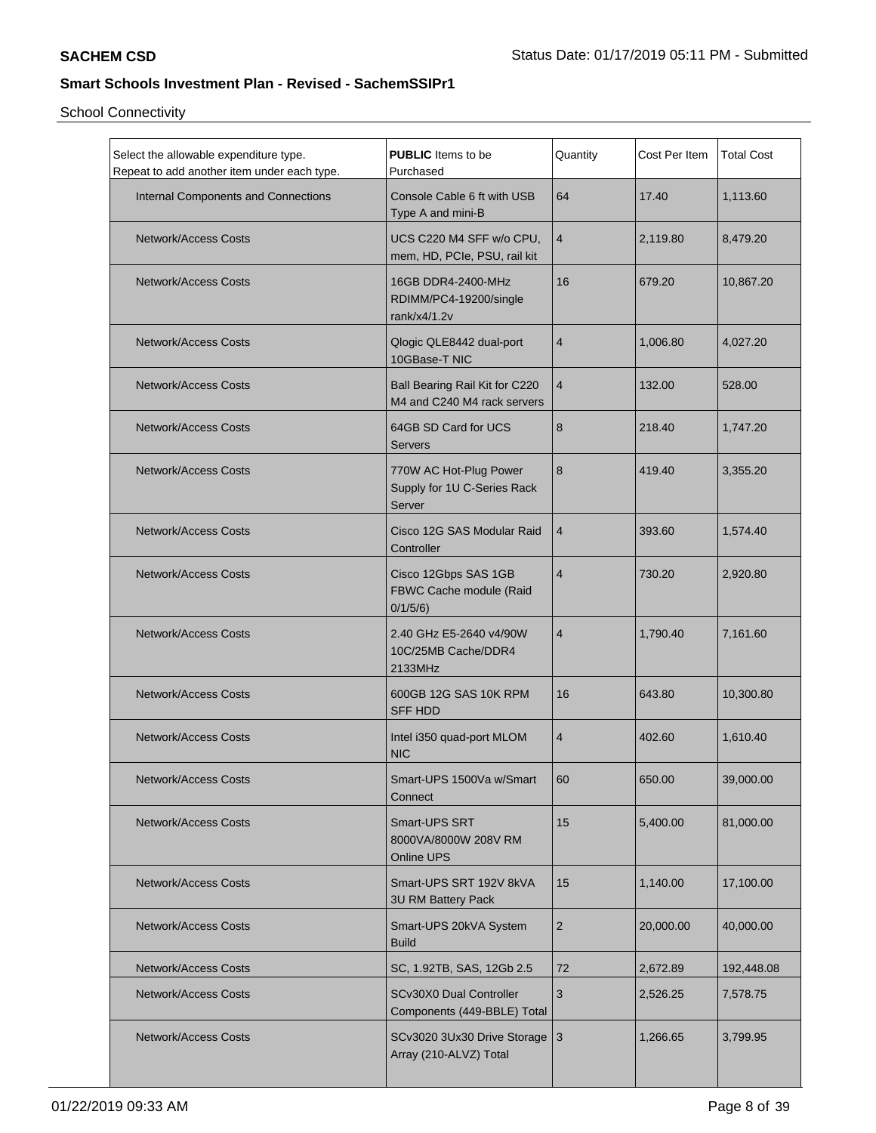| Select the allowable expenditure type.<br>Repeat to add another item under each type. | <b>PUBLIC</b> Items to be<br>Purchased                          | Quantity       | Cost Per Item | <b>Total Cost</b> |
|---------------------------------------------------------------------------------------|-----------------------------------------------------------------|----------------|---------------|-------------------|
| Internal Components and Connections                                                   | Console Cable 6 ft with USB<br>Type A and mini-B                | 64             | 17.40         | 1,113.60          |
| <b>Network/Access Costs</b>                                                           | UCS C220 M4 SFF w/o CPU,<br>mem, HD, PCIe, PSU, rail kit        | $\overline{4}$ | 2,119.80      | 8,479.20          |
| <b>Network/Access Costs</b>                                                           | 16GB DDR4-2400-MHz<br>RDIMM/PC4-19200/single<br>rank/x4/1.2v    | 16             | 679.20        | 10,867.20         |
| <b>Network/Access Costs</b>                                                           | Qlogic QLE8442 dual-port<br>10GBase-T NIC                       | $\overline{4}$ | 1,006.80      | 4,027.20          |
| <b>Network/Access Costs</b>                                                           | Ball Bearing Rail Kit for C220<br>M4 and C240 M4 rack servers   | $\overline{4}$ | 132.00        | 528.00            |
| <b>Network/Access Costs</b>                                                           | 64GB SD Card for UCS<br><b>Servers</b>                          | 8              | 218.40        | 1,747.20          |
| <b>Network/Access Costs</b>                                                           | 770W AC Hot-Plug Power<br>Supply for 1U C-Series Rack<br>Server | 8              | 419.40        | 3,355.20          |
| <b>Network/Access Costs</b>                                                           | Cisco 12G SAS Modular Raid<br>Controller                        | $\overline{4}$ | 393.60        | 1,574.40          |
| <b>Network/Access Costs</b>                                                           | Cisco 12Gbps SAS 1GB<br>FBWC Cache module (Raid<br>0/1/5/6      | $\overline{4}$ | 730.20        | 2,920.80          |
| <b>Network/Access Costs</b>                                                           | 2.40 GHz E5-2640 v4/90W<br>10C/25MB Cache/DDR4<br>2133MHz       | $\overline{4}$ | 1,790.40      | 7,161.60          |
| <b>Network/Access Costs</b>                                                           | 600GB 12G SAS 10K RPM<br><b>SFF HDD</b>                         | 16             | 643.80        | 10,300.80         |
| <b>Network/Access Costs</b>                                                           | Intel i350 quad-port MLOM<br><b>NIC</b>                         | $\overline{4}$ | 402.60        | 1,610.40          |
| Network/Access Costs                                                                  | Smart-UPS 1500Va w/Smart<br>Connect                             | 60             | 650.00        | 39,000.00         |
| Network/Access Costs                                                                  | Smart-UPS SRT<br>8000VA/8000W 208V RM<br>Online UPS             | 15             | 5,400.00      | 81,000.00         |
| <b>Network/Access Costs</b>                                                           | Smart-UPS SRT 192V 8kVA<br>3U RM Battery Pack                   | 15             | 1,140.00      | 17,100.00         |
| <b>Network/Access Costs</b>                                                           | Smart-UPS 20kVA System<br><b>Build</b>                          | $\overline{2}$ | 20,000.00     | 40,000.00         |
| Network/Access Costs                                                                  | SC, 1.92TB, SAS, 12Gb 2.5                                       | 72             | 2,672.89      | 192,448.08        |
| Network/Access Costs                                                                  | SCv30X0 Dual Controller<br>Components (449-BBLE) Total          | $\mathsf 3$    | 2,526.25      | 7,578.75          |
| <b>Network/Access Costs</b>                                                           | SCv3020 3Ux30 Drive Storage 3<br>Array (210-ALVZ) Total         |                | 1,266.65      | 3,799.95          |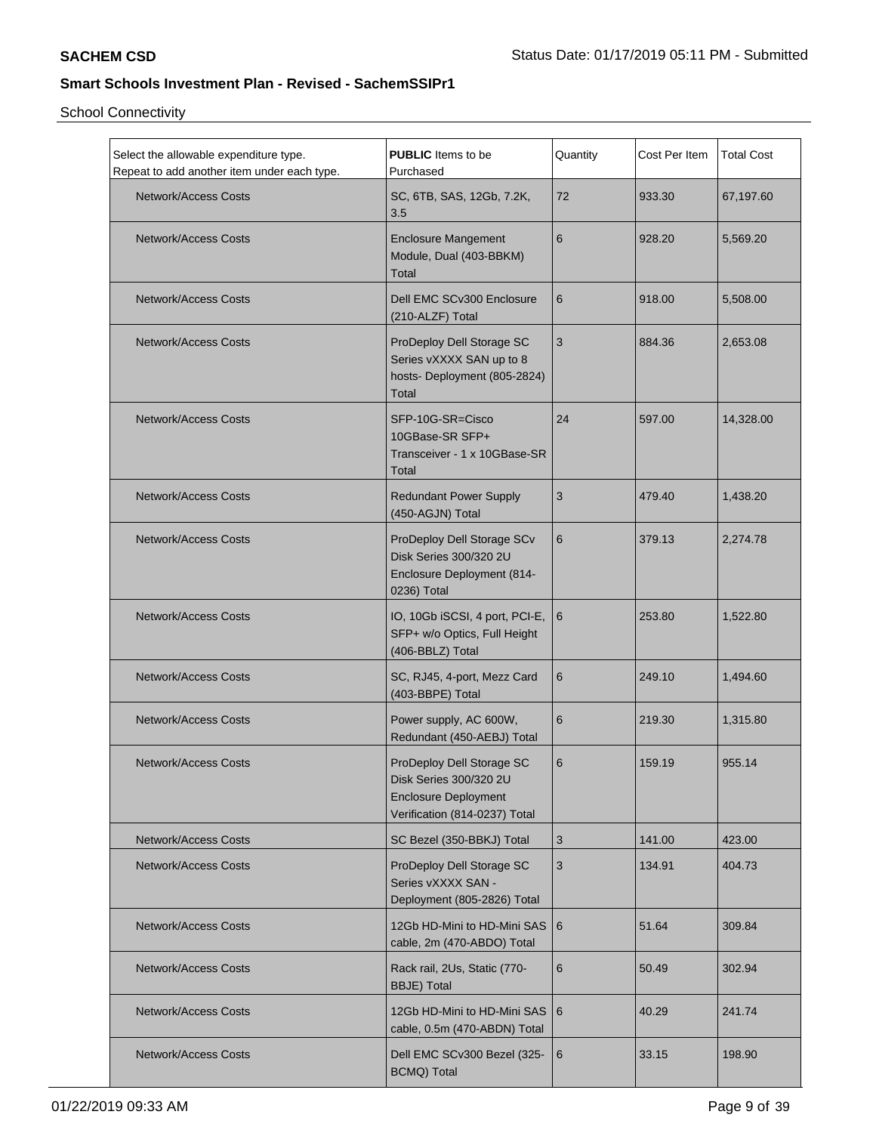| Select the allowable expenditure type.<br>Repeat to add another item under each type. | <b>PUBLIC</b> Items to be<br>Purchased                                                                              | Quantity | Cost Per Item | <b>Total Cost</b> |
|---------------------------------------------------------------------------------------|---------------------------------------------------------------------------------------------------------------------|----------|---------------|-------------------|
| <b>Network/Access Costs</b>                                                           | SC, 6TB, SAS, 12Gb, 7.2K,<br>3.5                                                                                    | 72       | 933.30        | 67,197.60         |
| <b>Network/Access Costs</b>                                                           | <b>Enclosure Mangement</b><br>Module, Dual (403-BBKM)<br><b>Total</b>                                               | 6        | 928.20        | 5,569.20          |
| <b>Network/Access Costs</b>                                                           | Dell EMC SCv300 Enclosure<br>(210-ALZF) Total                                                                       | 6        | 918.00        | 5,508.00          |
| <b>Network/Access Costs</b>                                                           | ProDeploy Dell Storage SC<br>Series vXXXX SAN up to 8<br>hosts- Deployment (805-2824)<br>Total                      | 3        | 884.36        | 2,653.08          |
| Network/Access Costs                                                                  | SFP-10G-SR=Cisco<br>10GBase-SR SFP+<br>Transceiver - 1 x 10GBase-SR<br><b>Total</b>                                 | 24       | 597.00        | 14,328.00         |
| Network/Access Costs                                                                  | <b>Redundant Power Supply</b><br>(450-AGJN) Total                                                                   | 3        | 479.40        | 1,438.20          |
| <b>Network/Access Costs</b>                                                           | ProDeploy Dell Storage SCv<br>Disk Series 300/320 2U<br>Enclosure Deployment (814-<br>0236) Total                   | 6        | 379.13        | 2,274.78          |
| <b>Network/Access Costs</b>                                                           | IO, 10Gb iSCSI, 4 port, PCI-E, $ 6 $<br>SFP+ w/o Optics, Full Height<br>(406-BBLZ) Total                            |          | 253.80        | 1,522.80          |
| <b>Network/Access Costs</b>                                                           | SC, RJ45, 4-port, Mezz Card<br>(403-BBPE) Total                                                                     | 6        | 249.10        | 1,494.60          |
| <b>Network/Access Costs</b>                                                           | Power supply, AC 600W,<br>Redundant (450-AEBJ) Total                                                                | 6        | 219.30        | 1,315.80          |
| <b>Network/Access Costs</b>                                                           | ProDeploy Dell Storage SC<br>Disk Series 300/320 2U<br><b>Enclosure Deployment</b><br>Verification (814-0237) Total | 6        | 159.19        | 955.14            |
| <b>Network/Access Costs</b>                                                           | SC Bezel (350-BBKJ) Total                                                                                           | 3        | 141.00        | 423.00            |
| <b>Network/Access Costs</b>                                                           | ProDeploy Dell Storage SC<br>Series vXXXX SAN -<br>Deployment (805-2826) Total                                      | 3        | 134.91        | 404.73            |
| <b>Network/Access Costs</b>                                                           | 12Gb HD-Mini to HD-Mini SAS   6<br>cable, 2m (470-ABDO) Total                                                       |          | 51.64         | 309.84            |
| <b>Network/Access Costs</b>                                                           | Rack rail, 2Us, Static (770-<br><b>BBJE)</b> Total                                                                  | 6        | 50.49         | 302.94            |
| <b>Network/Access Costs</b>                                                           | 12Gb HD-Mini to HD-Mini SAS<br>cable, 0.5m (470-ABDN) Total                                                         | 6        | 40.29         | 241.74            |
| <b>Network/Access Costs</b>                                                           | Dell EMC SCv300 Bezel (325-<br>BCMQ) Total                                                                          | 6        | 33.15         | 198.90            |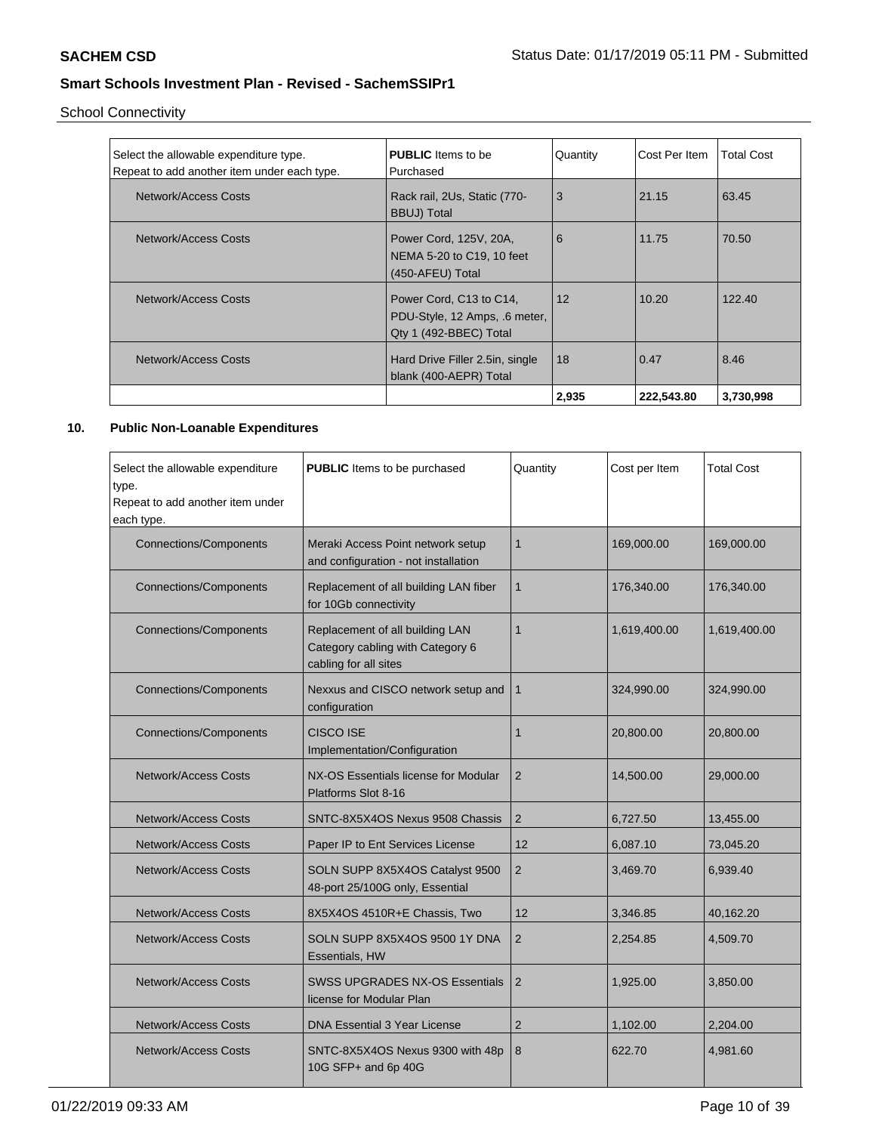School Connectivity

| Select the allowable expenditure type.<br>Repeat to add another item under each type. | <b>PUBLIC</b> Items to be<br>Purchased                                             | Quantity | Cost Per Item | Total Cost |
|---------------------------------------------------------------------------------------|------------------------------------------------------------------------------------|----------|---------------|------------|
| Network/Access Costs                                                                  | Rack rail, 2Us, Static (770-<br><b>BBUJ)</b> Total                                 | 3        | 21.15         | 63.45      |
| Network/Access Costs                                                                  | Power Cord, 125V, 20A,<br>NEMA 5-20 to C19, 10 feet<br>(450-AFEU) Total            | 6        | 11.75         | 70.50      |
| Network/Access Costs                                                                  | Power Cord, C13 to C14,<br>PDU-Style, 12 Amps, .6 meter,<br>Qty 1 (492-BBEC) Total | 12       | 10.20         | 122.40     |
| Network/Access Costs                                                                  | Hard Drive Filler 2.5in, single<br>blank (400-AEPR) Total                          | 18       | 0.47          | 8.46       |
|                                                                                       |                                                                                    | 2.935    | 222,543.80    | 3,730,998  |

## **10. Public Non-Loanable Expenditures**

| Select the allowable expenditure<br>type.<br>Repeat to add another item under<br>each type. | <b>PUBLIC</b> Items to be purchased                                                          | Quantity       | Cost per Item | <b>Total Cost</b> |
|---------------------------------------------------------------------------------------------|----------------------------------------------------------------------------------------------|----------------|---------------|-------------------|
| <b>Connections/Components</b>                                                               | Meraki Access Point network setup<br>and configuration - not installation                    | $\mathbf{1}$   | 169,000.00    | 169,000.00        |
| <b>Connections/Components</b>                                                               | Replacement of all building LAN fiber<br>for 10Gb connectivity                               | $\mathbf 1$    | 176,340.00    | 176,340.00        |
| <b>Connections/Components</b>                                                               | Replacement of all building LAN<br>Category cabling with Category 6<br>cabling for all sites | $\mathbf{1}$   | 1,619,400.00  | 1,619,400.00      |
| <b>Connections/Components</b>                                                               | Nexxus and CISCO network setup and<br>configuration                                          | 1              | 324,990.00    | 324,990.00        |
| <b>Connections/Components</b>                                                               | CISCO ISE<br>Implementation/Configuration                                                    | 1              | 20,800.00     | 20,800.00         |
| Network/Access Costs                                                                        | NX-OS Essentials license for Modular<br>Platforms Slot 8-16                                  | $\overline{2}$ | 14,500.00     | 29,000.00         |
| Network/Access Costs                                                                        | SNTC-8X5X4OS Nexus 9508 Chassis                                                              | 2              | 6,727.50      | 13,455.00         |
| <b>Network/Access Costs</b>                                                                 | Paper IP to Ent Services License                                                             | 12             | 6,087.10      | 73,045.20         |
| <b>Network/Access Costs</b>                                                                 | SOLN SUPP 8X5X4OS Catalyst 9500<br>48-port 25/100G only, Essential                           | 2              | 3,469.70      | 6,939.40          |
| Network/Access Costs                                                                        | 8X5X4OS 4510R+E Chassis, Two                                                                 | 12             | 3,346.85      | 40,162.20         |
| Network/Access Costs                                                                        | SOLN SUPP 8X5X4OS 9500 1Y DNA<br>Essentials, HW                                              | 2              | 2,254.85      | 4,509.70          |
| <b>Network/Access Costs</b>                                                                 | <b>SWSS UPGRADES NX-OS Essentials</b><br>license for Modular Plan                            | 2              | 1,925.00      | 3,850.00          |
| <b>Network/Access Costs</b>                                                                 | <b>DNA Essential 3 Year License</b>                                                          | $\overline{2}$ | 1,102.00      | 2,204.00          |
| Network/Access Costs                                                                        | SNTC-8X5X4OS Nexus 9300 with 48p<br>10G SFP+ and 6p 40G                                      | 8              | 622.70        | 4,981.60          |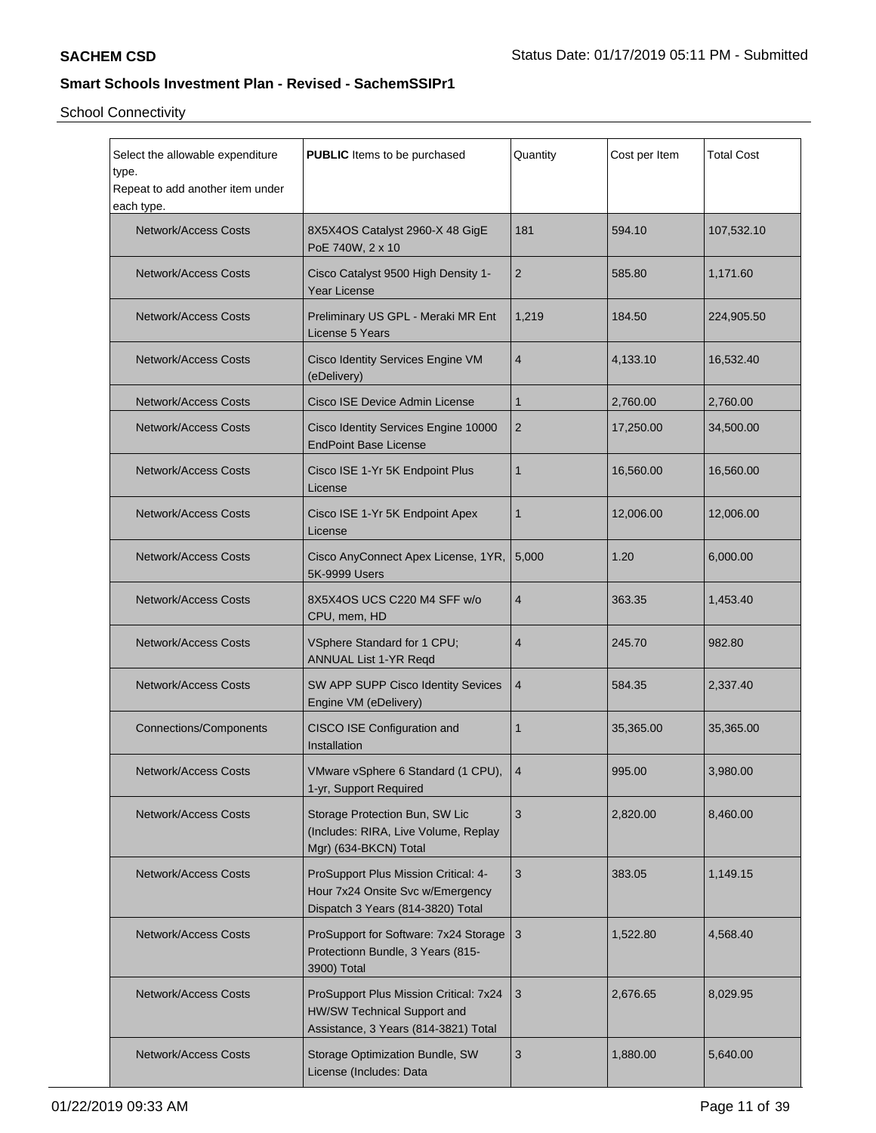| Select the allowable expenditure<br>type.<br>Repeat to add another item under<br>each type. | <b>PUBLIC</b> Items to be purchased                                                                           | Quantity       | Cost per Item | <b>Total Cost</b> |
|---------------------------------------------------------------------------------------------|---------------------------------------------------------------------------------------------------------------|----------------|---------------|-------------------|
| <b>Network/Access Costs</b>                                                                 | 8X5X4OS Catalyst 2960-X 48 GigE<br>PoE 740W, 2 x 10                                                           | 181            | 594.10        | 107,532.10        |
| <b>Network/Access Costs</b>                                                                 | Cisco Catalyst 9500 High Density 1-<br><b>Year License</b>                                                    | $\overline{2}$ | 585.80        | 1,171.60          |
| <b>Network/Access Costs</b>                                                                 | Preliminary US GPL - Meraki MR Ent<br>License 5 Years                                                         | 1,219          | 184.50        | 224,905.50        |
| <b>Network/Access Costs</b>                                                                 | Cisco Identity Services Engine VM<br>(eDelivery)                                                              | 4              | 4,133.10      | 16,532.40         |
| <b>Network/Access Costs</b>                                                                 | Cisco ISE Device Admin License                                                                                | $\mathbf{1}$   | 2,760.00      | 2,760.00          |
| <b>Network/Access Costs</b>                                                                 | Cisco Identity Services Engine 10000<br><b>EndPoint Base License</b>                                          | $\overline{2}$ | 17,250.00     | 34,500.00         |
| <b>Network/Access Costs</b>                                                                 | Cisco ISE 1-Yr 5K Endpoint Plus<br>License                                                                    | 1              | 16,560.00     | 16,560.00         |
| Network/Access Costs                                                                        | Cisco ISE 1-Yr 5K Endpoint Apex<br>License                                                                    | $\mathbf{1}$   | 12,006.00     | 12,006.00         |
| <b>Network/Access Costs</b>                                                                 | Cisco AnyConnect Apex License, 1YR,<br>5K-9999 Users                                                          | 5,000          | 1.20          | 6,000.00          |
| <b>Network/Access Costs</b>                                                                 | 8X5X4OS UCS C220 M4 SFF w/o<br>CPU, mem, HD                                                                   | 4              | 363.35        | 1,453.40          |
| <b>Network/Access Costs</b>                                                                 | VSphere Standard for 1 CPU;<br>ANNUAL List 1-YR Reqd                                                          | $\overline{4}$ | 245.70        | 982.80            |
| <b>Network/Access Costs</b>                                                                 | SW APP SUPP Cisco Identity Sevices<br>Engine VM (eDelivery)                                                   | $\overline{4}$ | 584.35        | 2,337.40          |
| <b>Connections/Components</b>                                                               | CISCO ISE Configuration and<br>Installation                                                                   | 1              | 35,365.00     | 35,365.00         |
| <b>Network/Access Costs</b>                                                                 | VMware vSphere 6 Standard (1 CPU),   4<br>1-yr, Support Required                                              |                | 995.00        | 3,980.00          |
| <b>Network/Access Costs</b>                                                                 | Storage Protection Bun, SW Lic<br>(Includes: RIRA, Live Volume, Replay<br>Mgr) (634-BKCN) Total               | 3              | 2,820.00      | 8,460.00          |
| <b>Network/Access Costs</b>                                                                 | ProSupport Plus Mission Critical: 4-<br>Hour 7x24 Onsite Svc w/Emergency<br>Dispatch 3 Years (814-3820) Total | 3              | 383.05        | 1,149.15          |
| <b>Network/Access Costs</b>                                                                 | ProSupport for Software: 7x24 Storage<br>Protectionn Bundle, 3 Years (815-<br>3900) Total                     | $\overline{3}$ | 1,522.80      | 4,568.40          |
| <b>Network/Access Costs</b>                                                                 | ProSupport Plus Mission Critical: 7x24<br>HW/SW Technical Support and<br>Assistance, 3 Years (814-3821) Total | 3              | 2,676.65      | 8,029.95          |
| <b>Network/Access Costs</b>                                                                 | Storage Optimization Bundle, SW<br>License (Includes: Data                                                    | 3              | 1,880.00      | 5,640.00          |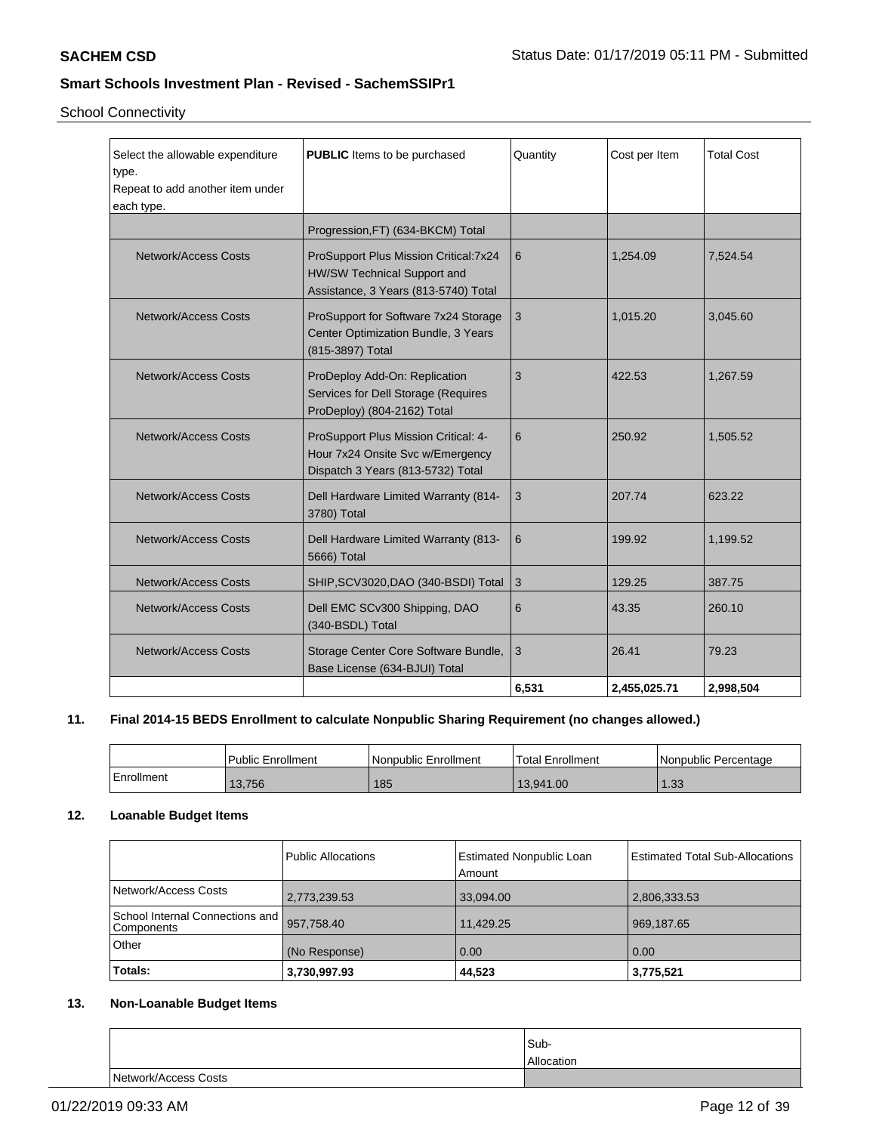School Connectivity

| Select the allowable expenditure<br>type.<br>Repeat to add another item under<br>each type. | <b>PUBLIC</b> Items to be purchased                                                                           | Quantity | Cost per Item | <b>Total Cost</b> |
|---------------------------------------------------------------------------------------------|---------------------------------------------------------------------------------------------------------------|----------|---------------|-------------------|
|                                                                                             | Progression, FT) (634-BKCM) Total                                                                             |          |               |                   |
| <b>Network/Access Costs</b>                                                                 | ProSupport Plus Mission Critical: 7x24<br>HW/SW Technical Support and<br>Assistance, 3 Years (813-5740) Total | 6        | 1,254.09      | 7,524.54          |
| <b>Network/Access Costs</b>                                                                 | ProSupport for Software 7x24 Storage<br>Center Optimization Bundle, 3 Years<br>(815-3897) Total               | 3        | 1.015.20      | 3,045.60          |
| Network/Access Costs                                                                        | ProDeploy Add-On: Replication<br>Services for Dell Storage (Requires<br>ProDeploy) (804-2162) Total           | 3        | 422.53        | 1,267.59          |
| Network/Access Costs                                                                        | ProSupport Plus Mission Critical: 4-<br>Hour 7x24 Onsite Svc w/Emergency<br>Dispatch 3 Years (813-5732) Total | 6        | 250.92        | 1,505.52          |
| <b>Network/Access Costs</b>                                                                 | Dell Hardware Limited Warranty (814-<br>3780) Total                                                           | 3        | 207.74        | 623.22            |
| <b>Network/Access Costs</b>                                                                 | Dell Hardware Limited Warranty (813-<br>5666) Total                                                           | 6        | 199.92        | 1,199.52          |
| <b>Network/Access Costs</b>                                                                 | SHIP, SCV3020, DAO (340-BSDI) Total                                                                           | 3        | 129.25        | 387.75            |
| Network/Access Costs                                                                        | Dell EMC SCv300 Shipping, DAO<br>(340-BSDL) Total                                                             | 6        | 43.35         | 260.10            |
| <b>Network/Access Costs</b>                                                                 | Storage Center Core Software Bundle,<br>Base License (634-BJUI) Total                                         | 3        | 26.41         | 79.23             |
|                                                                                             |                                                                                                               | 6,531    | 2,455,025.71  | 2,998,504         |

## **11. Final 2014-15 BEDS Enrollment to calculate Nonpublic Sharing Requirement (no changes allowed.)**

|            | Public Enrollment | l Nonpublic Enrollment | <b>Total Enrollment</b> | Nonpublic Percentage |
|------------|-------------------|------------------------|-------------------------|----------------------|
| Enrollment | 13,756            | 185                    | 13.941.00               | 1.33                 |

### **12. Loanable Budget Items**

|                                                 | Public Allocations | <b>Estimated Nonpublic Loan</b><br>Amount | <b>Estimated Total Sub-Allocations</b> |
|-------------------------------------------------|--------------------|-------------------------------------------|----------------------------------------|
| Network/Access Costs                            | 2,773,239.53       | 33,094.00                                 | 2,806,333.53                           |
| School Internal Connections and  <br>Components | 957,758.40         | 11,429.25                                 | 969,187.65                             |
| Other                                           | (No Response)      | 0.00                                      | 0.00                                   |
| Totals:                                         | 3,730,997.93       | 44,523                                    | 3,775,521                              |

## **13. Non-Loanable Budget Items**

|                      | Sub-       |
|----------------------|------------|
|                      | Allocation |
| Network/Access Costs |            |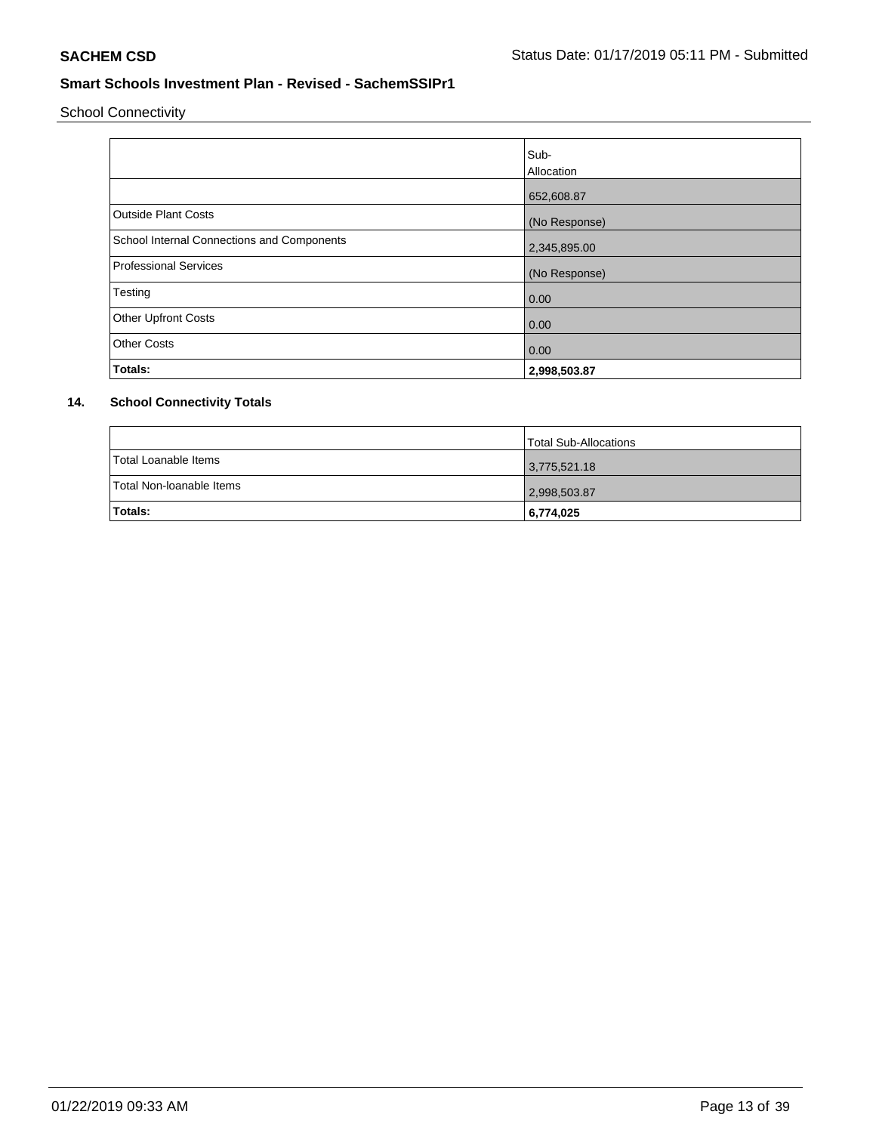School Connectivity

|                                            | Sub-          |
|--------------------------------------------|---------------|
|                                            | Allocation    |
|                                            | 652,608.87    |
| <b>Outside Plant Costs</b>                 | (No Response) |
| School Internal Connections and Components | 2,345,895.00  |
| <b>Professional Services</b>               | (No Response) |
| Testing                                    | 0.00          |
| <b>Other Upfront Costs</b>                 | 0.00          |
| <b>Other Costs</b>                         | 0.00          |
| Totals:                                    | 2,998,503.87  |

# **14. School Connectivity Totals**

|                          | Total Sub-Allocations |
|--------------------------|-----------------------|
| Total Loanable Items     | 3,775,521.18          |
| Total Non-Ioanable Items | 2,998,503.87          |
| <b>Totals:</b>           | 6,774,025             |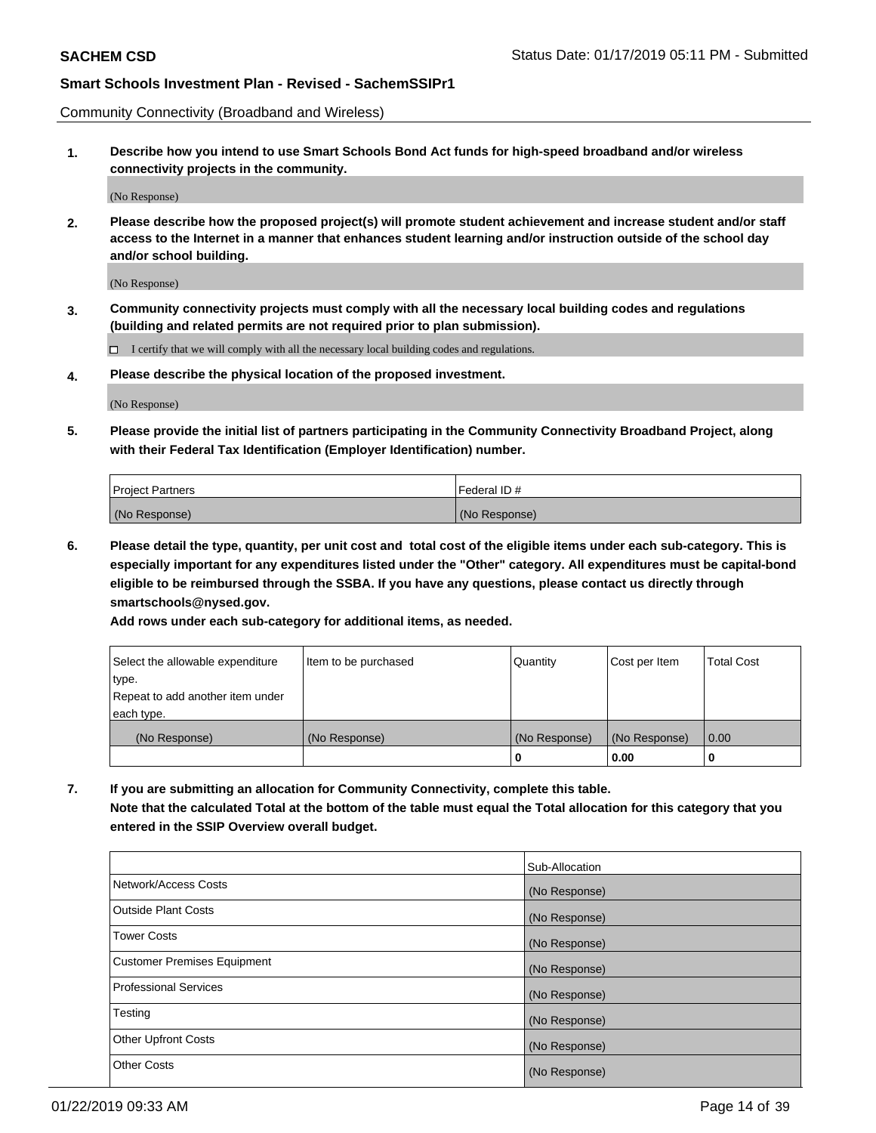Community Connectivity (Broadband and Wireless)

**1. Describe how you intend to use Smart Schools Bond Act funds for high-speed broadband and/or wireless connectivity projects in the community.**

(No Response)

**2. Please describe how the proposed project(s) will promote student achievement and increase student and/or staff access to the Internet in a manner that enhances student learning and/or instruction outside of the school day and/or school building.**

(No Response)

**3. Community connectivity projects must comply with all the necessary local building codes and regulations (building and related permits are not required prior to plan submission).**

 $\Box$  I certify that we will comply with all the necessary local building codes and regulations.

**4. Please describe the physical location of the proposed investment.**

(No Response)

**5. Please provide the initial list of partners participating in the Community Connectivity Broadband Project, along with their Federal Tax Identification (Employer Identification) number.**

| Project Partners | l Federal ID # |
|------------------|----------------|
| (No Response)    | (No Response)  |

**6. Please detail the type, quantity, per unit cost and total cost of the eligible items under each sub-category. This is especially important for any expenditures listed under the "Other" category. All expenditures must be capital-bond eligible to be reimbursed through the SSBA. If you have any questions, please contact us directly through smartschools@nysed.gov.**

**Add rows under each sub-category for additional items, as needed.**

| Select the allowable expenditure | Item to be purchased | Quantity      | Cost per Item | Total Cost |
|----------------------------------|----------------------|---------------|---------------|------------|
| type.                            |                      |               |               |            |
| Repeat to add another item under |                      |               |               |            |
| each type.                       |                      |               |               |            |
| (No Response)                    | (No Response)        | (No Response) | (No Response) | 0.00       |
|                                  |                      | u             | 0.00          | 0          |

**7. If you are submitting an allocation for Community Connectivity, complete this table. Note that the calculated Total at the bottom of the table must equal the Total allocation for this category that you entered in the SSIP Overview overall budget.**

|                                    | Sub-Allocation |
|------------------------------------|----------------|
| Network/Access Costs               | (No Response)  |
| <b>Outside Plant Costs</b>         | (No Response)  |
| <b>Tower Costs</b>                 | (No Response)  |
| <b>Customer Premises Equipment</b> | (No Response)  |
| Professional Services              | (No Response)  |
| Testing                            | (No Response)  |
| <b>Other Upfront Costs</b>         | (No Response)  |
| <b>Other Costs</b>                 | (No Response)  |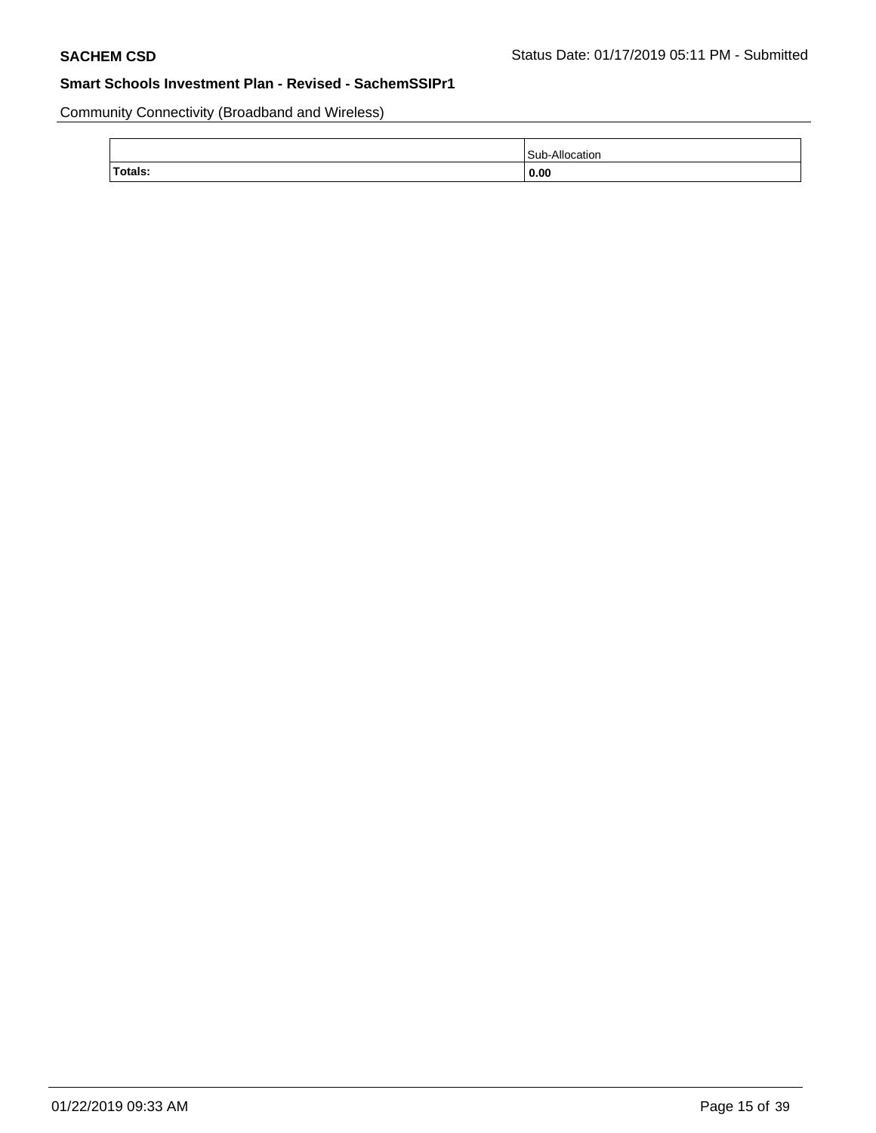Community Connectivity (Broadband and Wireless)

|         | Sub<br>catior |
|---------|---------------|
| Totals: | 0.00          |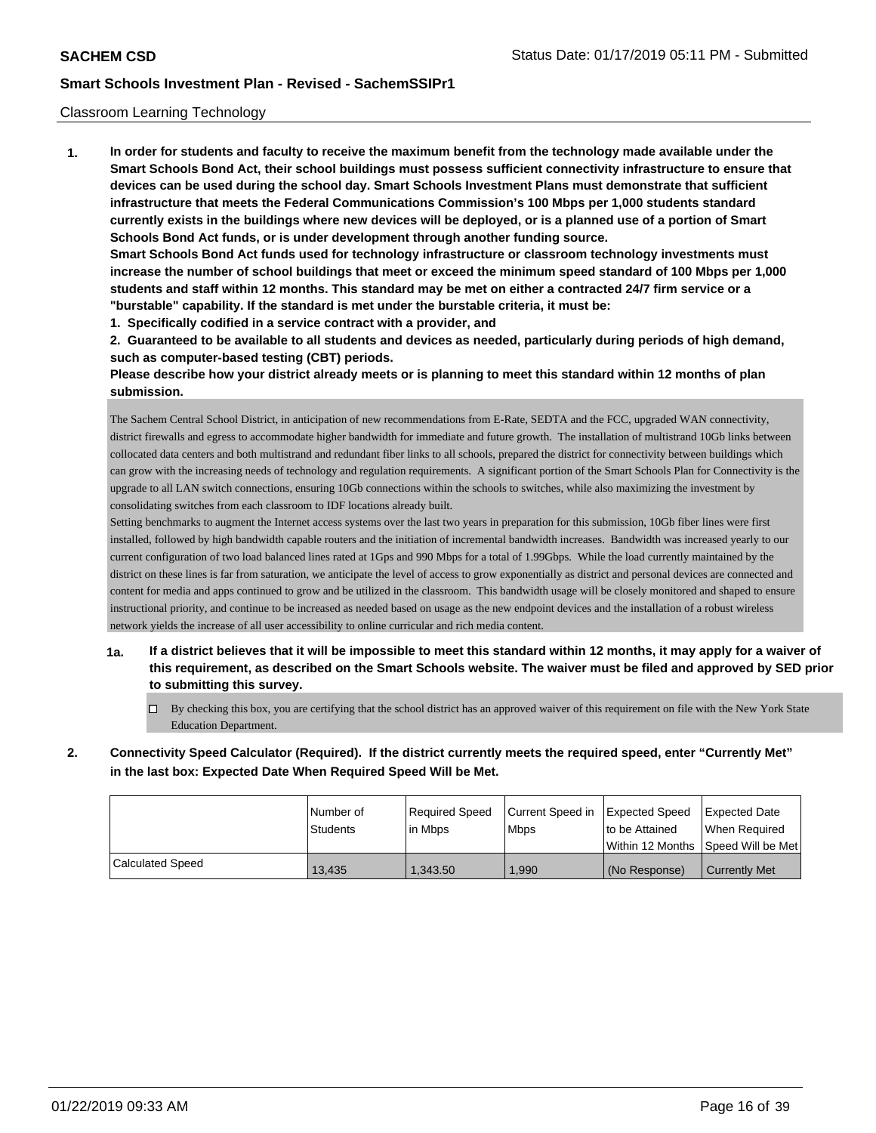### Classroom Learning Technology

**1. In order for students and faculty to receive the maximum benefit from the technology made available under the Smart Schools Bond Act, their school buildings must possess sufficient connectivity infrastructure to ensure that devices can be used during the school day. Smart Schools Investment Plans must demonstrate that sufficient infrastructure that meets the Federal Communications Commission's 100 Mbps per 1,000 students standard currently exists in the buildings where new devices will be deployed, or is a planned use of a portion of Smart Schools Bond Act funds, or is under development through another funding source. Smart Schools Bond Act funds used for technology infrastructure or classroom technology investments must increase the number of school buildings that meet or exceed the minimum speed standard of 100 Mbps per 1,000**

**students and staff within 12 months. This standard may be met on either a contracted 24/7 firm service or a "burstable" capability. If the standard is met under the burstable criteria, it must be:**

**1. Specifically codified in a service contract with a provider, and**

**2. Guaranteed to be available to all students and devices as needed, particularly during periods of high demand, such as computer-based testing (CBT) periods.**

**Please describe how your district already meets or is planning to meet this standard within 12 months of plan submission.**

The Sachem Central School District, in anticipation of new recommendations from E-Rate, SEDTA and the FCC, upgraded WAN connectivity, district firewalls and egress to accommodate higher bandwidth for immediate and future growth. The installation of multistrand 10Gb links between collocated data centers and both multistrand and redundant fiber links to all schools, prepared the district for connectivity between buildings which can grow with the increasing needs of technology and regulation requirements. A significant portion of the Smart Schools Plan for Connectivity is the upgrade to all LAN switch connections, ensuring 10Gb connections within the schools to switches, while also maximizing the investment by consolidating switches from each classroom to IDF locations already built.

Setting benchmarks to augment the Internet access systems over the last two years in preparation for this submission, 10Gb fiber lines were first installed, followed by high bandwidth capable routers and the initiation of incremental bandwidth increases. Bandwidth was increased yearly to our current configuration of two load balanced lines rated at 1Gps and 990 Mbps for a total of 1.99Gbps. While the load currently maintained by the district on these lines is far from saturation, we anticipate the level of access to grow exponentially as district and personal devices are connected and content for media and apps continued to grow and be utilized in the classroom. This bandwidth usage will be closely monitored and shaped to ensure instructional priority, and continue to be increased as needed based on usage as the new endpoint devices and the installation of a robust wireless network yields the increase of all user accessibility to online curricular and rich media content.

- **1a. If a district believes that it will be impossible to meet this standard within 12 months, it may apply for a waiver of this requirement, as described on the Smart Schools website. The waiver must be filed and approved by SED prior to submitting this survey.**
	- By checking this box, you are certifying that the school district has an approved waiver of this requirement on file with the New York State Education Department.
- **2. Connectivity Speed Calculator (Required). If the district currently meets the required speed, enter "Currently Met" in the last box: Expected Date When Required Speed Will be Met.**

|                  | l Number of<br>Students | Required Speed<br>l in Mbps | Current Speed in Expected Speed<br><b>Mbps</b> | to be Attained | <b>Expected Date</b><br>When Reauired<br>Within 12 Months 1Speed Will be Met1 |
|------------------|-------------------------|-----------------------------|------------------------------------------------|----------------|-------------------------------------------------------------------------------|
| Calculated Speed | 13.435                  | 1.343.50                    | ,990                                           | (No Response)  | <b>Currently Met</b>                                                          |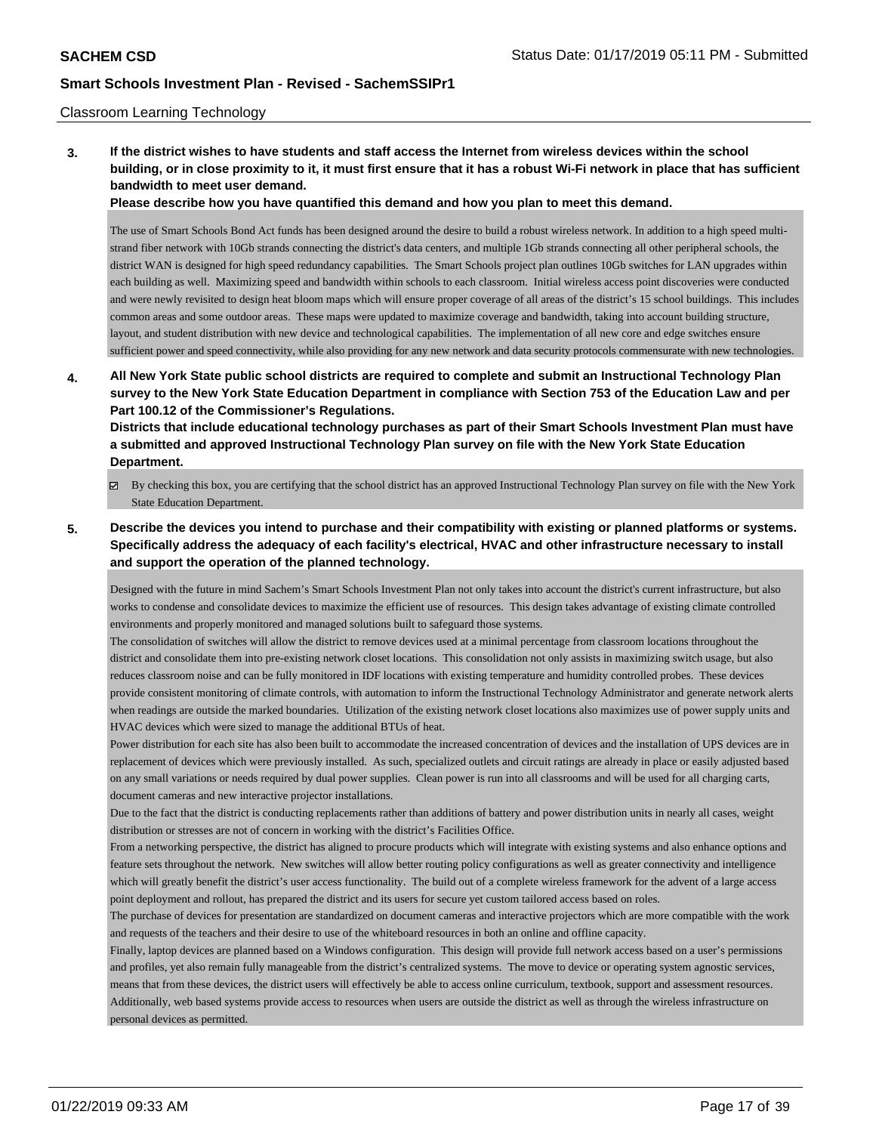#### Classroom Learning Technology

**3. If the district wishes to have students and staff access the Internet from wireless devices within the school building, or in close proximity to it, it must first ensure that it has a robust Wi-Fi network in place that has sufficient bandwidth to meet user demand.**

**Please describe how you have quantified this demand and how you plan to meet this demand.**

The use of Smart Schools Bond Act funds has been designed around the desire to build a robust wireless network. In addition to a high speed multistrand fiber network with 10Gb strands connecting the district's data centers, and multiple 1Gb strands connecting all other peripheral schools, the district WAN is designed for high speed redundancy capabilities. The Smart Schools project plan outlines 10Gb switches for LAN upgrades within each building as well. Maximizing speed and bandwidth within schools to each classroom. Initial wireless access point discoveries were conducted and were newly revisited to design heat bloom maps which will ensure proper coverage of all areas of the district's 15 school buildings. This includes common areas and some outdoor areas. These maps were updated to maximize coverage and bandwidth, taking into account building structure, layout, and student distribution with new device and technological capabilities. The implementation of all new core and edge switches ensure sufficient power and speed connectivity, while also providing for any new network and data security protocols commensurate with new technologies.

**4. All New York State public school districts are required to complete and submit an Instructional Technology Plan survey to the New York State Education Department in compliance with Section 753 of the Education Law and per Part 100.12 of the Commissioner's Regulations.**

**Districts that include educational technology purchases as part of their Smart Schools Investment Plan must have a submitted and approved Instructional Technology Plan survey on file with the New York State Education Department.**

- By checking this box, you are certifying that the school district has an approved Instructional Technology Plan survey on file with the New York State Education Department.
- **5. Describe the devices you intend to purchase and their compatibility with existing or planned platforms or systems. Specifically address the adequacy of each facility's electrical, HVAC and other infrastructure necessary to install and support the operation of the planned technology.**

Designed with the future in mind Sachem's Smart Schools Investment Plan not only takes into account the district's current infrastructure, but also works to condense and consolidate devices to maximize the efficient use of resources. This design takes advantage of existing climate controlled environments and properly monitored and managed solutions built to safeguard those systems.

The consolidation of switches will allow the district to remove devices used at a minimal percentage from classroom locations throughout the district and consolidate them into pre-existing network closet locations. This consolidation not only assists in maximizing switch usage, but also reduces classroom noise and can be fully monitored in IDF locations with existing temperature and humidity controlled probes. These devices provide consistent monitoring of climate controls, with automation to inform the Instructional Technology Administrator and generate network alerts when readings are outside the marked boundaries. Utilization of the existing network closet locations also maximizes use of power supply units and HVAC devices which were sized to manage the additional BTUs of heat.

Power distribution for each site has also been built to accommodate the increased concentration of devices and the installation of UPS devices are in replacement of devices which were previously installed. As such, specialized outlets and circuit ratings are already in place or easily adjusted based on any small variations or needs required by dual power supplies. Clean power is run into all classrooms and will be used for all charging carts, document cameras and new interactive projector installations.

Due to the fact that the district is conducting replacements rather than additions of battery and power distribution units in nearly all cases, weight distribution or stresses are not of concern in working with the district's Facilities Office.

From a networking perspective, the district has aligned to procure products which will integrate with existing systems and also enhance options and feature sets throughout the network. New switches will allow better routing policy configurations as well as greater connectivity and intelligence which will greatly benefit the district's user access functionality. The build out of a complete wireless framework for the advent of a large access point deployment and rollout, has prepared the district and its users for secure yet custom tailored access based on roles.

The purchase of devices for presentation are standardized on document cameras and interactive projectors which are more compatible with the work and requests of the teachers and their desire to use of the whiteboard resources in both an online and offline capacity.

Finally, laptop devices are planned based on a Windows configuration. This design will provide full network access based on a user's permissions and profiles, yet also remain fully manageable from the district's centralized systems. The move to device or operating system agnostic services, means that from these devices, the district users will effectively be able to access online curriculum, textbook, support and assessment resources. Additionally, web based systems provide access to resources when users are outside the district as well as through the wireless infrastructure on personal devices as permitted.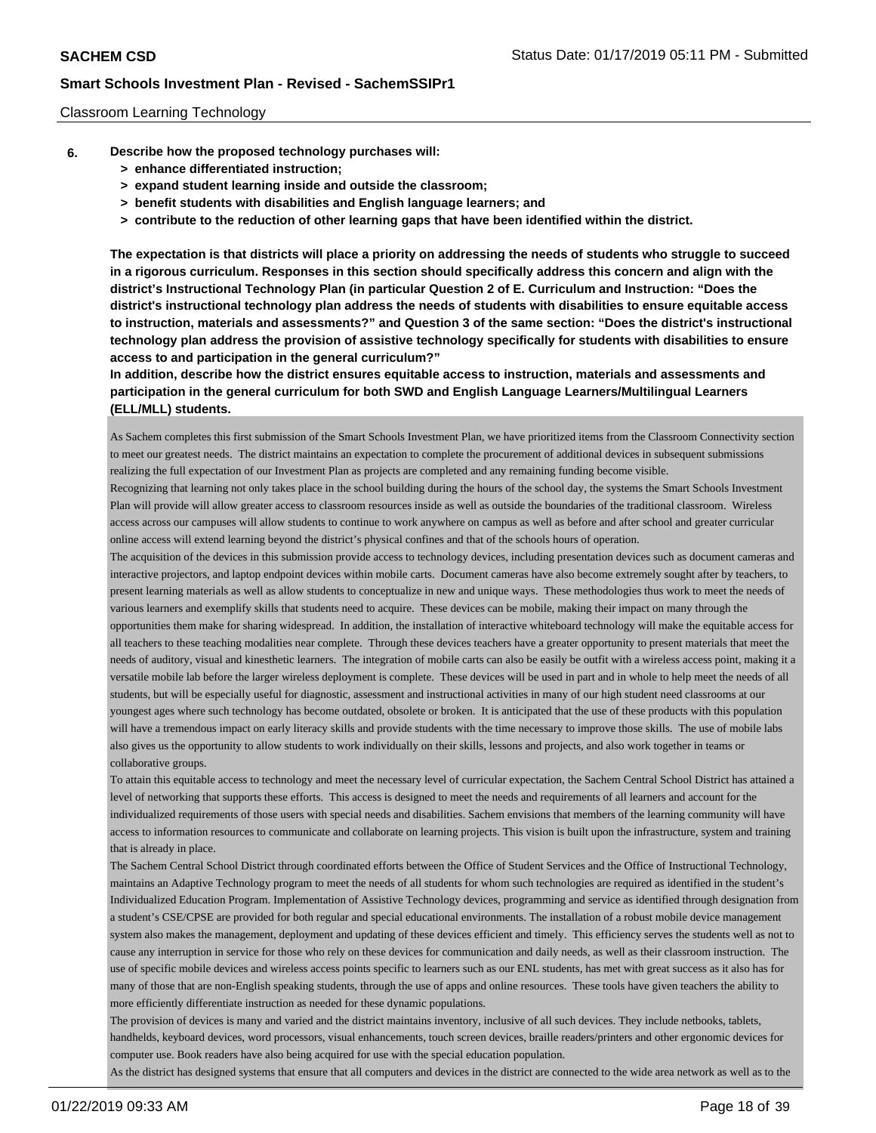#### Classroom Learning Technology

- **6. Describe how the proposed technology purchases will:**
	- **> enhance differentiated instruction;**
	- **> expand student learning inside and outside the classroom;**
	- **> benefit students with disabilities and English language learners; and**
	- **> contribute to the reduction of other learning gaps that have been identified within the district.**

**The expectation is that districts will place a priority on addressing the needs of students who struggle to succeed in a rigorous curriculum. Responses in this section should specifically address this concern and align with the district's Instructional Technology Plan (in particular Question 2 of E. Curriculum and Instruction: "Does the district's instructional technology plan address the needs of students with disabilities to ensure equitable access to instruction, materials and assessments?" and Question 3 of the same section: "Does the district's instructional technology plan address the provision of assistive technology specifically for students with disabilities to ensure access to and participation in the general curriculum?"**

**In addition, describe how the district ensures equitable access to instruction, materials and assessments and participation in the general curriculum for both SWD and English Language Learners/Multilingual Learners (ELL/MLL) students.**

As Sachem completes this first submission of the Smart Schools Investment Plan, we have prioritized items from the Classroom Connectivity section to meet our greatest needs. The district maintains an expectation to complete the procurement of additional devices in subsequent submissions realizing the full expectation of our Investment Plan as projects are completed and any remaining funding become visible.

Recognizing that learning not only takes place in the school building during the hours of the school day, the systems the Smart Schools Investment Plan will provide will allow greater access to classroom resources inside as well as outside the boundaries of the traditional classroom. Wireless access across our campuses will allow students to continue to work anywhere on campus as well as before and after school and greater curricular online access will extend learning beyond the district's physical confines and that of the schools hours of operation.

The acquisition of the devices in this submission provide access to technology devices, including presentation devices such as document cameras and interactive projectors, and laptop endpoint devices within mobile carts. Document cameras have also become extremely sought after by teachers, to present learning materials as well as allow students to conceptualize in new and unique ways. These methodologies thus work to meet the needs of various learners and exemplify skills that students need to acquire. These devices can be mobile, making their impact on many through the opportunities them make for sharing widespread. In addition, the installation of interactive whiteboard technology will make the equitable access for all teachers to these teaching modalities near complete. Through these devices teachers have a greater opportunity to present materials that meet the needs of auditory, visual and kinesthetic learners. The integration of mobile carts can also be easily be outfit with a wireless access point, making it a versatile mobile lab before the larger wireless deployment is complete. These devices will be used in part and in whole to help meet the needs of all students, but will be especially useful for diagnostic, assessment and instructional activities in many of our high student need classrooms at our youngest ages where such technology has become outdated, obsolete or broken. It is anticipated that the use of these products with this population will have a tremendous impact on early literacy skills and provide students with the time necessary to improve those skills. The use of mobile labs also gives us the opportunity to allow students to work individually on their skills, lessons and projects, and also work together in teams or collaborative groups.

To attain this equitable access to technology and meet the necessary level of curricular expectation, the Sachem Central School District has attained a level of networking that supports these efforts. This access is designed to meet the needs and requirements of all learners and account for the individualized requirements of those users with special needs and disabilities. Sachem envisions that members of the learning community will have access to information resources to communicate and collaborate on learning projects. This vision is built upon the infrastructure, system and training that is already in place.

The Sachem Central School District through coordinated efforts between the Office of Student Services and the Office of Instructional Technology, maintains an Adaptive Technology program to meet the needs of all students for whom such technologies are required as identified in the student's Individualized Education Program. Implementation of Assistive Technology devices, programming and service as identified through designation from a student's CSE/CPSE are provided for both regular and special educational environments. The installation of a robust mobile device management system also makes the management, deployment and updating of these devices efficient and timely. This efficiency serves the students well as not to cause any interruption in service for those who rely on these devices for communication and daily needs, as well as their classroom instruction. The use of specific mobile devices and wireless access points specific to learners such as our ENL students, has met with great success as it also has for many of those that are non-English speaking students, through the use of apps and online resources. These tools have given teachers the ability to more efficiently differentiate instruction as needed for these dynamic populations.

The provision of devices is many and varied and the district maintains inventory, inclusive of all such devices. They include netbooks, tablets, handhelds, keyboard devices, word processors, visual enhancements, touch screen devices, braille readers/printers and other ergonomic devices for computer use. Book readers have also being acquired for use with the special education population.

As the district has designed systems that ensure that all computers and devices in the district are connected to the wide area network as well as to the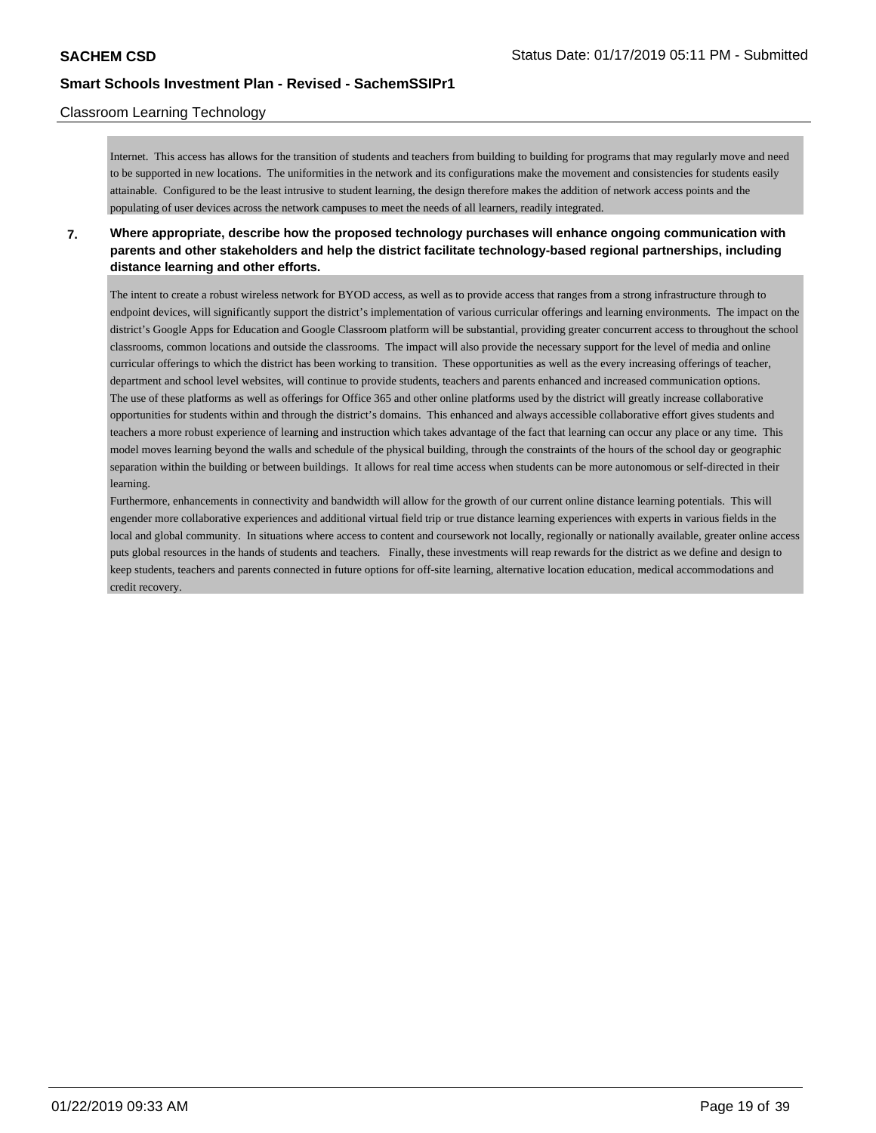### Classroom Learning Technology

Internet. This access has allows for the transition of students and teachers from building to building for programs that may regularly move and need to be supported in new locations. The uniformities in the network and its configurations make the movement and consistencies for students easily attainable. Configured to be the least intrusive to student learning, the design therefore makes the addition of network access points and the populating of user devices across the network campuses to meet the needs of all learners, readily integrated.

**7. Where appropriate, describe how the proposed technology purchases will enhance ongoing communication with parents and other stakeholders and help the district facilitate technology-based regional partnerships, including distance learning and other efforts.**

The intent to create a robust wireless network for BYOD access, as well as to provide access that ranges from a strong infrastructure through to endpoint devices, will significantly support the district's implementation of various curricular offerings and learning environments. The impact on the district's Google Apps for Education and Google Classroom platform will be substantial, providing greater concurrent access to throughout the school classrooms, common locations and outside the classrooms. The impact will also provide the necessary support for the level of media and online curricular offerings to which the district has been working to transition. These opportunities as well as the every increasing offerings of teacher, department and school level websites, will continue to provide students, teachers and parents enhanced and increased communication options. The use of these platforms as well as offerings for Office 365 and other online platforms used by the district will greatly increase collaborative opportunities for students within and through the district's domains. This enhanced and always accessible collaborative effort gives students and teachers a more robust experience of learning and instruction which takes advantage of the fact that learning can occur any place or any time. This model moves learning beyond the walls and schedule of the physical building, through the constraints of the hours of the school day or geographic separation within the building or between buildings. It allows for real time access when students can be more autonomous or self-directed in their learning.

Furthermore, enhancements in connectivity and bandwidth will allow for the growth of our current online distance learning potentials. This will engender more collaborative experiences and additional virtual field trip or true distance learning experiences with experts in various fields in the local and global community. In situations where access to content and coursework not locally, regionally or nationally available, greater online access puts global resources in the hands of students and teachers. Finally, these investments will reap rewards for the district as we define and design to keep students, teachers and parents connected in future options for off-site learning, alternative location education, medical accommodations and credit recovery.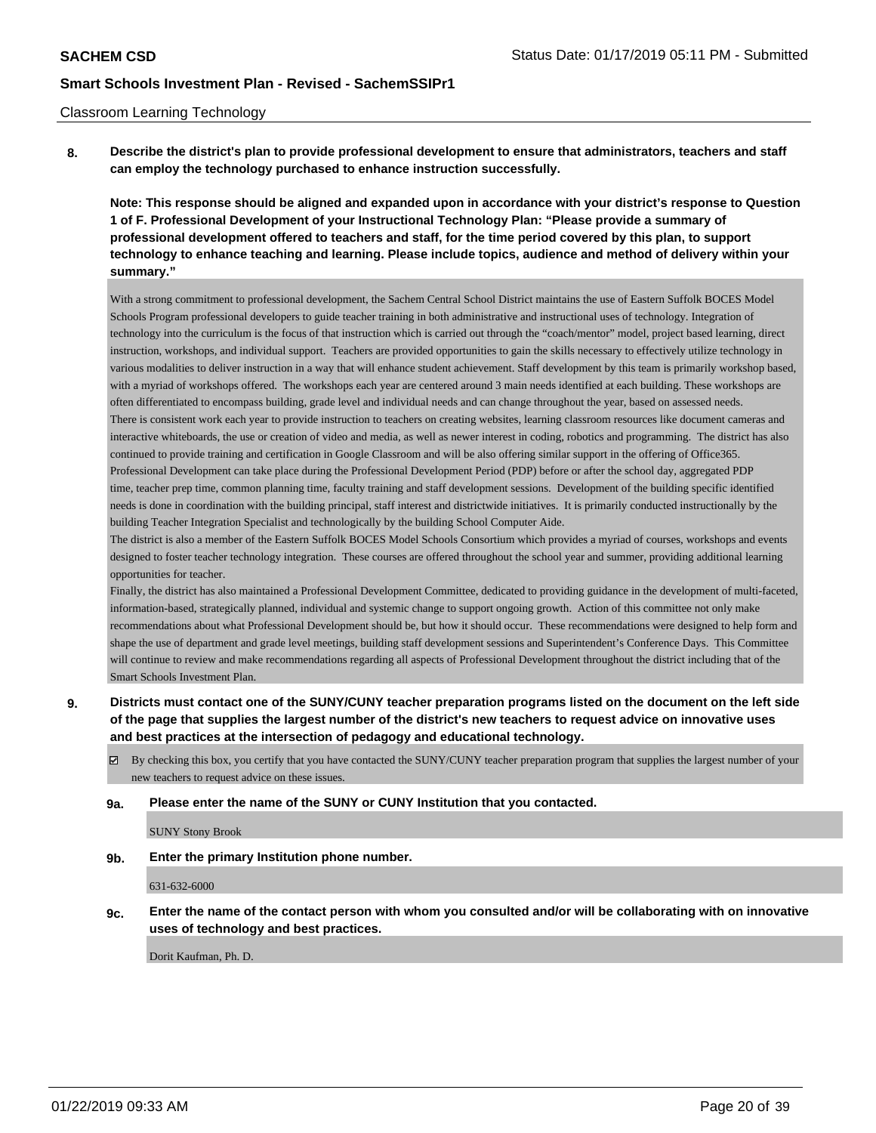#### Classroom Learning Technology

**8. Describe the district's plan to provide professional development to ensure that administrators, teachers and staff can employ the technology purchased to enhance instruction successfully.**

**Note: This response should be aligned and expanded upon in accordance with your district's response to Question 1 of F. Professional Development of your Instructional Technology Plan: "Please provide a summary of professional development offered to teachers and staff, for the time period covered by this plan, to support technology to enhance teaching and learning. Please include topics, audience and method of delivery within your summary."**

With a strong commitment to professional development, the Sachem Central School District maintains the use of Eastern Suffolk BOCES Model Schools Program professional developers to guide teacher training in both administrative and instructional uses of technology. Integration of technology into the curriculum is the focus of that instruction which is carried out through the "coach/mentor" model, project based learning, direct instruction, workshops, and individual support. Teachers are provided opportunities to gain the skills necessary to effectively utilize technology in various modalities to deliver instruction in a way that will enhance student achievement. Staff development by this team is primarily workshop based, with a myriad of workshops offered. The workshops each year are centered around 3 main needs identified at each building. These workshops are often differentiated to encompass building, grade level and individual needs and can change throughout the year, based on assessed needs. There is consistent work each year to provide instruction to teachers on creating websites, learning classroom resources like document cameras and interactive whiteboards, the use or creation of video and media, as well as newer interest in coding, robotics and programming. The district has also continued to provide training and certification in Google Classroom and will be also offering similar support in the offering of Office365. Professional Development can take place during the Professional Development Period (PDP) before or after the school day, aggregated PDP time, teacher prep time, common planning time, faculty training and staff development sessions. Development of the building specific identified needs is done in coordination with the building principal, staff interest and districtwide initiatives. It is primarily conducted instructionally by the building Teacher Integration Specialist and technologically by the building School Computer Aide.

The district is also a member of the Eastern Suffolk BOCES Model Schools Consortium which provides a myriad of courses, workshops and events designed to foster teacher technology integration. These courses are offered throughout the school year and summer, providing additional learning opportunities for teacher.

Finally, the district has also maintained a Professional Development Committee, dedicated to providing guidance in the development of multi-faceted, information-based, strategically planned, individual and systemic change to support ongoing growth. Action of this committee not only make recommendations about what Professional Development should be, but how it should occur. These recommendations were designed to help form and shape the use of department and grade level meetings, building staff development sessions and Superintendent's Conference Days. This Committee will continue to review and make recommendations regarding all aspects of Professional Development throughout the district including that of the Smart Schools Investment Plan.

- **9. Districts must contact one of the SUNY/CUNY teacher preparation programs listed on the document on the left side of the page that supplies the largest number of the district's new teachers to request advice on innovative uses and best practices at the intersection of pedagogy and educational technology.**
	- By checking this box, you certify that you have contacted the SUNY/CUNY teacher preparation program that supplies the largest number of your new teachers to request advice on these issues.

#### **9a. Please enter the name of the SUNY or CUNY Institution that you contacted.**

SUNY Stony Brook

**9b. Enter the primary Institution phone number.**

631-632-6000

**9c. Enter the name of the contact person with whom you consulted and/or will be collaborating with on innovative uses of technology and best practices.**

Dorit Kaufman, Ph. D.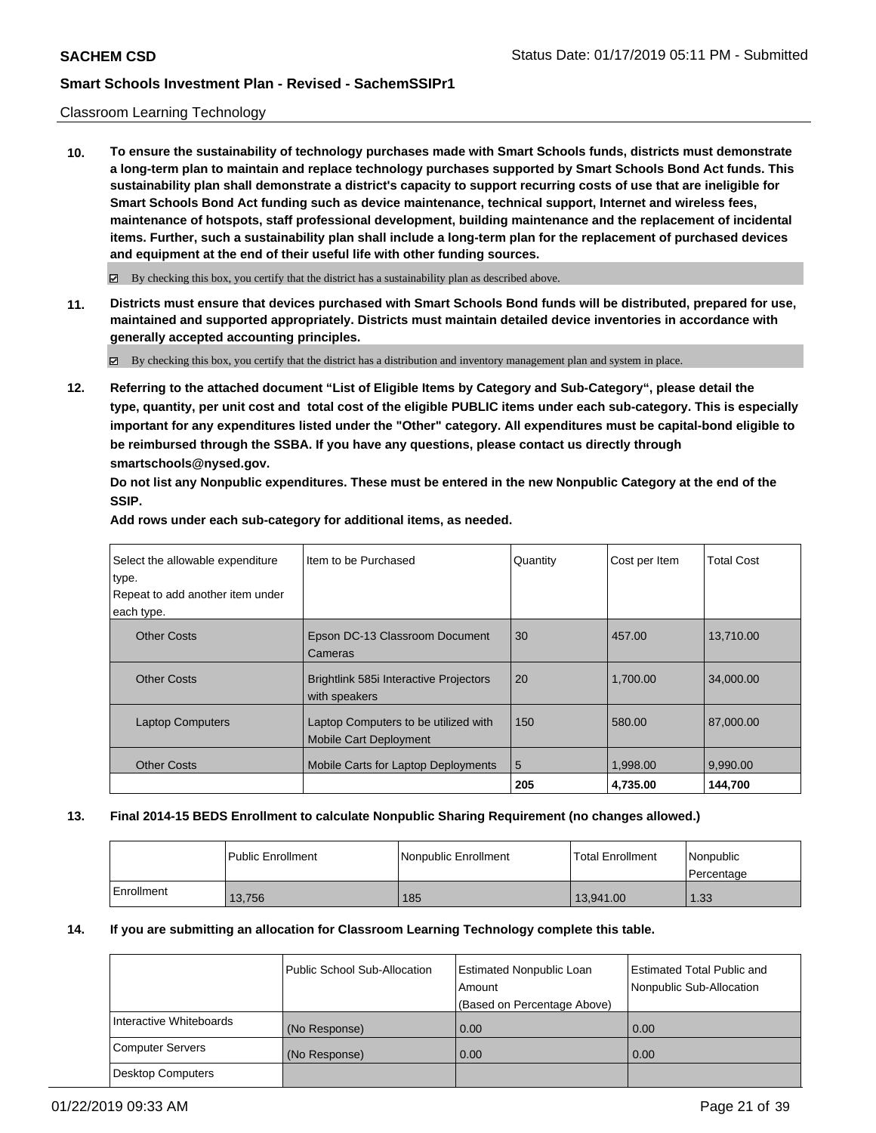### Classroom Learning Technology

**10. To ensure the sustainability of technology purchases made with Smart Schools funds, districts must demonstrate a long-term plan to maintain and replace technology purchases supported by Smart Schools Bond Act funds. This sustainability plan shall demonstrate a district's capacity to support recurring costs of use that are ineligible for Smart Schools Bond Act funding such as device maintenance, technical support, Internet and wireless fees, maintenance of hotspots, staff professional development, building maintenance and the replacement of incidental items. Further, such a sustainability plan shall include a long-term plan for the replacement of purchased devices and equipment at the end of their useful life with other funding sources.**

 $\boxtimes$  By checking this box, you certify that the district has a sustainability plan as described above.

**11. Districts must ensure that devices purchased with Smart Schools Bond funds will be distributed, prepared for use, maintained and supported appropriately. Districts must maintain detailed device inventories in accordance with generally accepted accounting principles.**

By checking this box, you certify that the district has a distribution and inventory management plan and system in place.

**12. Referring to the attached document "List of Eligible Items by Category and Sub-Category", please detail the type, quantity, per unit cost and total cost of the eligible PUBLIC items under each sub-category. This is especially important for any expenditures listed under the "Other" category. All expenditures must be capital-bond eligible to be reimbursed through the SSBA. If you have any questions, please contact us directly through smartschools@nysed.gov.**

**Do not list any Nonpublic expenditures. These must be entered in the new Nonpublic Category at the end of the SSIP.** 

| Item to be Purchased                                                  | Quantity | Cost per Item | <b>Total Cost</b>   |
|-----------------------------------------------------------------------|----------|---------------|---------------------|
| Epson DC-13 Classroom Document<br>Cameras                             | 30       | 457.00        | 13.710.00           |
| Brightlink 585i Interactive Projectors<br>with speakers               | 20       | 1.700.00      | 34,000,00           |
| Laptop Computers to be utilized with<br><b>Mobile Cart Deployment</b> | 150      | 580.00        | 87,000,00           |
| Mobile Carts for Laptop Deployments                                   | 5        | 1,998.00      | 9,990.00<br>144.700 |
|                                                                       |          | 205           | 4.735.00            |

#### **Add rows under each sub-category for additional items, as needed.**

### **13. Final 2014-15 BEDS Enrollment to calculate Nonpublic Sharing Requirement (no changes allowed.)**

|            | <b>Public Enrollment</b> | Nonpublic Enrollment | <b>Total Enrollment</b> | Nonpublic<br>l Percentage |
|------------|--------------------------|----------------------|-------------------------|---------------------------|
| Enrollment | 13,756                   | 185                  | 13.941.00               | 1.33                      |

#### **14. If you are submitting an allocation for Classroom Learning Technology complete this table.**

|                          | Public School Sub-Allocation | Estimated Nonpublic Loan<br>Amount<br>(Based on Percentage Above) | <b>Estimated Total Public and</b><br>Nonpublic Sub-Allocation |
|--------------------------|------------------------------|-------------------------------------------------------------------|---------------------------------------------------------------|
| Interactive Whiteboards  | (No Response)                | 0.00                                                              | 0.00                                                          |
| <b>Computer Servers</b>  | (No Response)                | 0.00                                                              | 0.00                                                          |
| <b>Desktop Computers</b> |                              |                                                                   |                                                               |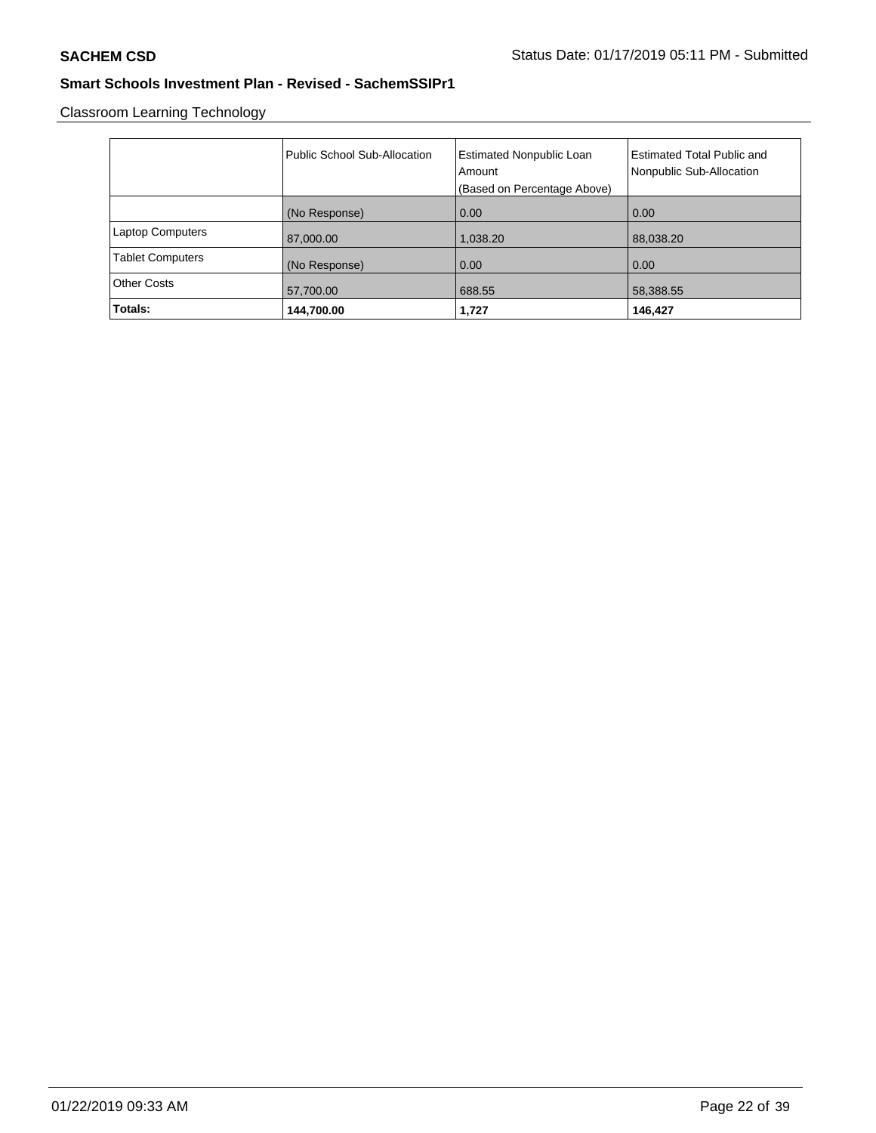Classroom Learning Technology

|                         | Public School Sub-Allocation | <b>Estimated Nonpublic Loan</b><br>Amount | <b>Estimated Total Public and</b><br>Nonpublic Sub-Allocation |
|-------------------------|------------------------------|-------------------------------------------|---------------------------------------------------------------|
|                         |                              | (Based on Percentage Above)               |                                                               |
|                         | (No Response)                | 0.00                                      | 0.00                                                          |
| <b>Laptop Computers</b> | 87,000.00                    | 1,038.20                                  | 88,038.20                                                     |
| <b>Tablet Computers</b> | (No Response)                | 0.00                                      | 0.00                                                          |
| <b>Other Costs</b>      | 57,700.00                    | 688.55                                    | 58,388.55                                                     |
| Totals:                 | 144,700.00                   | 1,727                                     | 146,427                                                       |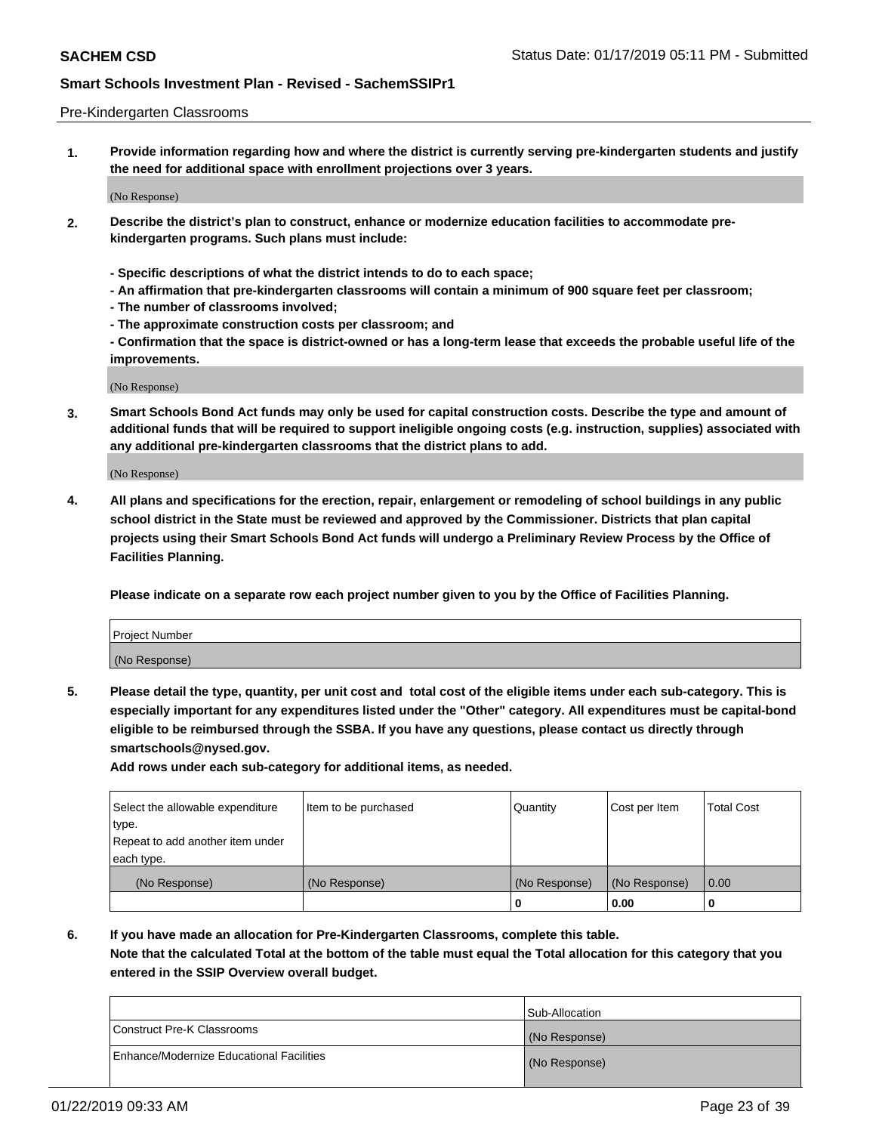#### Pre-Kindergarten Classrooms

**1. Provide information regarding how and where the district is currently serving pre-kindergarten students and justify the need for additional space with enrollment projections over 3 years.**

(No Response)

- **2. Describe the district's plan to construct, enhance or modernize education facilities to accommodate prekindergarten programs. Such plans must include:**
	- **Specific descriptions of what the district intends to do to each space;**
	- **An affirmation that pre-kindergarten classrooms will contain a minimum of 900 square feet per classroom;**
	- **The number of classrooms involved;**
	- **The approximate construction costs per classroom; and**
	- **Confirmation that the space is district-owned or has a long-term lease that exceeds the probable useful life of the improvements.**

(No Response)

**3. Smart Schools Bond Act funds may only be used for capital construction costs. Describe the type and amount of additional funds that will be required to support ineligible ongoing costs (e.g. instruction, supplies) associated with any additional pre-kindergarten classrooms that the district plans to add.**

(No Response)

**4. All plans and specifications for the erection, repair, enlargement or remodeling of school buildings in any public school district in the State must be reviewed and approved by the Commissioner. Districts that plan capital projects using their Smart Schools Bond Act funds will undergo a Preliminary Review Process by the Office of Facilities Planning.**

**Please indicate on a separate row each project number given to you by the Office of Facilities Planning.**

| Project Number |  |
|----------------|--|
| (No Response)  |  |
|                |  |

**5. Please detail the type, quantity, per unit cost and total cost of the eligible items under each sub-category. This is especially important for any expenditures listed under the "Other" category. All expenditures must be capital-bond eligible to be reimbursed through the SSBA. If you have any questions, please contact us directly through smartschools@nysed.gov.**

**Add rows under each sub-category for additional items, as needed.**

| Select the allowable expenditure | Item to be purchased | Quantity      | Cost per Item | <b>Total Cost</b> |
|----------------------------------|----------------------|---------------|---------------|-------------------|
| type.                            |                      |               |               |                   |
| Repeat to add another item under |                      |               |               |                   |
| each type.                       |                      |               |               |                   |
| (No Response)                    | (No Response)        | (No Response) | (No Response) | 0.00              |
|                                  |                      | U             | 0.00          |                   |

**6. If you have made an allocation for Pre-Kindergarten Classrooms, complete this table.**

**Note that the calculated Total at the bottom of the table must equal the Total allocation for this category that you entered in the SSIP Overview overall budget.**

|                                          | Sub-Allocation |
|------------------------------------------|----------------|
| Construct Pre-K Classrooms               | (No Response)  |
| Enhance/Modernize Educational Facilities | (No Response)  |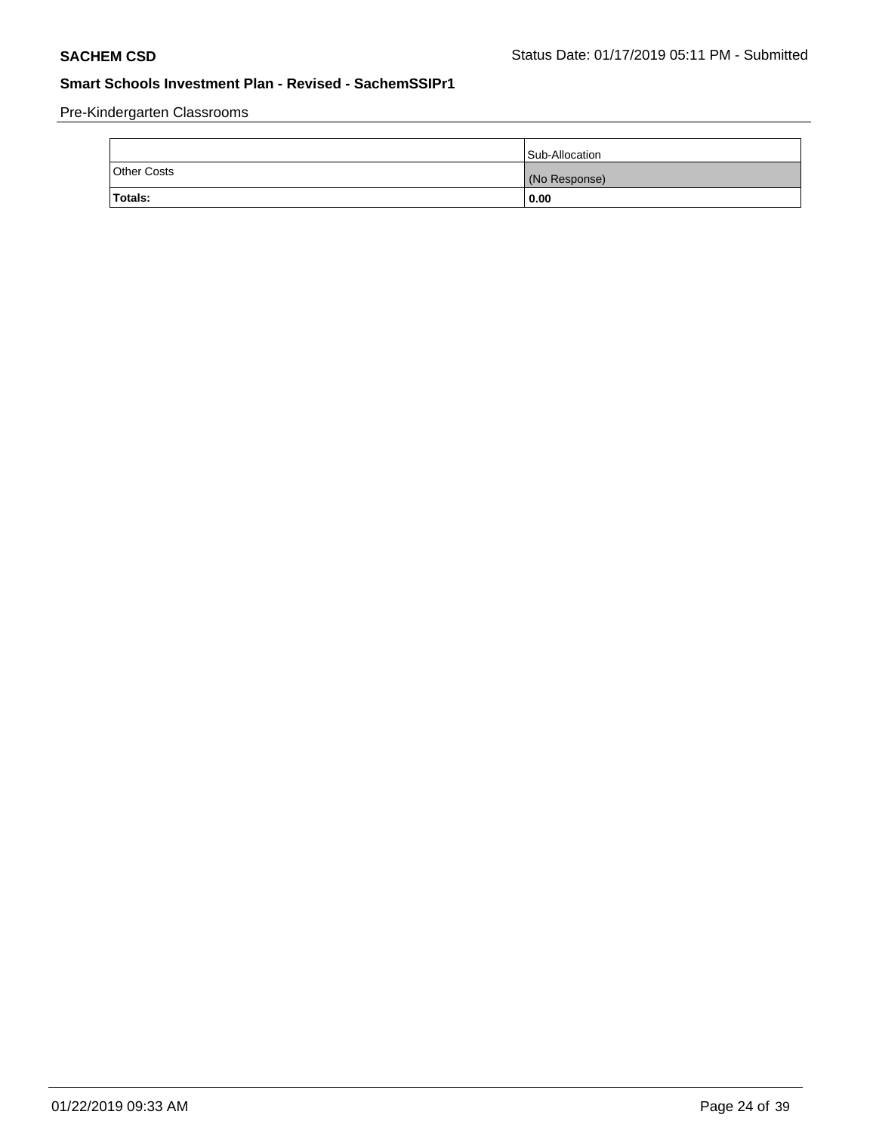Pre-Kindergarten Classrooms

|                    | Sub-Allocation |
|--------------------|----------------|
| <b>Other Costs</b> | (No Response)  |
| <b>Totals:</b>     | 0.00           |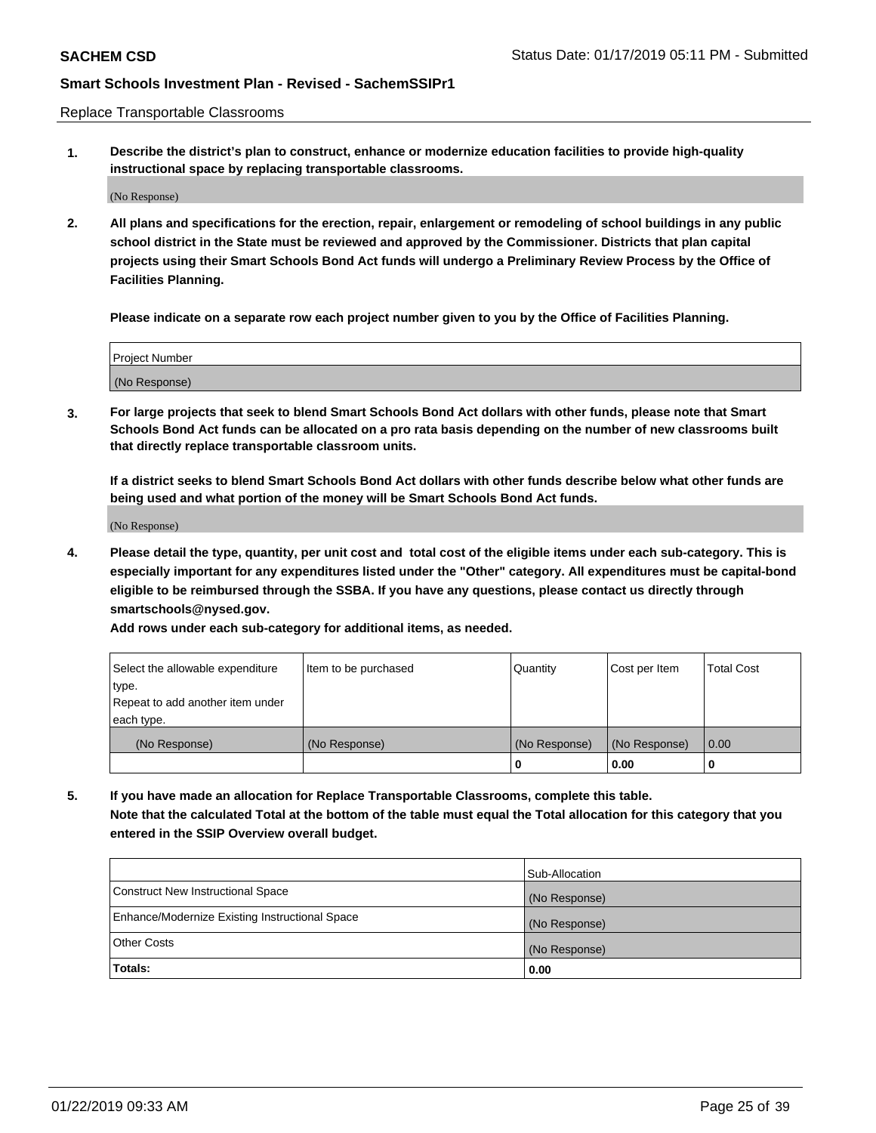Replace Transportable Classrooms

**1. Describe the district's plan to construct, enhance or modernize education facilities to provide high-quality instructional space by replacing transportable classrooms.**

(No Response)

**2. All plans and specifications for the erection, repair, enlargement or remodeling of school buildings in any public school district in the State must be reviewed and approved by the Commissioner. Districts that plan capital projects using their Smart Schools Bond Act funds will undergo a Preliminary Review Process by the Office of Facilities Planning.**

**Please indicate on a separate row each project number given to you by the Office of Facilities Planning.**

| Project Number |  |
|----------------|--|
|                |  |
|                |  |
|                |  |
|                |  |
| (No Response)  |  |
|                |  |
|                |  |
|                |  |

**3. For large projects that seek to blend Smart Schools Bond Act dollars with other funds, please note that Smart Schools Bond Act funds can be allocated on a pro rata basis depending on the number of new classrooms built that directly replace transportable classroom units.**

**If a district seeks to blend Smart Schools Bond Act dollars with other funds describe below what other funds are being used and what portion of the money will be Smart Schools Bond Act funds.**

(No Response)

**4. Please detail the type, quantity, per unit cost and total cost of the eligible items under each sub-category. This is especially important for any expenditures listed under the "Other" category. All expenditures must be capital-bond eligible to be reimbursed through the SSBA. If you have any questions, please contact us directly through smartschools@nysed.gov.**

**Add rows under each sub-category for additional items, as needed.**

| Select the allowable expenditure | Item to be purchased | Quantity      | Cost per Item | <b>Total Cost</b> |
|----------------------------------|----------------------|---------------|---------------|-------------------|
| type.                            |                      |               |               |                   |
| Repeat to add another item under |                      |               |               |                   |
| each type.                       |                      |               |               |                   |
| (No Response)                    | (No Response)        | (No Response) | (No Response) | 0.00              |
|                                  |                      | 0             | 0.00          |                   |

**5. If you have made an allocation for Replace Transportable Classrooms, complete this table. Note that the calculated Total at the bottom of the table must equal the Total allocation for this category that you entered in the SSIP Overview overall budget.**

|                                                | Sub-Allocation |
|------------------------------------------------|----------------|
| Construct New Instructional Space              | (No Response)  |
| Enhance/Modernize Existing Instructional Space | (No Response)  |
| <b>Other Costs</b>                             | (No Response)  |
| Totals:                                        | 0.00           |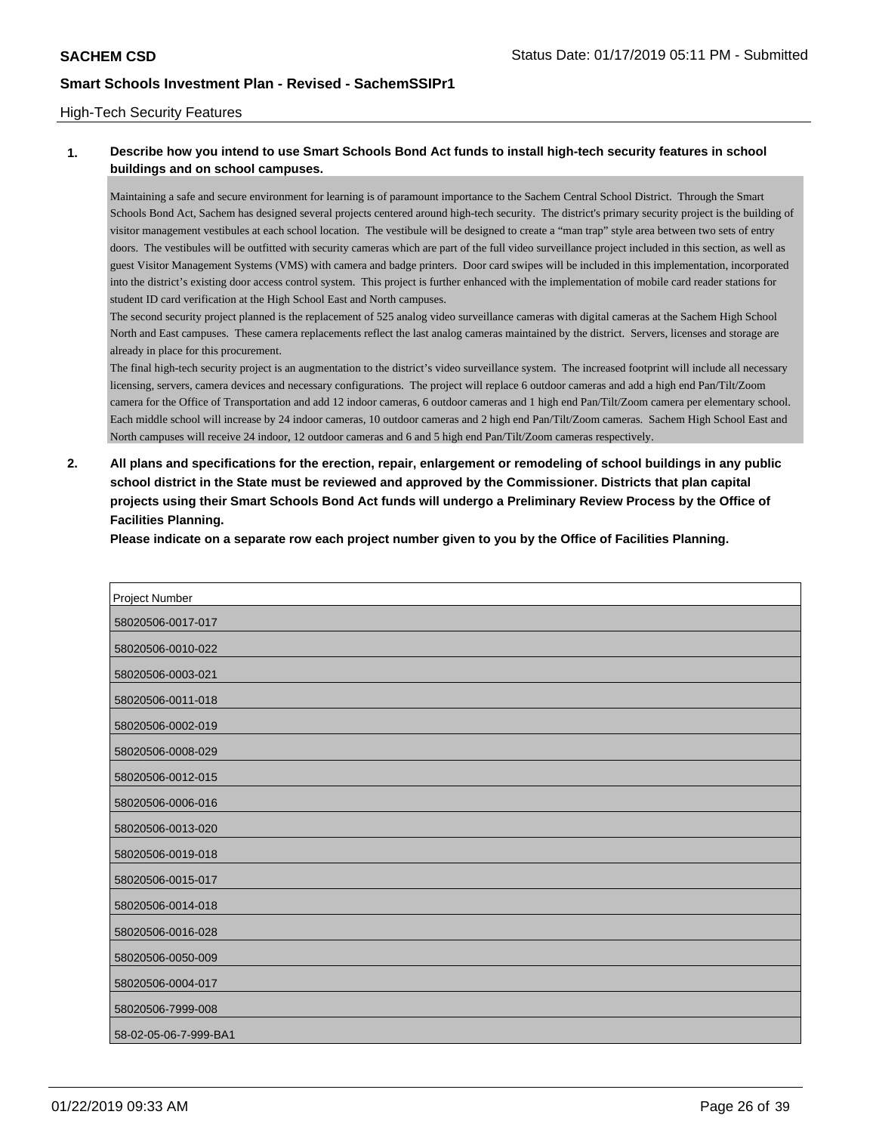### High-Tech Security Features

## **1. Describe how you intend to use Smart Schools Bond Act funds to install high-tech security features in school buildings and on school campuses.**

Maintaining a safe and secure environment for learning is of paramount importance to the Sachem Central School District. Through the Smart Schools Bond Act, Sachem has designed several projects centered around high-tech security. The district's primary security project is the building of visitor management vestibules at each school location. The vestibule will be designed to create a "man trap" style area between two sets of entry doors. The vestibules will be outfitted with security cameras which are part of the full video surveillance project included in this section, as well as guest Visitor Management Systems (VMS) with camera and badge printers. Door card swipes will be included in this implementation, incorporated into the district's existing door access control system. This project is further enhanced with the implementation of mobile card reader stations for student ID card verification at the High School East and North campuses.

The second security project planned is the replacement of 525 analog video surveillance cameras with digital cameras at the Sachem High School North and East campuses. These camera replacements reflect the last analog cameras maintained by the district. Servers, licenses and storage are already in place for this procurement.

The final high-tech security project is an augmentation to the district's video surveillance system. The increased footprint will include all necessary licensing, servers, camera devices and necessary configurations. The project will replace 6 outdoor cameras and add a high end Pan/Tilt/Zoom camera for the Office of Transportation and add 12 indoor cameras, 6 outdoor cameras and 1 high end Pan/Tilt/Zoom camera per elementary school. Each middle school will increase by 24 indoor cameras, 10 outdoor cameras and 2 high end Pan/Tilt/Zoom cameras. Sachem High School East and North campuses will receive 24 indoor, 12 outdoor cameras and 6 and 5 high end Pan/Tilt/Zoom cameras respectively.

**2. All plans and specifications for the erection, repair, enlargement or remodeling of school buildings in any public school district in the State must be reviewed and approved by the Commissioner. Districts that plan capital projects using their Smart Schools Bond Act funds will undergo a Preliminary Review Process by the Office of Facilities Planning.** 

**Please indicate on a separate row each project number given to you by the Office of Facilities Planning.**

| Project Number        |
|-----------------------|
| 58020506-0017-017     |
| 58020506-0010-022     |
| 58020506-0003-021     |
| 58020506-0011-018     |
| 58020506-0002-019     |
| 58020506-0008-029     |
| 58020506-0012-015     |
| 58020506-0006-016     |
| 58020506-0013-020     |
| 58020506-0019-018     |
| 58020506-0015-017     |
| 58020506-0014-018     |
| 58020506-0016-028     |
| 58020506-0050-009     |
| 58020506-0004-017     |
| 58020506-7999-008     |
| 58-02-05-06-7-999-BA1 |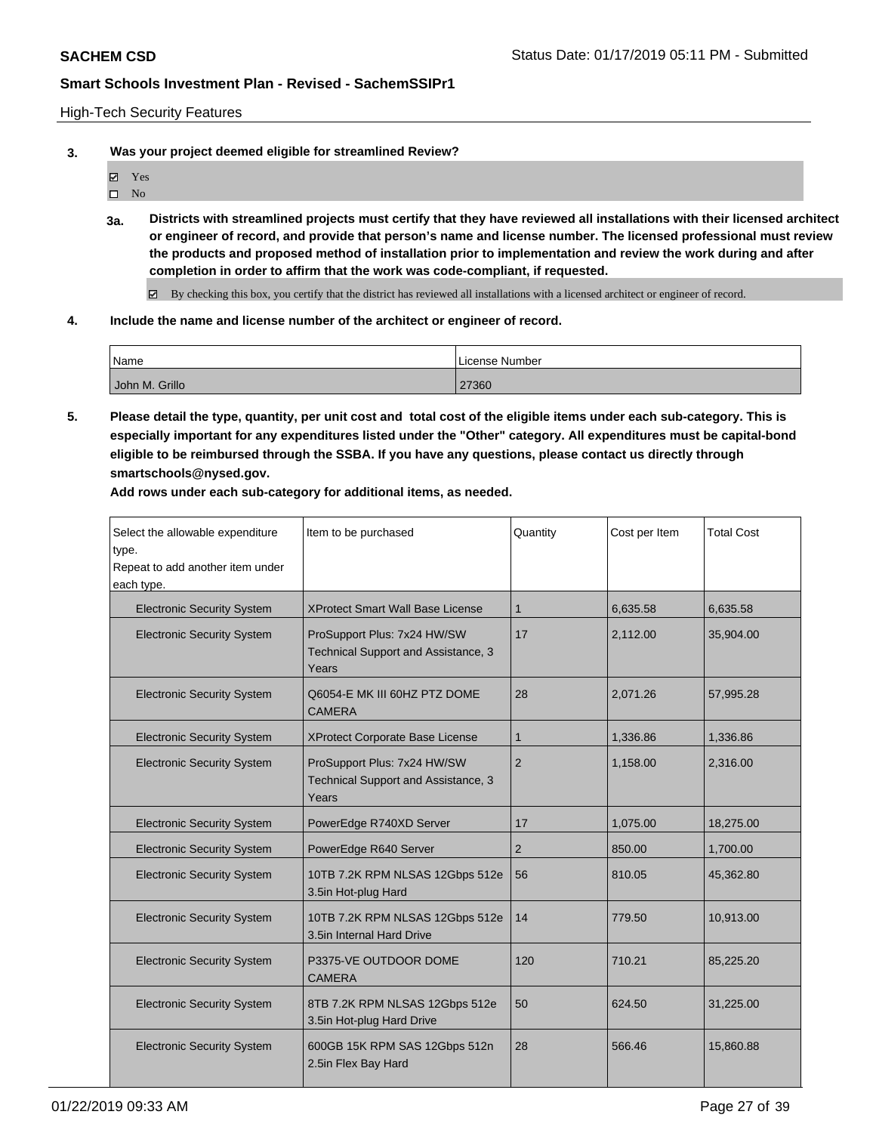High-Tech Security Features

**3. Was your project deemed eligible for streamlined Review?**

- Yes
- $\square$  No
- **3a. Districts with streamlined projects must certify that they have reviewed all installations with their licensed architect or engineer of record, and provide that person's name and license number. The licensed professional must review the products and proposed method of installation prior to implementation and review the work during and after completion in order to affirm that the work was code-compliant, if requested.**
	- By checking this box, you certify that the district has reviewed all installations with a licensed architect or engineer of record.
- **4. Include the name and license number of the architect or engineer of record.**

| 'Name          | License Number |
|----------------|----------------|
| John M. Grillo | 27360          |

**5. Please detail the type, quantity, per unit cost and total cost of the eligible items under each sub-category. This is especially important for any expenditures listed under the "Other" category. All expenditures must be capital-bond eligible to be reimbursed through the SSBA. If you have any questions, please contact us directly through smartschools@nysed.gov.**

**Add rows under each sub-category for additional items, as needed.**

| Select the allowable expenditure<br>type.<br>Repeat to add another item under<br>each type. | Item to be purchased                                                        | Quantity       | Cost per Item | <b>Total Cost</b> |
|---------------------------------------------------------------------------------------------|-----------------------------------------------------------------------------|----------------|---------------|-------------------|
| <b>Electronic Security System</b>                                                           | <b>XProtect Smart Wall Base License</b>                                     | $\mathbf{1}$   | 6,635.58      | 6,635.58          |
| <b>Electronic Security System</b>                                                           | ProSupport Plus: 7x24 HW/SW<br>Technical Support and Assistance, 3<br>Years | 17             | 2,112.00      | 35,904.00         |
| <b>Electronic Security System</b>                                                           | Q6054-E MK III 60HZ PTZ DOME<br><b>CAMERA</b>                               | 28             | 2,071.26      | 57,995.28         |
| <b>Electronic Security System</b>                                                           | <b>XProtect Corporate Base License</b>                                      | $\mathbf 1$    | 1,336.86      | 1,336.86          |
| <b>Electronic Security System</b>                                                           | ProSupport Plus: 7x24 HW/SW<br>Technical Support and Assistance, 3<br>Years | $\overline{2}$ | 1,158.00      | 2,316.00          |
| <b>Electronic Security System</b>                                                           | PowerEdge R740XD Server                                                     | 17             | 1,075.00      | 18,275.00         |
| <b>Electronic Security System</b>                                                           | PowerEdge R640 Server                                                       | 2              | 850.00        | 1,700.00          |
| <b>Electronic Security System</b>                                                           | 10TB 7.2K RPM NLSAS 12Gbps 512e<br>3.5in Hot-plug Hard                      | 56             | 810.05        | 45,362.80         |
| <b>Electronic Security System</b>                                                           | 10TB 7.2K RPM NLSAS 12Gbps 512e<br>3.5in Internal Hard Drive                | 14             | 779.50        | 10,913.00         |
| <b>Electronic Security System</b>                                                           | P3375-VE OUTDOOR DOME<br><b>CAMERA</b>                                      | 120            | 710.21        | 85,225.20         |
| <b>Electronic Security System</b>                                                           | 8TB 7.2K RPM NLSAS 12Gbps 512e<br>3.5in Hot-plug Hard Drive                 | 50             | 624.50        | 31,225.00         |
| <b>Electronic Security System</b>                                                           | 600GB 15K RPM SAS 12Gbps 512n<br>2.5in Flex Bay Hard                        | 28             | 566.46        | 15,860.88         |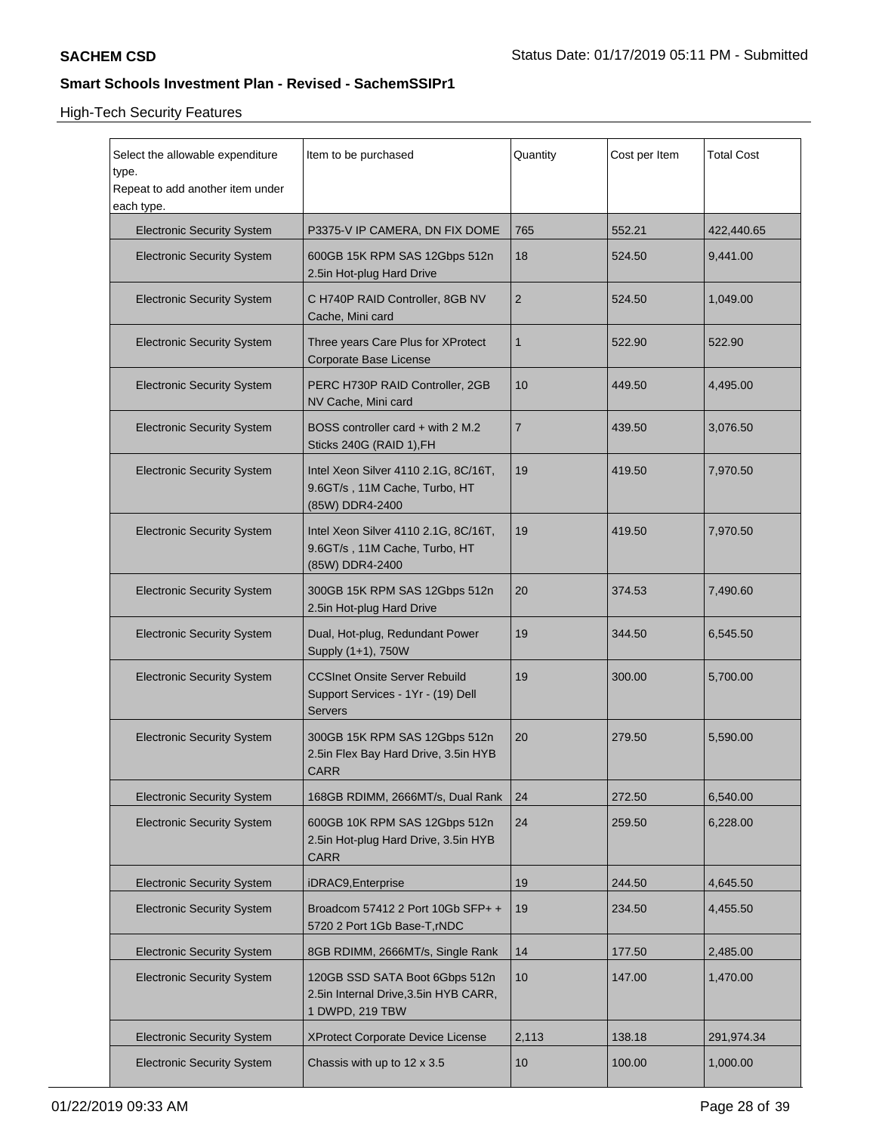| Select the allowable expenditure<br>type.<br>Repeat to add another item under<br>each type. | Item to be purchased                                                                       | Quantity       | Cost per Item | Total Cost |
|---------------------------------------------------------------------------------------------|--------------------------------------------------------------------------------------------|----------------|---------------|------------|
| <b>Electronic Security System</b>                                                           | P3375-V IP CAMERA, DN FIX DOME                                                             | 765            | 552.21        | 422,440.65 |
| <b>Electronic Security System</b>                                                           | 600GB 15K RPM SAS 12Gbps 512n<br>2.5in Hot-plug Hard Drive                                 | 18             | 524.50        | 9,441.00   |
| <b>Electronic Security System</b>                                                           | C H740P RAID Controller, 8GB NV<br>Cache, Mini card                                        | 2              | 524.50        | 1,049.00   |
| <b>Electronic Security System</b>                                                           | Three years Care Plus for XProtect<br>Corporate Base License                               | $\mathbf{1}$   | 522.90        | 522.90     |
| <b>Electronic Security System</b>                                                           | PERC H730P RAID Controller, 2GB<br>NV Cache, Mini card                                     | 10             | 449.50        | 4,495.00   |
| <b>Electronic Security System</b>                                                           | BOSS controller card + with 2 M.2<br>Sticks 240G (RAID 1), FH                              | $\overline{7}$ | 439.50        | 3,076.50   |
| <b>Electronic Security System</b>                                                           | Intel Xeon Silver 4110 2.1G, 8C/16T,<br>9.6GT/s, 11M Cache, Turbo, HT<br>(85W) DDR4-2400   | 19             | 419.50        | 7,970.50   |
| <b>Electronic Security System</b>                                                           | Intel Xeon Silver 4110 2.1G, 8C/16T,<br>9.6GT/s, 11M Cache, Turbo, HT<br>(85W) DDR4-2400   | 19             | 419.50        | 7,970.50   |
| <b>Electronic Security System</b>                                                           | 300GB 15K RPM SAS 12Gbps 512n<br>2.5in Hot-plug Hard Drive                                 | 20             | 374.53        | 7,490.60   |
| <b>Electronic Security System</b>                                                           | Dual, Hot-plug, Redundant Power<br>Supply (1+1), 750W                                      | 19             | 344.50        | 6,545.50   |
| <b>Electronic Security System</b>                                                           | <b>CCSInet Onsite Server Rebuild</b><br>Support Services - 1Yr - (19) Dell<br>Servers      | 19             | 300.00        | 5,700.00   |
| <b>Electronic Security System</b>                                                           | 300GB 15K RPM SAS 12Gbps 512n<br>2.5in Flex Bay Hard Drive, 3.5in HYB<br><b>CARR</b>       | 20             | 279.50        | 5.590.00   |
| <b>Electronic Security System</b>                                                           | 168GB RDIMM, 2666MT/s, Dual Rank                                                           | 24             | 272.50        | 6,540.00   |
| <b>Electronic Security System</b>                                                           | 600GB 10K RPM SAS 12Gbps 512n<br>2.5in Hot-plug Hard Drive, 3.5in HYB<br><b>CARR</b>       | 24             | 259.50        | 6,228.00   |
| <b>Electronic Security System</b>                                                           | iDRAC9, Enterprise                                                                         | 19             | 244.50        | 4,645.50   |
| <b>Electronic Security System</b>                                                           | Broadcom 57412 2 Port 10Gb SFP+ +<br>5720 2 Port 1Gb Base-T, rNDC                          | 19             | 234.50        | 4,455.50   |
| <b>Electronic Security System</b>                                                           | 8GB RDIMM, 2666MT/s, Single Rank                                                           | 14             | 177.50        | 2,485.00   |
| <b>Electronic Security System</b>                                                           | 120GB SSD SATA Boot 6Gbps 512n<br>2.5in Internal Drive, 3.5in HYB CARR,<br>1 DWPD, 219 TBW | 10             | 147.00        | 1,470.00   |
| <b>Electronic Security System</b>                                                           | XProtect Corporate Device License                                                          | 2,113          | 138.18        | 291,974.34 |
| <b>Electronic Security System</b>                                                           | Chassis with up to 12 x 3.5                                                                | 10             | 100.00        | 1,000.00   |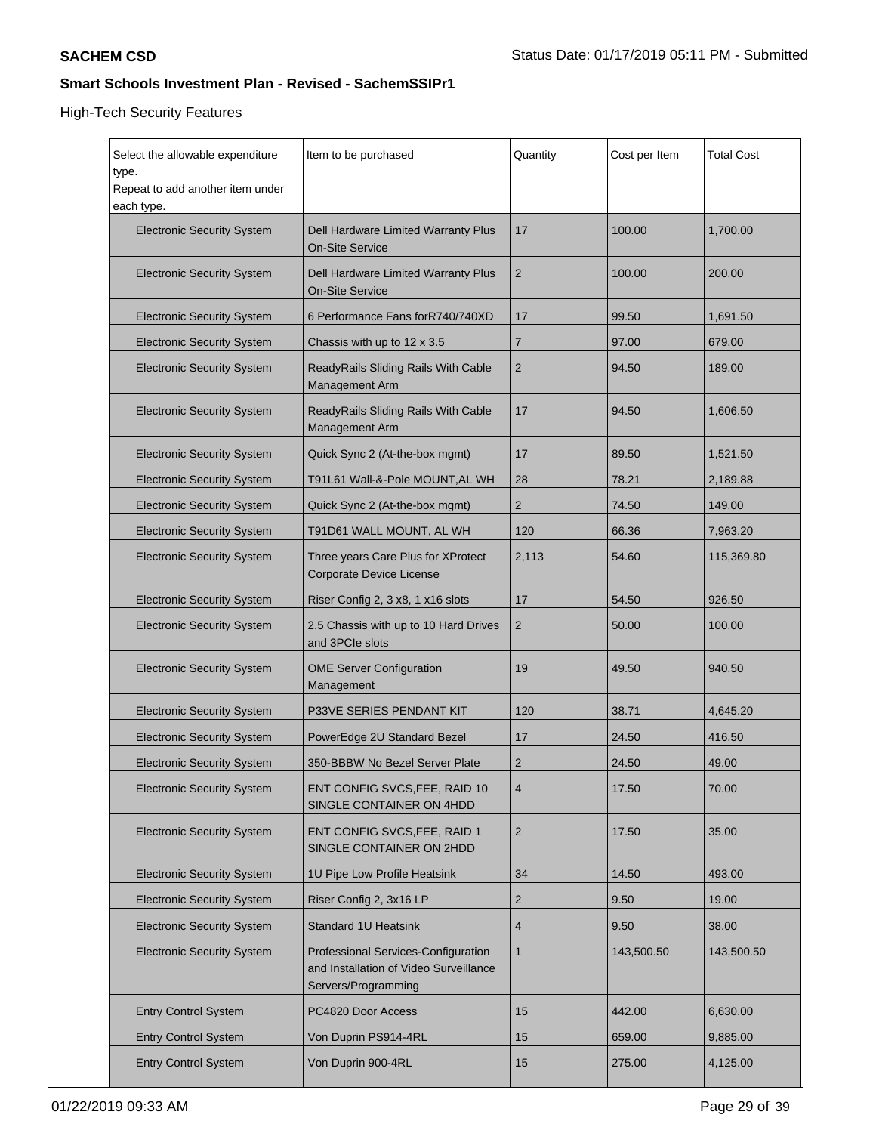| Select the allowable expenditure<br>type.<br>Repeat to add another item under<br>each type. | Item to be purchased                                                                                 | Quantity       | Cost per Item | <b>Total Cost</b> |
|---------------------------------------------------------------------------------------------|------------------------------------------------------------------------------------------------------|----------------|---------------|-------------------|
| <b>Electronic Security System</b>                                                           | Dell Hardware Limited Warranty Plus<br><b>On-Site Service</b>                                        | 17             | 100.00        | 1,700.00          |
| <b>Electronic Security System</b>                                                           | Dell Hardware Limited Warranty Plus<br><b>On-Site Service</b>                                        | 2              | 100.00        | 200.00            |
| <b>Electronic Security System</b>                                                           | 6 Performance Fans forR740/740XD                                                                     | 17             | 99.50         | 1,691.50          |
| <b>Electronic Security System</b>                                                           | Chassis with up to 12 x 3.5                                                                          | 7              | 97.00         | 679.00            |
| <b>Electronic Security System</b>                                                           | ReadyRails Sliding Rails With Cable<br>Management Arm                                                | 2              | 94.50         | 189.00            |
| <b>Electronic Security System</b>                                                           | ReadyRails Sliding Rails With Cable<br>Management Arm                                                | 17             | 94.50         | 1,606.50          |
| <b>Electronic Security System</b>                                                           | Quick Sync 2 (At-the-box mgmt)                                                                       | 17             | 89.50         | 1,521.50          |
| <b>Electronic Security System</b>                                                           | T91L61 Wall-&-Pole MOUNT, AL WH                                                                      | 28             | 78.21         | 2,189.88          |
| <b>Electronic Security System</b>                                                           | Quick Sync 2 (At-the-box mgmt)                                                                       | 2              | 74.50         | 149.00            |
| <b>Electronic Security System</b>                                                           | T91D61 WALL MOUNT, AL WH                                                                             | 120            | 66.36         | 7,963.20          |
| <b>Electronic Security System</b>                                                           | Three years Care Plus for XProtect<br>Corporate Device License                                       | 2,113          | 54.60         | 115,369.80        |
| <b>Electronic Security System</b>                                                           | Riser Config 2, 3 x8, 1 x16 slots                                                                    | 17             | 54.50         | 926.50            |
| <b>Electronic Security System</b>                                                           | 2.5 Chassis with up to 10 Hard Drives<br>and 3PCIe slots                                             | 2              | 50.00         | 100.00            |
| <b>Electronic Security System</b>                                                           | <b>OME Server Configuration</b><br>Management                                                        | 19             | 49.50         | 940.50            |
| <b>Electronic Security System</b>                                                           | P33VE SERIES PENDANT KIT                                                                             | 120            | 38.71         | 4,645.20          |
| <b>Electronic Security System</b>                                                           | PowerEdge 2U Standard Bezel                                                                          | 17             | 24.50         | 416.50            |
| <b>Electronic Security System</b>                                                           | 350-BBBW No Bezel Server Plate                                                                       | 2              | 24.50         | 49.00             |
| <b>Electronic Security System</b>                                                           | ENT CONFIG SVCS, FEE, RAID 10<br>SINGLE CONTAINER ON 4HDD                                            | $\overline{4}$ | 17.50         | 70.00             |
| <b>Electronic Security System</b>                                                           | ENT CONFIG SVCS, FEE, RAID 1<br>SINGLE CONTAINER ON 2HDD                                             | $\overline{2}$ | 17.50         | 35.00             |
| <b>Electronic Security System</b>                                                           | 1U Pipe Low Profile Heatsink                                                                         | 34             | 14.50         | 493.00            |
| <b>Electronic Security System</b>                                                           | Riser Config 2, 3x16 LP                                                                              | 2              | 9.50          | 19.00             |
| <b>Electronic Security System</b>                                                           | <b>Standard 1U Heatsink</b>                                                                          | 4              | 9.50          | 38.00             |
| <b>Electronic Security System</b>                                                           | Professional Services-Configuration<br>and Installation of Video Surveillance<br>Servers/Programming | 1              | 143,500.50    | 143,500.50        |
| <b>Entry Control System</b>                                                                 | PC4820 Door Access                                                                                   | 15             | 442.00        | 6,630.00          |
| <b>Entry Control System</b>                                                                 | Von Duprin PS914-4RL                                                                                 | 15             | 659.00        | 9,885.00          |
| <b>Entry Control System</b>                                                                 | Von Duprin 900-4RL                                                                                   | 15             | 275.00        | 4,125.00          |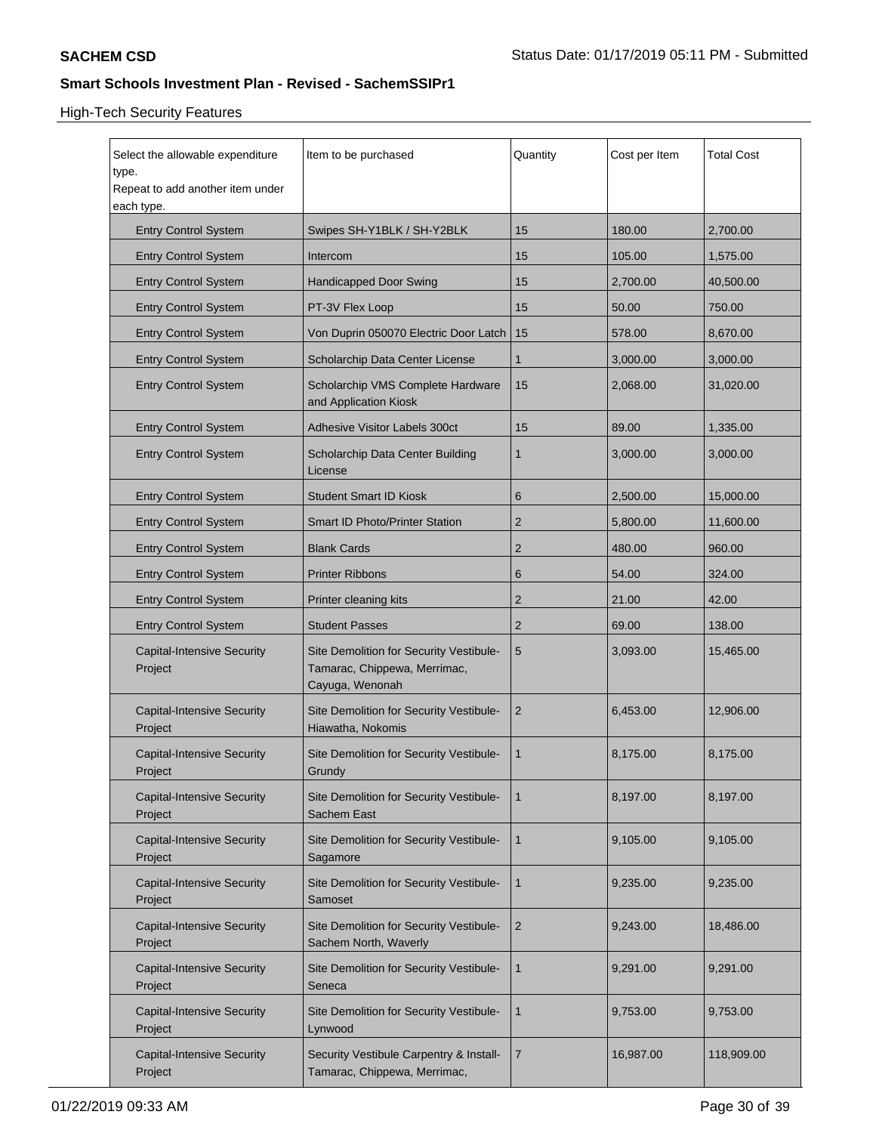| Select the allowable expenditure<br>type.<br>Repeat to add another item under<br>each type. | Item to be purchased                                                                       | Quantity | Cost per Item | <b>Total Cost</b> |
|---------------------------------------------------------------------------------------------|--------------------------------------------------------------------------------------------|----------|---------------|-------------------|
| <b>Entry Control System</b>                                                                 | Swipes SH-Y1BLK / SH-Y2BLK                                                                 | 15       | 180.00        | 2,700.00          |
| <b>Entry Control System</b>                                                                 | Intercom                                                                                   | 15       | 105.00        | 1,575.00          |
| <b>Entry Control System</b>                                                                 | <b>Handicapped Door Swing</b>                                                              | 15       | 2,700.00      | 40,500.00         |
| <b>Entry Control System</b>                                                                 | PT-3V Flex Loop                                                                            | 15       | 50.00         | 750.00            |
| <b>Entry Control System</b>                                                                 | Von Duprin 050070 Electric Door Latch                                                      | 15       | 578.00        | 8,670.00          |
| <b>Entry Control System</b>                                                                 | Scholarchip Data Center License                                                            | 1        | 3,000.00      | 3,000.00          |
| <b>Entry Control System</b>                                                                 | Scholarchip VMS Complete Hardware<br>and Application Kiosk                                 | 15       | 2,068.00      | 31,020.00         |
| <b>Entry Control System</b>                                                                 | Adhesive Visitor Labels 300ct                                                              | 15       | 89.00         | 1,335.00          |
| <b>Entry Control System</b>                                                                 | Scholarchip Data Center Building<br>License                                                | 1        | 3,000.00      | 3,000.00          |
| <b>Entry Control System</b>                                                                 | <b>Student Smart ID Kiosk</b>                                                              | 6        | 2,500.00      | 15,000.00         |
| <b>Entry Control System</b>                                                                 | <b>Smart ID Photo/Printer Station</b>                                                      | 2        | 5,800.00      | 11,600.00         |
| <b>Entry Control System</b>                                                                 | <b>Blank Cards</b>                                                                         | 2        | 480.00        | 960.00            |
| <b>Entry Control System</b>                                                                 | <b>Printer Ribbons</b>                                                                     | 6        | 54.00         | 324.00            |
| <b>Entry Control System</b>                                                                 | Printer cleaning kits                                                                      | 2        | 21.00         | 42.00             |
| <b>Entry Control System</b>                                                                 | <b>Student Passes</b>                                                                      | 2        | 69.00         | 138.00            |
| <b>Capital-Intensive Security</b><br>Project                                                | Site Demolition for Security Vestibule-<br>Tamarac, Chippewa, Merrimac,<br>Cayuga, Wenonah | 5        | 3,093.00      | 15,465.00         |
| <b>Capital-Intensive Security</b><br>Project                                                | Site Demolition for Security Vestibule-<br>Hiawatha, Nokomis                               | 2        | 6,453.00      | 12,906.00         |
| <b>Capital-Intensive Security</b><br>Project                                                | Site Demolition for Security Vestibule-<br>Grundy                                          | 1        | 8,175.00      | 8,175.00          |
| <b>Capital-Intensive Security</b><br>Project                                                | Site Demolition for Security Vestibule-<br>Sachem East                                     | 1        | 8,197.00      | 8,197.00          |
| <b>Capital-Intensive Security</b><br>Project                                                | Site Demolition for Security Vestibule-<br>Sagamore                                        | 1        | 9,105.00      | 9,105.00          |
| <b>Capital-Intensive Security</b><br>Project                                                | Site Demolition for Security Vestibule-<br>Samoset                                         | 1        | 9,235.00      | 9,235.00          |
| <b>Capital-Intensive Security</b><br>Project                                                | Site Demolition for Security Vestibule-<br>Sachem North, Waverly                           | 2        | 9,243.00      | 18,486.00         |
| <b>Capital-Intensive Security</b><br>Project                                                | Site Demolition for Security Vestibule-<br>Seneca                                          | 1        | 9,291.00      | 9,291.00          |
| <b>Capital-Intensive Security</b><br>Project                                                | Site Demolition for Security Vestibule-<br>Lynwood                                         | 1        | 9,753.00      | 9,753.00          |
| <b>Capital-Intensive Security</b><br>Project                                                | Security Vestibule Carpentry & Install-<br>Tamarac, Chippewa, Merrimac,                    | 7        | 16,987.00     | 118,909.00        |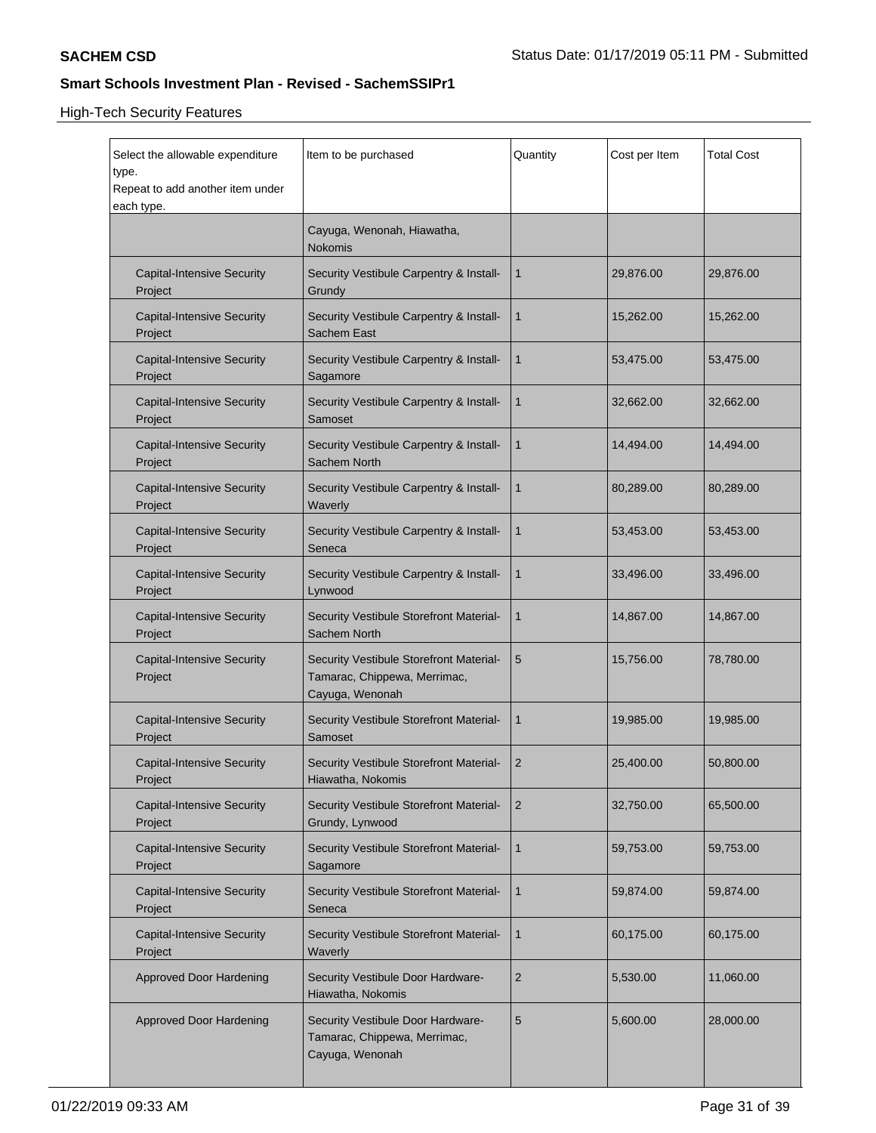| Select the allowable expenditure<br>type.<br>Repeat to add another item under<br>each type. | Item to be purchased                                                                       | Quantity | Cost per Item | <b>Total Cost</b> |
|---------------------------------------------------------------------------------------------|--------------------------------------------------------------------------------------------|----------|---------------|-------------------|
|                                                                                             | Cayuga, Wenonah, Hiawatha,<br><b>Nokomis</b>                                               |          |               |                   |
| <b>Capital-Intensive Security</b><br>Project                                                | Security Vestibule Carpentry & Install-<br>Grundy                                          | 1        | 29,876.00     | 29,876.00         |
| <b>Capital-Intensive Security</b><br>Project                                                | Security Vestibule Carpentry & Install-<br>Sachem East                                     | 1        | 15,262.00     | 15,262.00         |
| <b>Capital-Intensive Security</b><br>Project                                                | Security Vestibule Carpentry & Install-<br>Sagamore                                        | 1        | 53,475.00     | 53,475.00         |
| <b>Capital-Intensive Security</b><br>Project                                                | Security Vestibule Carpentry & Install-<br>Samoset                                         | 1        | 32,662.00     | 32,662.00         |
| <b>Capital-Intensive Security</b><br>Project                                                | Security Vestibule Carpentry & Install-<br>Sachem North                                    | 1        | 14,494.00     | 14,494.00         |
| <b>Capital-Intensive Security</b><br>Project                                                | Security Vestibule Carpentry & Install-<br>Waverly                                         | 1        | 80,289.00     | 80,289.00         |
| <b>Capital-Intensive Security</b><br>Project                                                | Security Vestibule Carpentry & Install-<br>Seneca                                          | 1        | 53,453.00     | 53,453.00         |
| <b>Capital-Intensive Security</b><br>Project                                                | Security Vestibule Carpentry & Install-<br>Lynwood                                         | 1        | 33,496.00     | 33,496.00         |
| <b>Capital-Intensive Security</b><br>Project                                                | Security Vestibule Storefront Material-<br>Sachem North                                    | 1        | 14,867.00     | 14,867.00         |
| <b>Capital-Intensive Security</b><br>Project                                                | Security Vestibule Storefront Material-<br>Tamarac, Chippewa, Merrimac,<br>Cayuga, Wenonah | 5        | 15,756.00     | 78,780.00         |
| <b>Capital-Intensive Security</b><br>Project                                                | Security Vestibule Storefront Material-<br>Samoset                                         | 1        | 19,985.00     | 19,985.00         |
| <b>Capital-Intensive Security</b><br>Project                                                | Security Vestibule Storefront Material-<br>Hiawatha, Nokomis                               | 2        | 25,400.00     | 50,800.00         |
| <b>Capital-Intensive Security</b><br>Project                                                | Security Vestibule Storefront Material-<br>Grundy, Lynwood                                 | 2        | 32,750.00     | 65,500.00         |
| <b>Capital-Intensive Security</b><br>Project                                                | Security Vestibule Storefront Material-<br>Sagamore                                        | 1        | 59,753.00     | 59,753.00         |
| <b>Capital-Intensive Security</b><br>Project                                                | Security Vestibule Storefront Material-<br>Seneca                                          | 1        | 59,874.00     | 59,874.00         |
| <b>Capital-Intensive Security</b><br>Project                                                | Security Vestibule Storefront Material-<br>Waverly                                         | 1        | 60,175.00     | 60,175.00         |
| <b>Approved Door Hardening</b>                                                              | Security Vestibule Door Hardware-<br>Hiawatha, Nokomis                                     | 2        | 5,530.00      | 11,060.00         |
| <b>Approved Door Hardening</b>                                                              | Security Vestibule Door Hardware-<br>Tamarac, Chippewa, Merrimac,<br>Cayuga, Wenonah       | 5        | 5,600.00      | 28,000.00         |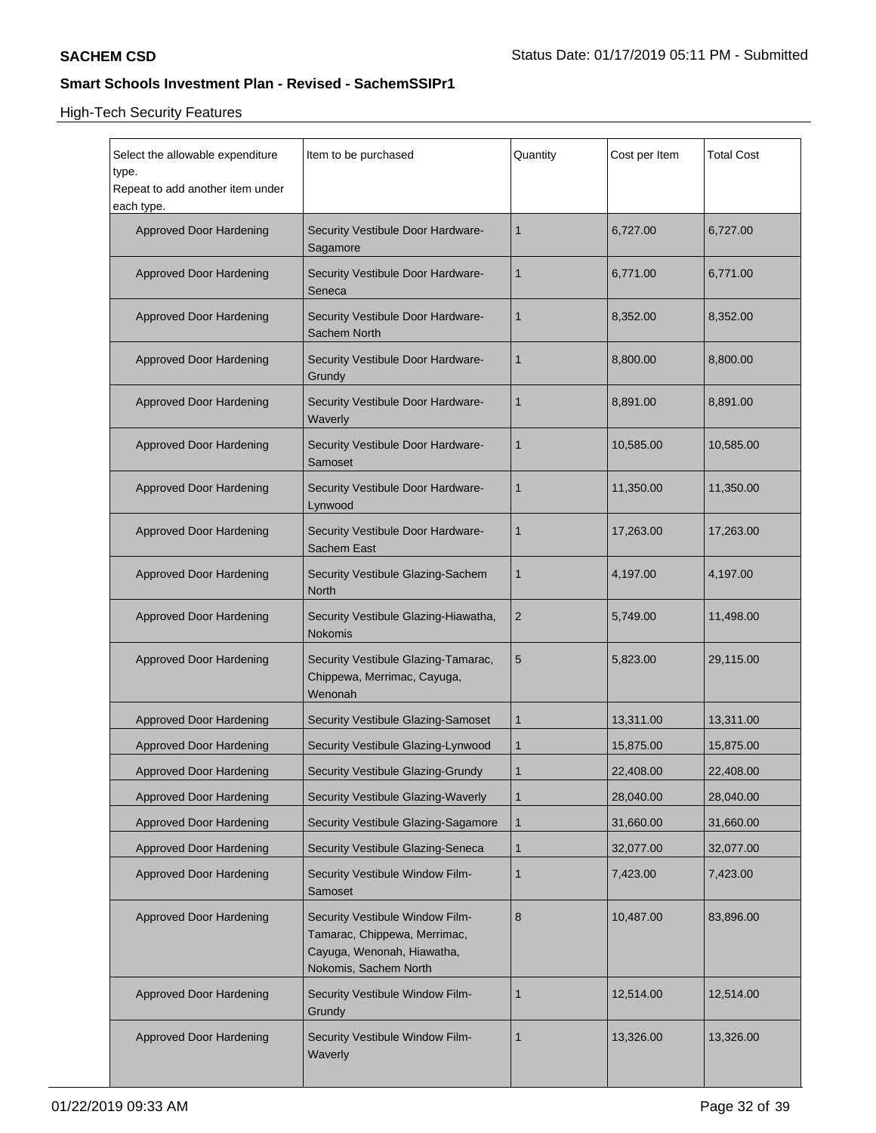| Select the allowable expenditure<br>type.<br>Repeat to add another item under<br>each type. | Item to be purchased                                                                                                   | Quantity       | Cost per Item | <b>Total Cost</b> |
|---------------------------------------------------------------------------------------------|------------------------------------------------------------------------------------------------------------------------|----------------|---------------|-------------------|
| Approved Door Hardening                                                                     | Security Vestibule Door Hardware-<br>Sagamore                                                                          | 1              | 6,727.00      | 6,727.00          |
| Approved Door Hardening                                                                     | Security Vestibule Door Hardware-<br>Seneca                                                                            | 1              | 6,771.00      | 6,771.00          |
| Approved Door Hardening                                                                     | Security Vestibule Door Hardware-<br>Sachem North                                                                      | 1              | 8,352.00      | 8,352.00          |
| Approved Door Hardening                                                                     | Security Vestibule Door Hardware-<br>Grundy                                                                            | 1              | 8,800.00      | 8,800.00          |
| Approved Door Hardening                                                                     | Security Vestibule Door Hardware-<br>Waverly                                                                           | 1              | 8,891.00      | 8,891.00          |
| Approved Door Hardening                                                                     | Security Vestibule Door Hardware-<br>Samoset                                                                           | 1              | 10,585.00     | 10,585.00         |
| Approved Door Hardening                                                                     | Security Vestibule Door Hardware-<br>Lynwood                                                                           | 1              | 11,350.00     | 11,350.00         |
| Approved Door Hardening                                                                     | Security Vestibule Door Hardware-<br>Sachem East                                                                       | 1              | 17,263.00     | 17,263.00         |
| Approved Door Hardening                                                                     | Security Vestibule Glazing-Sachem<br>North                                                                             | 1              | 4,197.00      | 4,197.00          |
| Approved Door Hardening                                                                     | Security Vestibule Glazing-Hiawatha,<br><b>Nokomis</b>                                                                 | $\overline{2}$ | 5,749.00      | 11,498.00         |
| Approved Door Hardening                                                                     | Security Vestibule Glazing-Tamarac,<br>Chippewa, Merrimac, Cayuga,<br>Wenonah                                          | 5              | 5,823.00      | 29,115.00         |
| Approved Door Hardening                                                                     | Security Vestibule Glazing-Samoset                                                                                     | 1              | 13,311.00     | 13,311.00         |
| <b>Approved Door Hardening</b>                                                              | Security Vestibule Glazing-Lynwood                                                                                     | 1              | 15,875.00     | 15,875.00         |
| <b>Approved Door Hardening</b>                                                              | Security Vestibule Glazing-Grundy                                                                                      | $\mathbf 1$    | 22,408.00     | 22,408.00         |
| <b>Approved Door Hardening</b>                                                              | Security Vestibule Glazing-Waverly                                                                                     | $\mathbf{1}$   | 28,040.00     | 28,040.00         |
| <b>Approved Door Hardening</b>                                                              | Security Vestibule Glazing-Sagamore                                                                                    | 1              | 31,660.00     | 31,660.00         |
| <b>Approved Door Hardening</b>                                                              | Security Vestibule Glazing-Seneca                                                                                      | 1              | 32,077.00     | 32,077.00         |
| <b>Approved Door Hardening</b>                                                              | Security Vestibule Window Film-<br>Samoset                                                                             | 1              | 7,423.00      | 7,423.00          |
| <b>Approved Door Hardening</b>                                                              | Security Vestibule Window Film-<br>Tamarac, Chippewa, Merrimac,<br>Cayuga, Wenonah, Hiawatha,<br>Nokomis, Sachem North | 8              | 10,487.00     | 83,896.00         |
| <b>Approved Door Hardening</b>                                                              | Security Vestibule Window Film-<br>Grundy                                                                              | 1              | 12,514.00     | 12,514.00         |
| <b>Approved Door Hardening</b>                                                              | Security Vestibule Window Film-<br>Waverly                                                                             | 1              | 13,326.00     | 13,326.00         |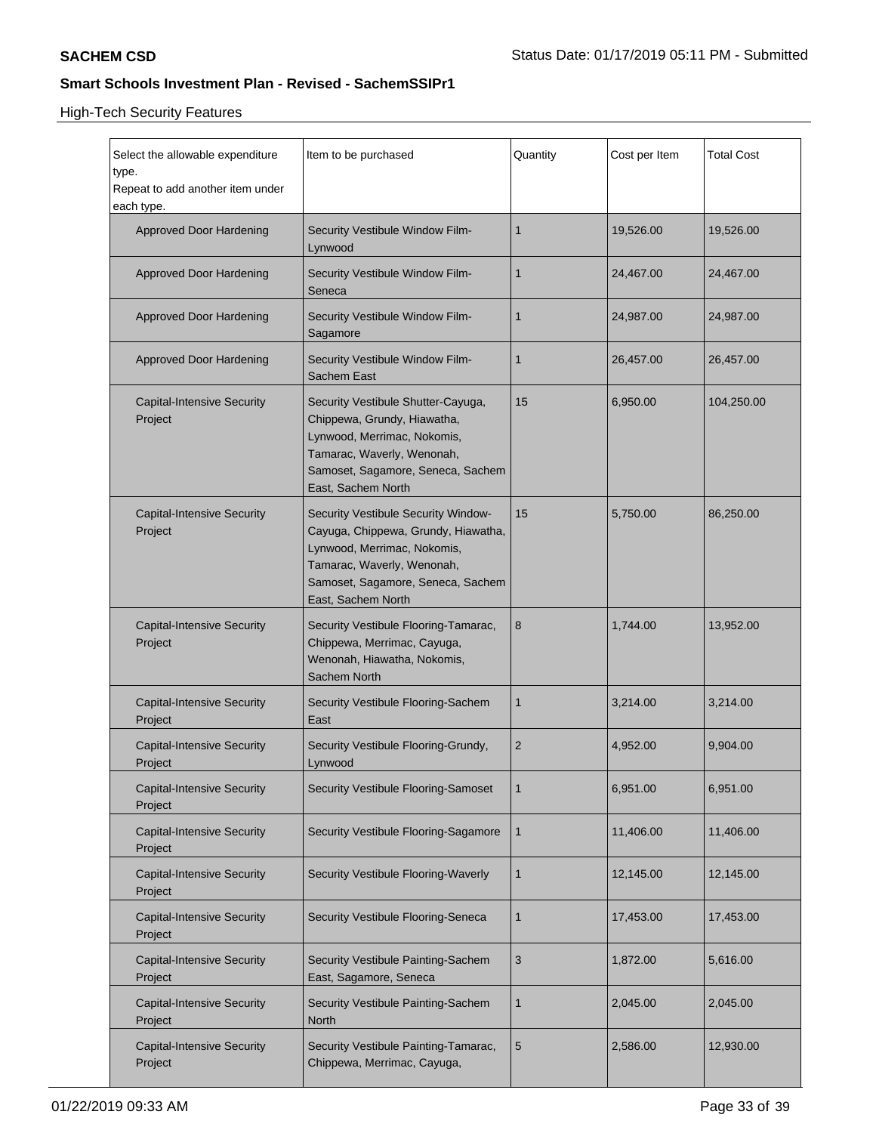| Select the allowable expenditure<br>type.<br>Repeat to add another item under<br>each type. | Item to be purchased                                                                                                                                                                               | Quantity | Cost per Item | <b>Total Cost</b> |
|---------------------------------------------------------------------------------------------|----------------------------------------------------------------------------------------------------------------------------------------------------------------------------------------------------|----------|---------------|-------------------|
| <b>Approved Door Hardening</b>                                                              | Security Vestibule Window Film-<br>Lynwood                                                                                                                                                         | 1        | 19,526.00     | 19,526.00         |
| <b>Approved Door Hardening</b>                                                              | Security Vestibule Window Film-<br>Seneca                                                                                                                                                          | 1        | 24,467.00     | 24,467.00         |
| <b>Approved Door Hardening</b>                                                              | Security Vestibule Window Film-<br>Sagamore                                                                                                                                                        | 1        | 24,987.00     | 24,987.00         |
| <b>Approved Door Hardening</b>                                                              | Security Vestibule Window Film-<br>Sachem East                                                                                                                                                     | 1        | 26,457.00     | 26,457.00         |
| <b>Capital-Intensive Security</b><br>Project                                                | Security Vestibule Shutter-Cayuga,<br>Chippewa, Grundy, Hiawatha,<br>Lynwood, Merrimac, Nokomis,<br>Tamarac, Waverly, Wenonah,<br>Samoset, Sagamore, Seneca, Sachem<br>East, Sachem North          | 15       | 6,950.00      | 104,250.00        |
| <b>Capital-Intensive Security</b><br>Project                                                | Security Vestibule Security Window-<br>Cayuga, Chippewa, Grundy, Hiawatha,<br>Lynwood, Merrimac, Nokomis,<br>Tamarac, Waverly, Wenonah,<br>Samoset, Sagamore, Seneca, Sachem<br>East, Sachem North | 15       | 5,750.00      | 86,250.00         |
| <b>Capital-Intensive Security</b><br>Project                                                | Security Vestibule Flooring-Tamarac,<br>Chippewa, Merrimac, Cayuga,<br>Wenonah, Hiawatha, Nokomis,<br>Sachem North                                                                                 | 8        | 1,744.00      | 13,952.00         |
| <b>Capital-Intensive Security</b><br>Project                                                | Security Vestibule Flooring-Sachem<br>East                                                                                                                                                         | 1        | 3,214.00      | 3,214.00          |
| <b>Capital-Intensive Security</b><br>Project                                                | Security Vestibule Flooring-Grundy,<br>Lynwood                                                                                                                                                     | 2        | 4,952.00      | 9,904.00          |
| <b>Capital-Intensive Security</b><br>Project                                                | Security Vestibule Flooring-Samoset                                                                                                                                                                | 1        | 6,951.00      | 6,951.00          |
| <b>Capital-Intensive Security</b><br>Project                                                | Security Vestibule Flooring-Sagamore                                                                                                                                                               | 1        | 11,406.00     | 11,406.00         |
| <b>Capital-Intensive Security</b><br>Project                                                | Security Vestibule Flooring-Waverly                                                                                                                                                                | 1        | 12,145.00     | 12,145.00         |
| <b>Capital-Intensive Security</b><br>Project                                                | Security Vestibule Flooring-Seneca                                                                                                                                                                 | 1        | 17,453.00     | 17,453.00         |
| <b>Capital-Intensive Security</b><br>Project                                                | Security Vestibule Painting-Sachem<br>East, Sagamore, Seneca                                                                                                                                       | 3        | 1,872.00      | 5,616.00          |
| <b>Capital-Intensive Security</b><br>Project                                                | <b>Security Vestibule Painting-Sachem</b><br>North                                                                                                                                                 | 1        | 2,045.00      | 2,045.00          |
| <b>Capital-Intensive Security</b><br>Project                                                | Security Vestibule Painting-Tamarac,<br>Chippewa, Merrimac, Cayuga,                                                                                                                                | 5        | 2,586.00      | 12,930.00         |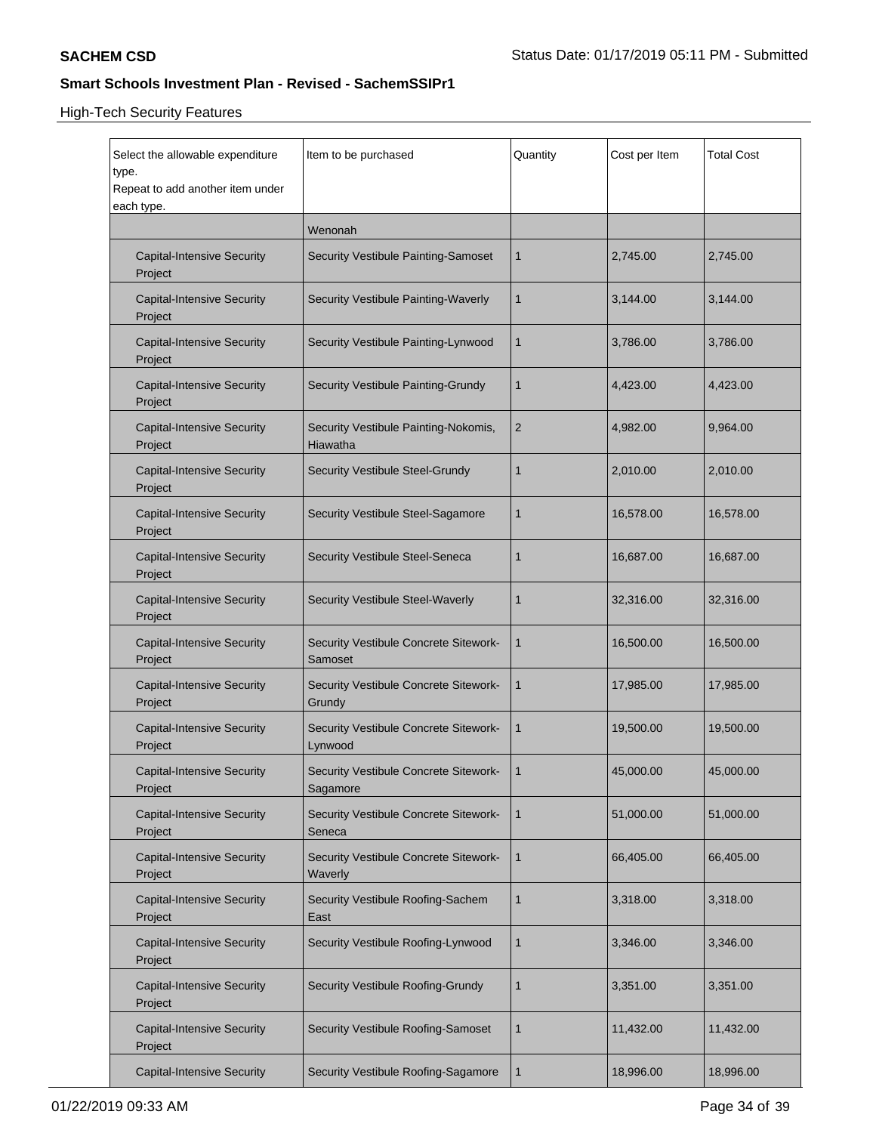| Select the allowable expenditure<br>type.<br>Repeat to add another item under<br>each type. | Item to be purchased                              | Quantity       | Cost per Item | <b>Total Cost</b> |
|---------------------------------------------------------------------------------------------|---------------------------------------------------|----------------|---------------|-------------------|
|                                                                                             | Wenonah                                           |                |               |                   |
| <b>Capital-Intensive Security</b><br>Project                                                | Security Vestibule Painting-Samoset               | 1              | 2,745.00      | 2,745.00          |
| <b>Capital-Intensive Security</b><br>Project                                                | Security Vestibule Painting-Waverly               | 1              | 3,144.00      | 3,144.00          |
| <b>Capital-Intensive Security</b><br>Project                                                | Security Vestibule Painting-Lynwood               | 1              | 3,786.00      | 3,786.00          |
| <b>Capital-Intensive Security</b><br>Project                                                | Security Vestibule Painting-Grundy                | 1              | 4,423.00      | 4,423.00          |
| <b>Capital-Intensive Security</b><br>Project                                                | Security Vestibule Painting-Nokomis,<br>Hiawatha  | $\overline{c}$ | 4,982.00      | 9,964.00          |
| <b>Capital-Intensive Security</b><br>Project                                                | Security Vestibule Steel-Grundy                   | 1              | 2,010.00      | 2,010.00          |
| <b>Capital-Intensive Security</b><br>Project                                                | Security Vestibule Steel-Sagamore                 | 1              | 16,578.00     | 16,578.00         |
| <b>Capital-Intensive Security</b><br>Project                                                | Security Vestibule Steel-Seneca                   | 1              | 16,687.00     | 16,687.00         |
| <b>Capital-Intensive Security</b><br>Project                                                | Security Vestibule Steel-Waverly                  | 1              | 32,316.00     | 32,316.00         |
| <b>Capital-Intensive Security</b><br>Project                                                | Security Vestibule Concrete Sitework-<br>Samoset  | 1              | 16,500.00     | 16,500.00         |
| <b>Capital-Intensive Security</b><br>Project                                                | Security Vestibule Concrete Sitework-<br>Grundy   | 1              | 17,985.00     | 17,985.00         |
| <b>Capital-Intensive Security</b><br>Project                                                | Security Vestibule Concrete Sitework-<br>Lynwood  | 1              | 19,500.00     | 19,500.00         |
| <b>Capital-Intensive Security</b><br>Project                                                | Security Vestibule Concrete Sitework-<br>Sagamore | 1              | 45,000.00     | 45,000.00         |
| <b>Capital-Intensive Security</b><br>Project                                                | Security Vestibule Concrete Sitework-<br>Seneca   | 1              | 51,000.00     | 51,000.00         |
| <b>Capital-Intensive Security</b><br>Project                                                | Security Vestibule Concrete Sitework-<br>Waverly  | 1              | 66,405.00     | 66,405.00         |
| <b>Capital-Intensive Security</b><br>Project                                                | Security Vestibule Roofing-Sachem<br>East         | $\mathbf{1}$   | 3,318.00      | 3,318.00          |
| <b>Capital-Intensive Security</b><br>Project                                                | Security Vestibule Roofing-Lynwood                | 1              | 3,346.00      | 3,346.00          |
| <b>Capital-Intensive Security</b><br>Project                                                | <b>Security Vestibule Roofing-Grundy</b>          | $\mathbf{1}$   | 3,351.00      | 3,351.00          |
| <b>Capital-Intensive Security</b><br>Project                                                | Security Vestibule Roofing-Samoset                | 1              | 11,432.00     | 11,432.00         |
| <b>Capital-Intensive Security</b>                                                           | Security Vestibule Roofing-Sagamore               | 1              | 18,996.00     | 18,996.00         |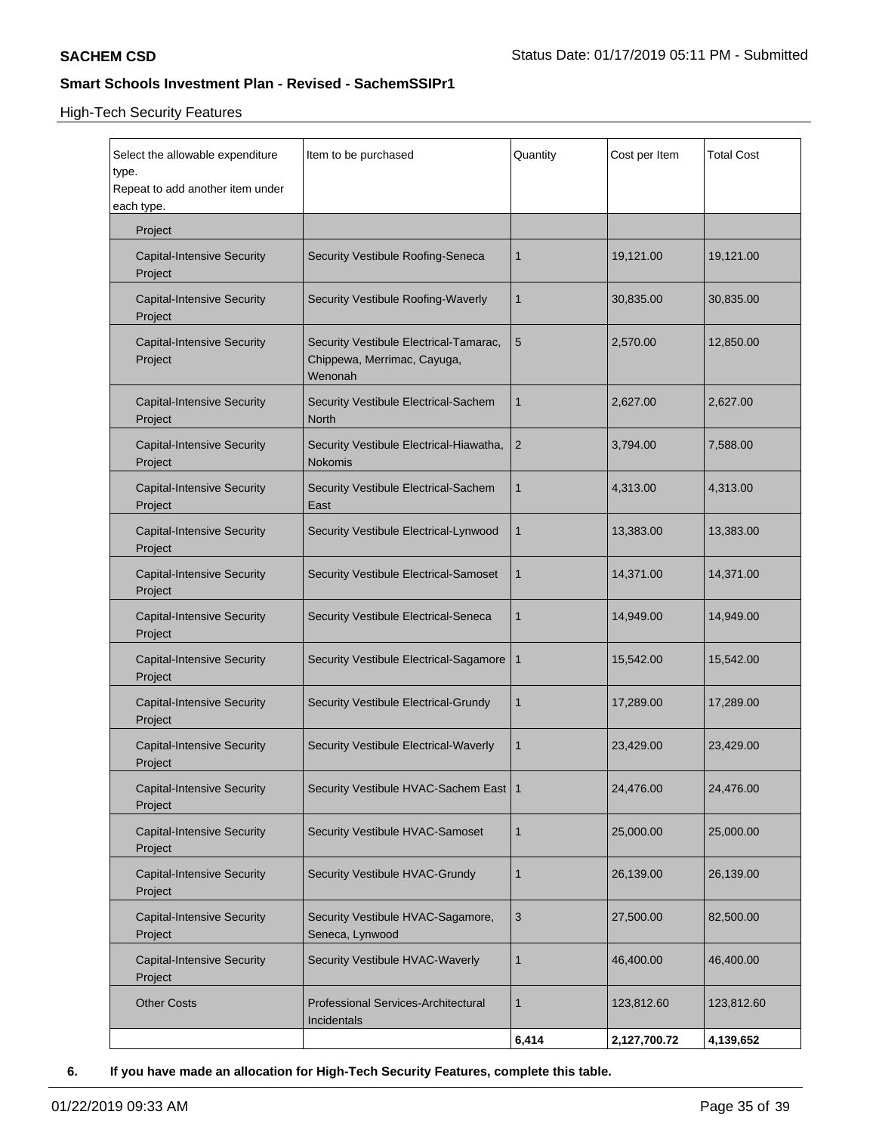High-Tech Security Features

| Select the allowable expenditure<br>type.<br>Repeat to add another item under<br>each type. | Item to be purchased                                                             | Quantity     | Cost per Item | <b>Total Cost</b> |
|---------------------------------------------------------------------------------------------|----------------------------------------------------------------------------------|--------------|---------------|-------------------|
| Project                                                                                     |                                                                                  |              |               |                   |
| <b>Capital-Intensive Security</b><br>Project                                                | Security Vestibule Roofing-Seneca                                                | 1            | 19,121.00     | 19,121.00         |
| <b>Capital-Intensive Security</b><br>Project                                                | Security Vestibule Roofing-Waverly                                               | $\mathbf{1}$ | 30,835.00     | 30,835.00         |
| <b>Capital-Intensive Security</b><br>Project                                                | Security Vestibule Electrical-Tamarac,<br>Chippewa, Merrimac, Cayuga,<br>Wenonah | 5            | 2,570.00      | 12,850.00         |
| <b>Capital-Intensive Security</b><br>Project                                                | Security Vestibule Electrical-Sachem<br><b>North</b>                             | $\mathbf{1}$ | 2,627.00      | 2,627.00          |
| <b>Capital-Intensive Security</b><br>Project                                                | Security Vestibule Electrical-Hiawatha,<br><b>Nokomis</b>                        | 2            | 3,794.00      | 7,588.00          |
| <b>Capital-Intensive Security</b><br>Project                                                | Security Vestibule Electrical-Sachem<br>East                                     | 1            | 4,313.00      | 4,313.00          |
| <b>Capital-Intensive Security</b><br>Project                                                | Security Vestibule Electrical-Lynwood                                            | $\mathbf{1}$ | 13,383.00     | 13,383.00         |
| <b>Capital-Intensive Security</b><br>Project                                                | Security Vestibule Electrical-Samoset                                            | 1            | 14,371.00     | 14,371.00         |
| <b>Capital-Intensive Security</b><br>Project                                                | Security Vestibule Electrical-Seneca                                             | 1            | 14,949.00     | 14,949.00         |
| <b>Capital-Intensive Security</b><br>Project                                                | Security Vestibule Electrical-Sagamore                                           | $\mathbf{1}$ | 15,542.00     | 15,542.00         |
| <b>Capital-Intensive Security</b><br>Project                                                | Security Vestibule Electrical-Grundy                                             | 1            | 17,289.00     | 17,289.00         |
| <b>Capital-Intensive Security</b><br>Project                                                | Security Vestibule Electrical-Waverly                                            | 1            | 23,429.00     | 23,429.00         |
| <b>Capital-Intensive Security</b><br>Project                                                | Security Vestibule HVAC-Sachem East   1                                          |              | 24,476.00     | 24,476.00         |
| <b>Capital-Intensive Security</b><br>Project                                                | Security Vestibule HVAC-Samoset                                                  | $\mathbf{1}$ | 25,000.00     | 25,000.00         |
| <b>Capital-Intensive Security</b><br>Project                                                | Security Vestibule HVAC-Grundy                                                   | 1            | 26,139.00     | 26,139.00         |
| <b>Capital-Intensive Security</b><br>Project                                                | Security Vestibule HVAC-Sagamore,<br>Seneca, Lynwood                             | 3            | 27,500.00     | 82,500.00         |
| <b>Capital-Intensive Security</b><br>Project                                                | Security Vestibule HVAC-Waverly                                                  | $\mathbf{1}$ | 46,400.00     | 46,400.00         |
| <b>Other Costs</b>                                                                          | Professional Services-Architectural<br>Incidentals                               | 1            | 123,812.60    | 123,812.60        |
|                                                                                             |                                                                                  | 6,414        | 2,127,700.72  | 4,139,652         |

**6. If you have made an allocation for High-Tech Security Features, complete this table.**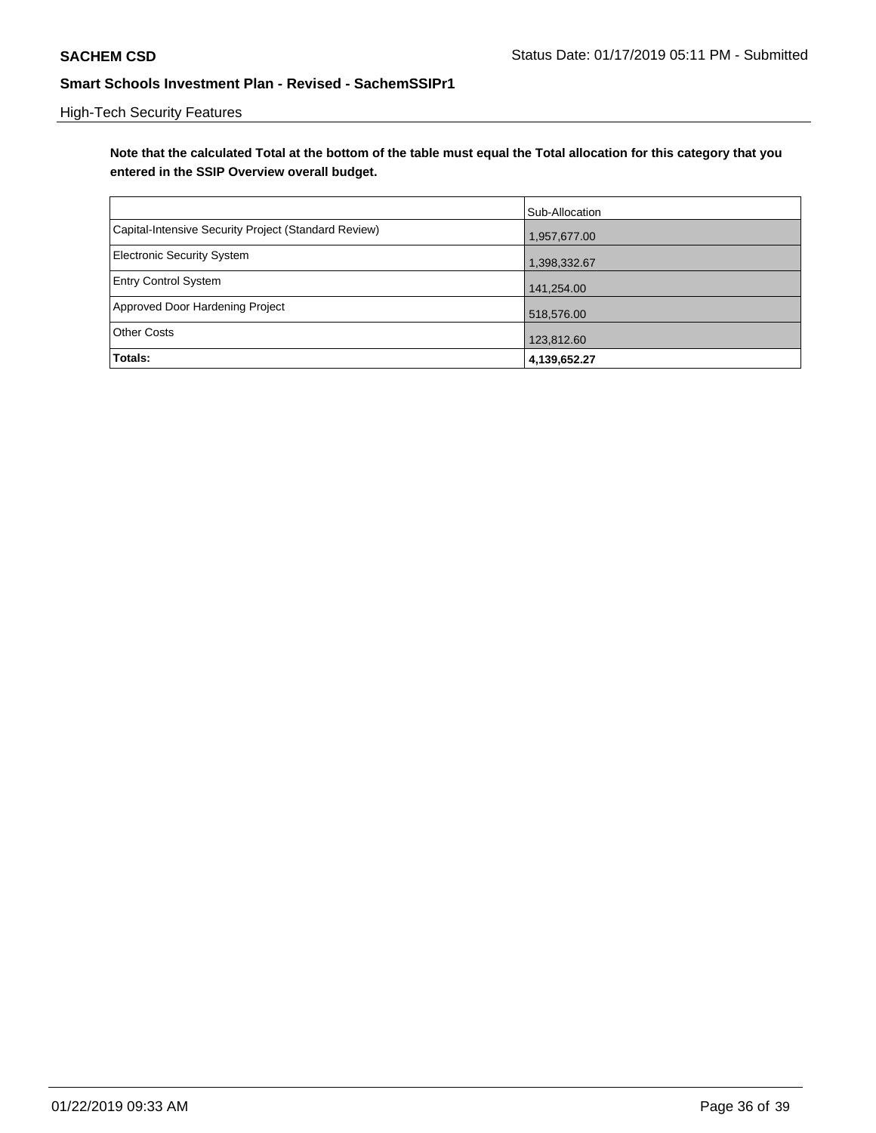## High-Tech Security Features

**Note that the calculated Total at the bottom of the table must equal the Total allocation for this category that you entered in the SSIP Overview overall budget.**

|                                                      | Sub-Allocation |
|------------------------------------------------------|----------------|
| Capital-Intensive Security Project (Standard Review) | 1,957,677.00   |
| <b>Electronic Security System</b>                    | 1,398,332.67   |
| <b>Entry Control System</b>                          | 141,254.00     |
| Approved Door Hardening Project                      | 518,576.00     |
| <b>Other Costs</b>                                   | 123,812.60     |
| <b>Totals:</b>                                       | 4,139,652.27   |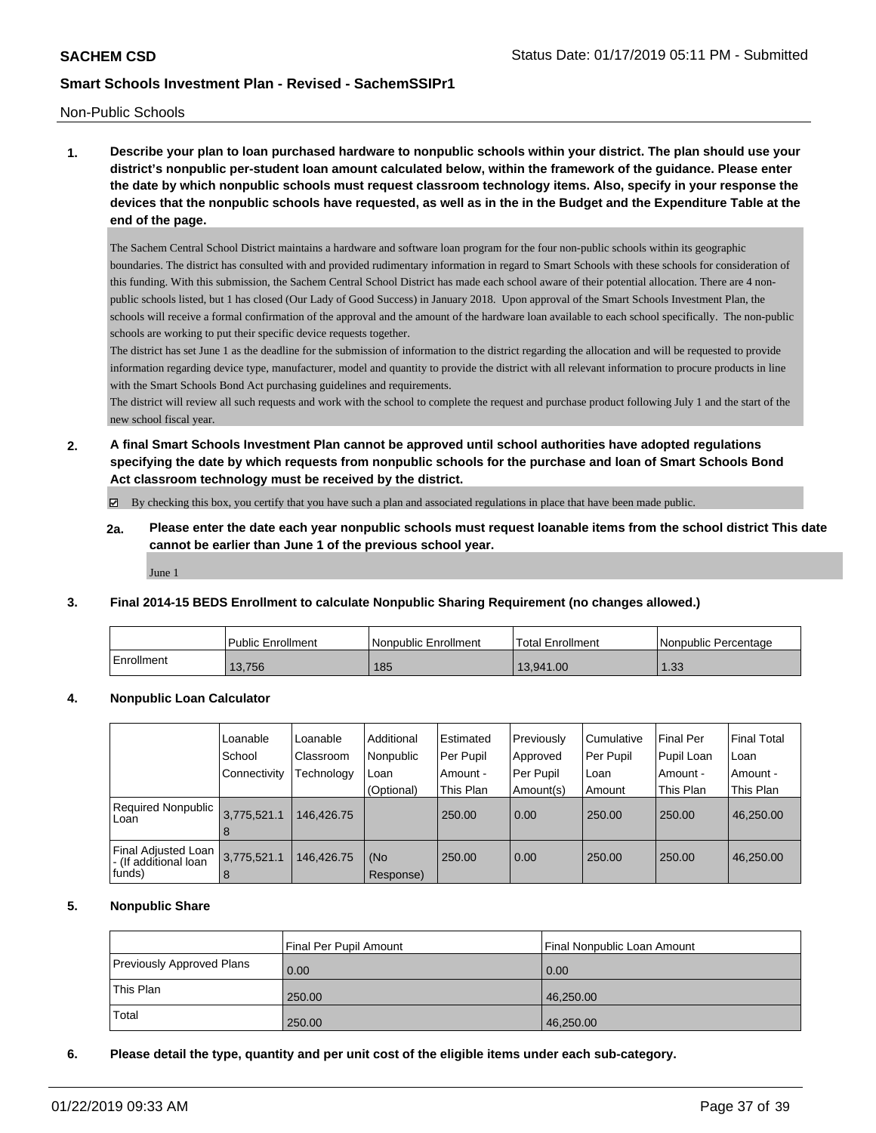#### Non-Public Schools

**1. Describe your plan to loan purchased hardware to nonpublic schools within your district. The plan should use your district's nonpublic per-student loan amount calculated below, within the framework of the guidance. Please enter the date by which nonpublic schools must request classroom technology items. Also, specify in your response the devices that the nonpublic schools have requested, as well as in the in the Budget and the Expenditure Table at the end of the page.**

The Sachem Central School District maintains a hardware and software loan program for the four non-public schools within its geographic boundaries. The district has consulted with and provided rudimentary information in regard to Smart Schools with these schools for consideration of this funding. With this submission, the Sachem Central School District has made each school aware of their potential allocation. There are 4 nonpublic schools listed, but 1 has closed (Our Lady of Good Success) in January 2018. Upon approval of the Smart Schools Investment Plan, the schools will receive a formal confirmation of the approval and the amount of the hardware loan available to each school specifically. The non-public schools are working to put their specific device requests together.

The district has set June 1 as the deadline for the submission of information to the district regarding the allocation and will be requested to provide information regarding device type, manufacturer, model and quantity to provide the district with all relevant information to procure products in line with the Smart Schools Bond Act purchasing guidelines and requirements.

The district will review all such requests and work with the school to complete the request and purchase product following July 1 and the start of the new school fiscal year.

**2. A final Smart Schools Investment Plan cannot be approved until school authorities have adopted regulations specifying the date by which requests from nonpublic schools for the purchase and loan of Smart Schools Bond Act classroom technology must be received by the district.**

 $\boxtimes$  By checking this box, you certify that you have such a plan and associated regulations in place that have been made public.

**2a. Please enter the date each year nonpublic schools must request loanable items from the school district This date cannot be earlier than June 1 of the previous school year.**

June 1

### **3. Final 2014-15 BEDS Enrollment to calculate Nonpublic Sharing Requirement (no changes allowed.)**

|            | <b>Public Enrollment</b> | Nonpublic Enrollment | <b>Total Enrollment</b> | Nonpublic Percentage |
|------------|--------------------------|----------------------|-------------------------|----------------------|
| Enrollment | 13.756                   | 185                  | 13.941.00               | ່າ<br>טטו            |

### **4. Nonpublic Loan Calculator**

|                                                         | Loanable         | Loanable   | Additional       | Estimated | Previously | Cumulative | <b>Final Per</b> | Final Total |
|---------------------------------------------------------|------------------|------------|------------------|-----------|------------|------------|------------------|-------------|
|                                                         | School           | Classroom  | Nonpublic        | Per Pupil | Approved   | Per Pupil  | Pupil Loan       | ∣Loan       |
|                                                         | Connectivity     | Technology | Loan             | Amount -  | Per Pupil  | Loan       | Amount -         | Amount -    |
|                                                         |                  |            | (Optional)       | This Plan | Amount(s)  | Amount     | This Plan        | This Plan   |
| Required Nonpublic<br>Loan                              | 3,775,521.1<br>8 | 146.426.75 |                  | 250.00    | 0.00       | 250.00     | 250.00           | 46,250.00   |
| Final Adjusted Loan<br>- (If additional loan<br> funds) | 3.775,521.1<br>8 | 146.426.75 | (No<br>Response) | 250.00    | 0.00       | 250.00     | 250.00           | 46,250.00   |

### **5. Nonpublic Share**

|                                  | Final Per Pupil Amount | Final Nonpublic Loan Amount |
|----------------------------------|------------------------|-----------------------------|
| <b>Previously Approved Plans</b> | 0.00                   | 0.00                        |
| <b>This Plan</b>                 | 250.00                 | 46,250.00                   |
| Total                            | 250.00                 | 46,250.00                   |

### **6. Please detail the type, quantity and per unit cost of the eligible items under each sub-category.**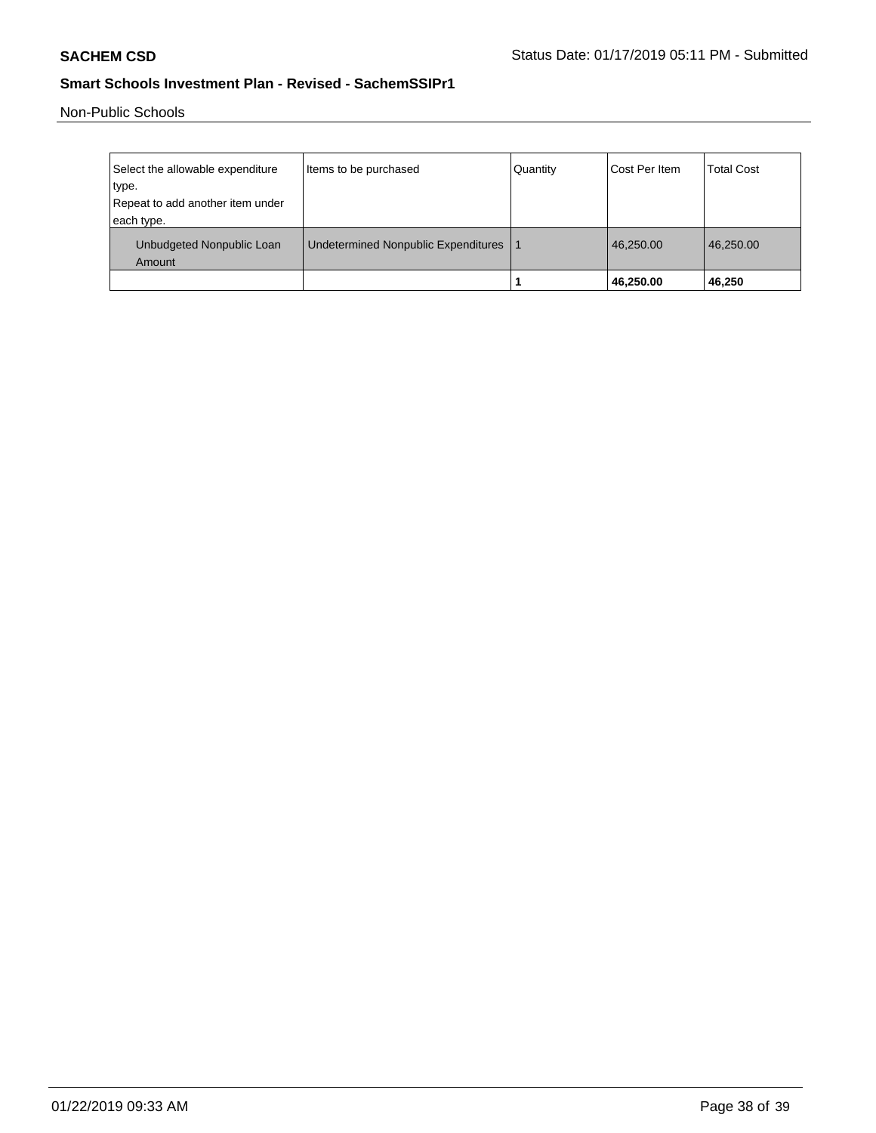Non-Public Schools

| Select the allowable expenditure<br>type.<br>Repeat to add another item under<br>each type. | Items to be purchased               | Quantity | Cost Per Item | <b>Total Cost</b> |
|---------------------------------------------------------------------------------------------|-------------------------------------|----------|---------------|-------------------|
| Unbudgeted Nonpublic Loan<br>Amount                                                         | Undetermined Nonpublic Expenditures |          | 46,250.00     | 46.250.00         |
|                                                                                             |                                     |          | 46,250.00     | 46,250            |